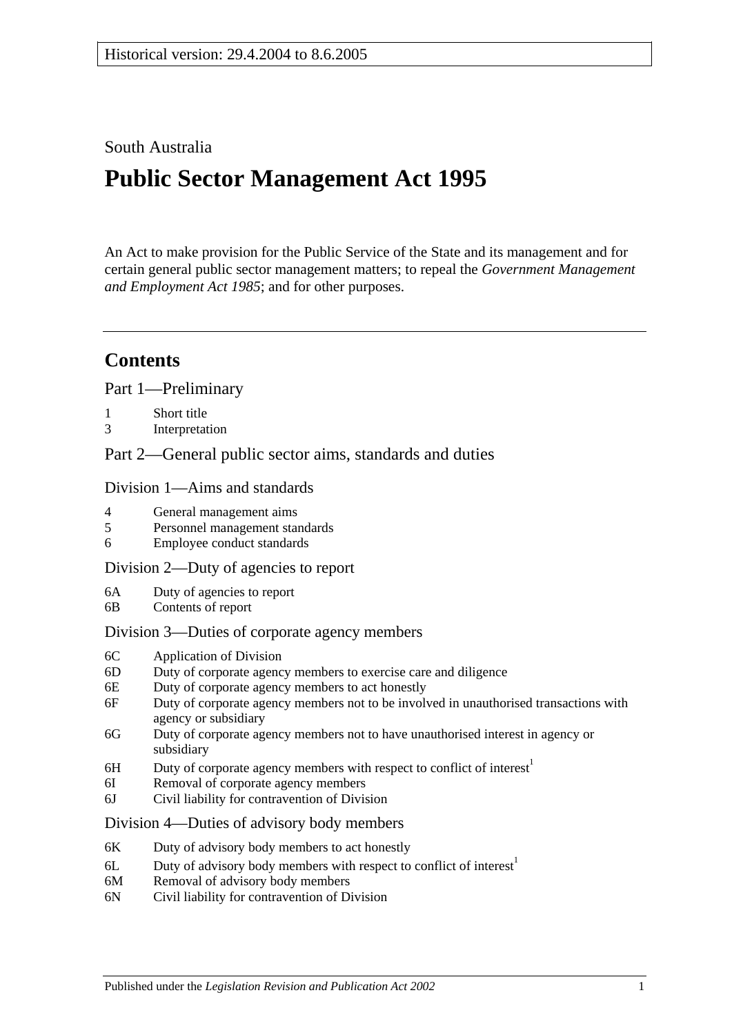## South Australia

# **Public Sector Management Act 1995**

An Act to make provision for the Public Service of the State and its management and for certain general public sector management matters; to repeal the *[Government Management](http://www.legislation.sa.gov.au/index.aspx?action=legref&type=act&legtitle=Government%20Management%20and%20Employment%20Act%201985)  [and Employment Act](http://www.legislation.sa.gov.au/index.aspx?action=legref&type=act&legtitle=Government%20Management%20and%20Employment%20Act%201985) 1985*; and for other purposes.

# **Contents**

[Part 1—Preliminary](#page-5-0)

- 1 [Short title](#page-5-1)
- 3 [Interpretation](#page-5-2)

[Part 2—General public sector aims, standards and duties](#page-9-0)

#### [Division 1—Aims and standards](#page-9-1)

- 4 [General management aims](#page-9-2)
- 5 [Personnel management standards](#page-10-0)
- 6 [Employee conduct standards](#page-10-1)

#### [Division 2—Duty of agencies to report](#page-11-0)

- 6A [Duty of agencies to report](#page-11-1)
- 6B [Contents of report](#page-11-2)

### [Division 3—Duties of corporate agency members](#page-11-3)

- 6C [Application of Division](#page-11-4)
- 6D [Duty of corporate agency members to exercise care and diligence](#page-11-5)
- 6E [Duty of corporate agency members to act honestly](#page-12-0)
- 6F [Duty of corporate agency members not to be involved in unauthorised transactions with](#page-12-1)  [agency or subsidiary](#page-12-1)
- 6G [Duty of corporate agency members not to have unauthorised interest in agency or](#page-13-0)  [subsidiary](#page-13-0)
- 6H Duty of corporate agency members with respect to conflict of interest<sup>1</sup>
- 6I [Removal of corporate agency members](#page-14-0)
- 6J [Civil liability for contravention of Division](#page-14-1)

### [Division 4—Duties of advisory body members](#page-15-0)

- 6K [Duty of advisory body members to act honestly](#page-15-1)
- $6L$  Duty of advisory body members with respect to conflict of interest<sup>1</sup>
- 6M [Removal of advisory body members](#page-16-0)
- 6N [Civil liability for contravention of Division](#page-16-1)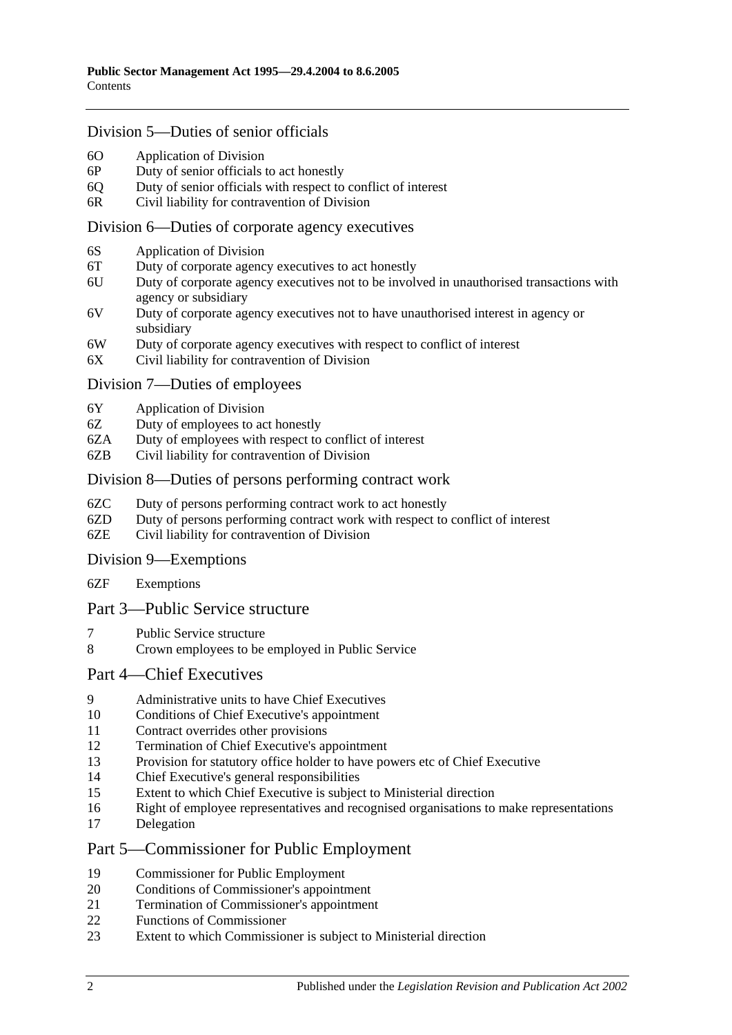### [Division 5—Duties of senior officials](#page-16-2)

- 6O [Application of Division](#page-16-3)
- 6P [Duty of senior officials to act honestly](#page-16-4)
- 6Q [Duty of senior officials with respect to conflict of interest](#page-16-5)
- 6R [Civil liability for contravention of Division](#page-17-0)

#### [Division 6—Duties of corporate agency executives](#page-18-0)

- 6S [Application of Division](#page-18-1)
- 6T [Duty of corporate agency executives to act honestly](#page-18-2)
- 6U [Duty of corporate agency executives not to be involved in unauthorised transactions with](#page-18-3)  [agency or subsidiary](#page-18-3)
- 6V [Duty of corporate agency executives not to have unauthorised interest in agency or](#page-19-0)  [subsidiary](#page-19-0)
- 6W [Duty of corporate agency executives with respect to conflict of interest](#page-19-1)
- 6X Civil liability for [contravention of Division](#page-20-0)

#### [Division 7—Duties of employees](#page-20-1)

- 6Y [Application of Division](#page-20-2)
- 6Z [Duty of employees to act honestly](#page-21-0)
- 6ZA [Duty of employees with respect to conflict of interest](#page-21-1)
- 6ZB [Civil liability for contravention of Division](#page-22-0)

#### [Division 8—Duties of persons performing contract work](#page-22-1)

- 6ZC [Duty of persons performing contract work to act honestly](#page-22-2)
- 6ZD [Duty of persons performing contract work with respect to conflict of interest](#page-22-3)
- 6ZE [Civil liability for contravention of Division](#page-23-0)

#### [Division 9—Exemptions](#page-24-0)

6ZF [Exemptions](#page-24-1)

### [Part 3—Public Service structure](#page-24-2)

- 7 [Public Service structure](#page-24-3)
- 8 [Crown employees to be employed in Public Service](#page-25-0)

### [Part 4—Chief Executives](#page-25-1)

- 9 [Administrative units to have Chief Executives](#page-25-2)
- 10 [Conditions of Chief Executive's appointment](#page-25-3)
- 11 [Contract overrides other provisions](#page-26-0)
- 12 [Termination of Chief Executive's appointment](#page-26-1)
- 13 [Provision for statutory office holder to have powers etc of Chief Executive](#page-27-0)
- 14 [Chief Executive's general responsibilities](#page-27-1)
- 15 [Extent to which Chief Executive is subject to Ministerial direction](#page-27-2)
- 16 [Right of employee representatives and recognised organisations to make representations](#page-27-3)
- 17 [Delegation](#page-28-0)

### [Part 5—Commissioner for Public Employment](#page-28-1)

- 19 [Commissioner for Public Employment](#page-28-2)
- 20 [Conditions of Commissioner's appointment](#page-28-3)
- 21 [Termination of Commissioner's appointment](#page-28-4)
- 22 [Functions of Commissioner](#page-29-0)
- 23 [Extent to which Commissioner is subject to Ministerial direction](#page-30-0)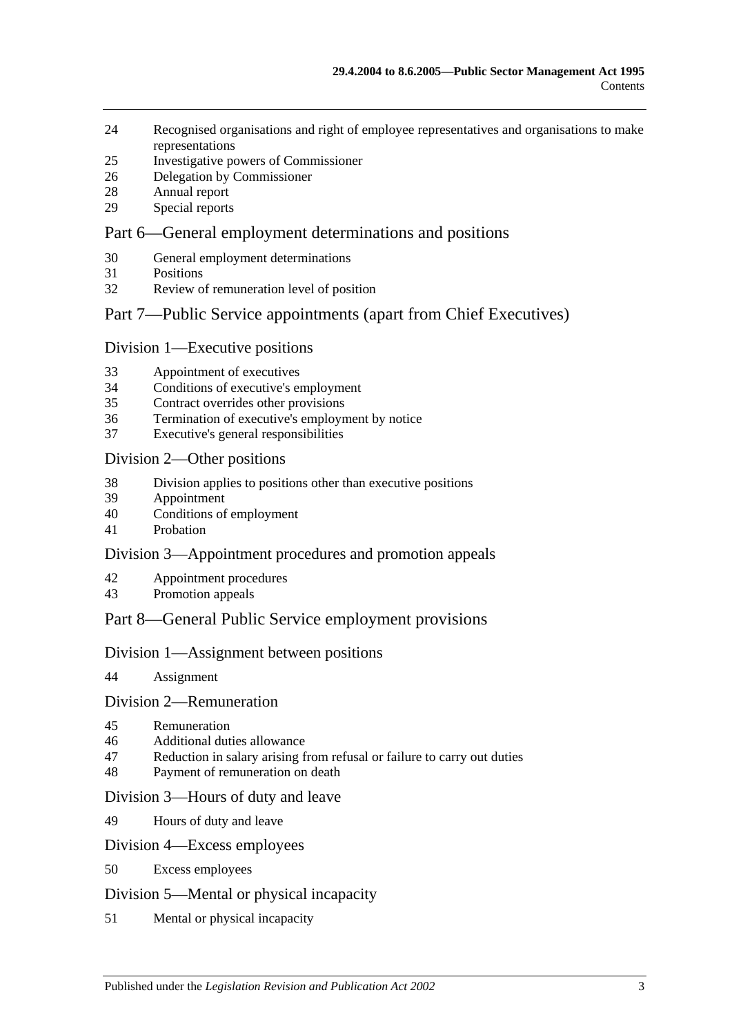- [Recognised organisations and right of employee representatives and organisations to make](#page-30-1)  [representations](#page-30-1)
- [Investigative powers of Commissioner](#page-31-0)
- [Delegation by Commissioner](#page-31-1)
- [Annual report](#page-32-0)
- [Special reports](#page-32-1)

### [Part 6—General employment determinations and positions](#page-33-0)

- [General employment determinations](#page-33-1)
- [Positions](#page-33-2)
- [Review of remuneration level of position](#page-34-0)

## [Part 7—Public Service appointments \(apart from Chief Executives\)](#page-35-0)

### [Division 1—Executive positions](#page-35-1)

- [Appointment of executives](#page-35-2)
- [Conditions of executive's employment](#page-35-3)
- [Contract overrides other provisions](#page-36-0)
- [Termination of executive's employment by notice](#page-37-0)
- [Executive's general responsibilities](#page-38-0)

#### [Division 2—Other positions](#page-38-1)

- [Division applies to positions other than executive positions](#page-38-2)
- [Appointment](#page-38-3)
- [Conditions of employment](#page-38-4)
- [Probation](#page-39-0)

### [Division 3—Appointment procedures and promotion appeals](#page-39-1)

- [Appointment procedures](#page-39-2)
- [Promotion appeals](#page-40-0)

## [Part 8—General Public Service employment provisions](#page-41-0)

### [Division 1—Assignment between positions](#page-41-1)

[Assignment](#page-41-2)

### [Division 2—Remuneration](#page-42-0)

- [Remuneration](#page-42-1)
- [Additional duties allowance](#page-42-2)
- [Reduction in salary arising from refusal or failure to carry out duties](#page-42-3)
- [Payment of remuneration on death](#page-42-4)

### [Division 3—Hours of duty and leave](#page-43-0)

[Hours of duty and leave](#page-43-1)

#### [Division 4—Excess employees](#page-43-2)

[Excess employees](#page-43-3)

### [Division 5—Mental or physical incapacity](#page-44-0)

[Mental or physical incapacity](#page-44-1)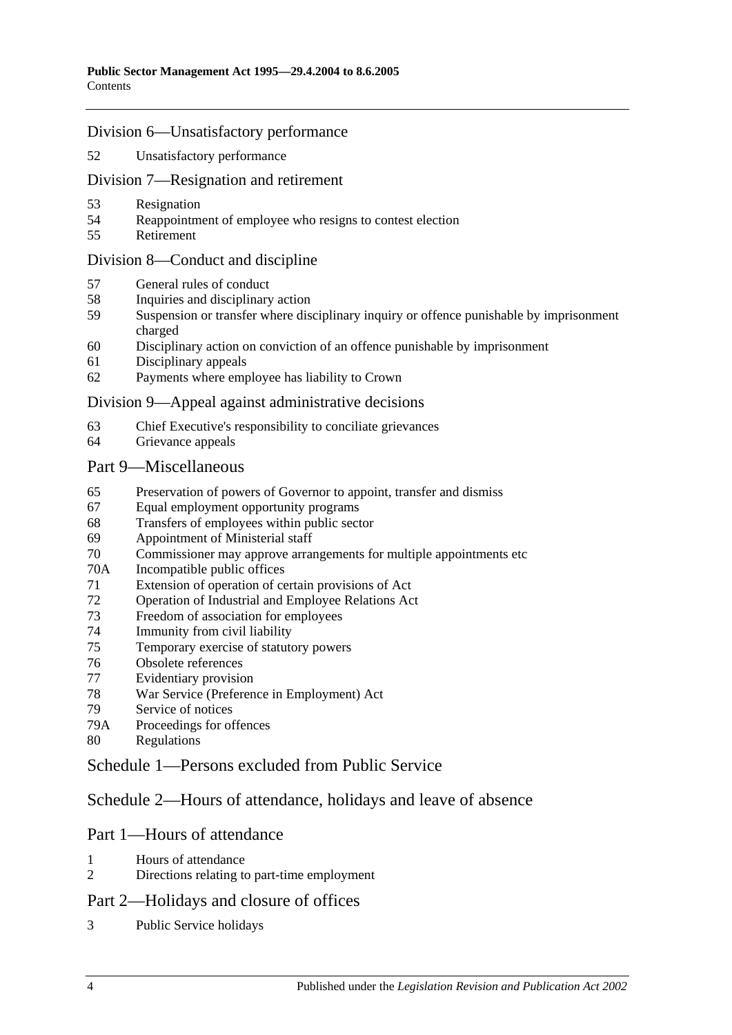### [Division 6—Unsatisfactory performance](#page-45-0)

[Unsatisfactory performance](#page-45-1)

### [Division 7—Resignation and retirement](#page-46-0)

- [Resignation](#page-46-1)
- [Reappointment of employee who resigns to contest election](#page-47-0)
- [Retirement](#page-47-1)

### [Division 8—Conduct and discipline](#page-47-2)

- [General rules of conduct](#page-47-3)
- [Inquiries and disciplinary action](#page-48-0)
- [Suspension or transfer where disciplinary inquiry or offence punishable by imprisonment](#page-49-0)  [charged](#page-49-0)
- [Disciplinary action on conviction of an offence punishable by imprisonment](#page-50-0)
- [Disciplinary appeals](#page-51-0)
- [Payments where employee has liability to Crown](#page-51-1)

### [Division 9—Appeal against administrative decisions](#page-51-2)

- [Chief Executive's responsibility to conciliate grievances](#page-51-3)
- [Grievance appeals](#page-51-4)

### [Part 9—Miscellaneous](#page-52-0)

- [Preservation of powers of Governor to appoint, transfer and dismiss](#page-52-1)
- [Equal employment opportunity programs](#page-52-2)
- [Transfers of employees within public sector](#page-53-0)
- [Appointment of Ministerial staff](#page-53-1)
- [Commissioner may approve arrangements for multiple appointments etc](#page-54-0)
- 70A [Incompatible public offices](#page-54-1)
- [Extension of operation of certain provisions of Act](#page-54-2)
- [Operation of Industrial and Employee Relations Act](#page-55-0)
- [Freedom of association for employees](#page-55-1)
- [Immunity from civil liability](#page-55-2)
- [Temporary exercise of statutory powers](#page-55-3)
- [Obsolete references](#page-56-0)
- [Evidentiary provision](#page-56-1)
- [War Service \(Preference in Employment\) Act](#page-56-2)
- [Service of notices](#page-56-3)
- 79A [Proceedings for offences](#page-57-0)
- [Regulations](#page-57-1)

## [Schedule 1—Persons excluded from Public Service](#page-57-2)

## [Schedule 2—Hours of attendance, holidays and leave of absence](#page-58-0)

## Part 1—Hours of attendance

- [Hours of attendance](#page-58-1)<br>2 Directions relating to
- [Directions relating to part-time employment](#page-58-2)

### Part 2—Holidays and closure of offices

[Public Service holidays](#page-59-0)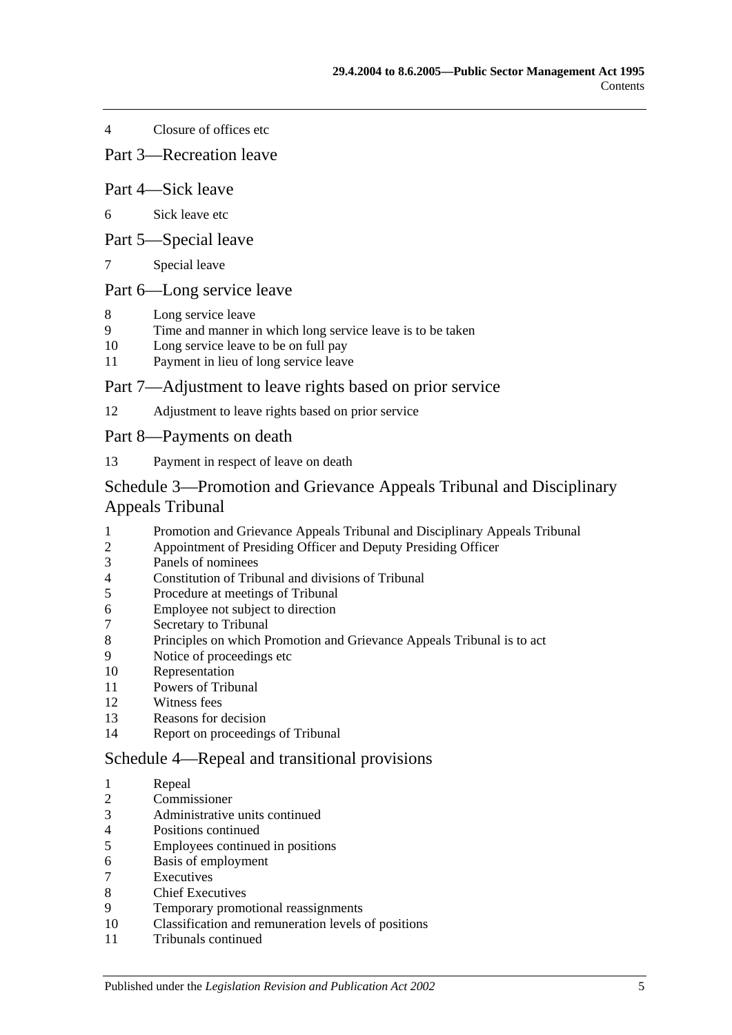[Closure of offices etc](#page-59-1)

Part 3—Recreation leave

### Part 4—Sick leave

- [Sick leave etc](#page-60-0)
- Part 5—Special leave
- [Special leave](#page-61-0)

## Part 6—Long service leave

- [Long service leave](#page-61-1)<br>9 Time and manner is
- [Time and manner in which long service leave is to be taken](#page-62-0)
- [Long service leave to be on full pay](#page-62-1)
- [Payment in lieu of long service leave](#page-62-2)

### Part 7—Adjustment to leave rights based on prior service

[Adjustment to leave rights based on prior service](#page-63-0)

Part 8—Payments on death

[Payment in respect of leave on death](#page-63-1)

## [Schedule 3—Promotion and Grievance Appeals Tribunal and Disciplinary](#page-64-0)  [Appeals Tribunal](#page-64-0)

- [Promotion and Grievance Appeals Tribunal and Disciplinary Appeals Tribunal](#page-64-1)
- [Appointment of Presiding Officer and Deputy Presiding Officer](#page-64-2)
- [Panels of nominees](#page-65-0)
- [Constitution of Tribunal and divisions of Tribunal](#page-66-0)
- [Procedure at meetings of Tribunal](#page-66-1)
- [Employee not subject to direction](#page-66-2)
- [Secretary to Tribunal](#page-66-3)
- [Principles on which Promotion and Grievance Appeals Tribunal is to act](#page-67-0)
- [Notice of proceedings etc](#page-67-1)
- [Representation](#page-67-2)
- [Powers of Tribunal](#page-67-3)
- [Witness fees](#page-68-0)
- [Reasons for decision](#page-68-1)
- [Report on proceedings of Tribunal](#page-68-2)

### [Schedule 4—Repeal and transitional provisions](#page-68-3)

- [Repeal](#page-68-4)
- [Commissioner](#page-68-5)
- [Administrative units continued](#page-69-0)
- [Positions continued](#page-69-1)
- [Employees continued in positions](#page-69-2)
- [Basis of employment](#page-69-3)
- [Executives](#page-70-0)
- [Chief Executives](#page-70-1)
- [Temporary promotional reassignments](#page-71-0)
- [Classification and remuneration levels of positions](#page-71-1)
- [Tribunals continued](#page-72-0)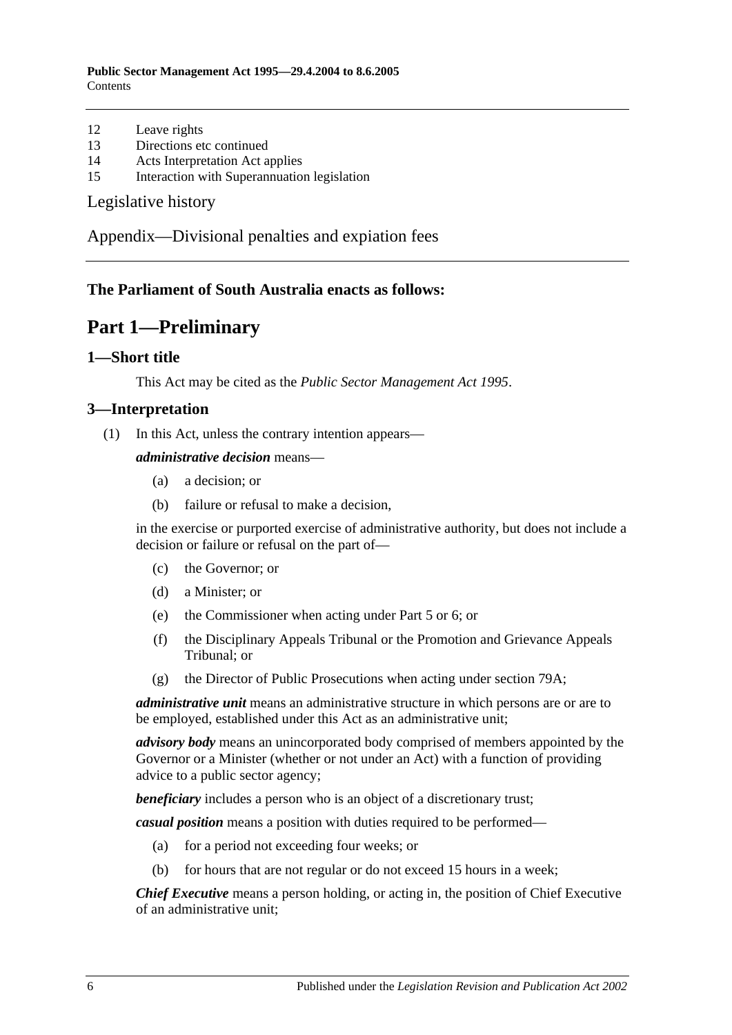**Public Sector Management Act 1995—29.4.2004 to 8.6.2005 Contents** 

- 12 [Leave rights](#page-72-1)
- 13 [Directions etc continued](#page-72-2)
- 14 [Acts Interpretation Act applies](#page-72-3)
- 15 [Interaction with Superannuation legislation](#page-72-4)

[Legislative history](#page-73-0)

[Appendix—Divisional penalties and expiation fees](#page-76-0)

## <span id="page-5-0"></span>**The Parliament of South Australia enacts as follows:**

## **Part 1—Preliminary**

### <span id="page-5-1"></span>**1—Short title**

This Act may be cited as the *Public Sector Management Act 1995*.

### <span id="page-5-2"></span>**3—Interpretation**

(1) In this Act, unless the contrary intention appears—

*administrative decision* means—

- (a) a decision; or
- (b) failure or refusal to make a decision,

in the exercise or purported exercise of administrative authority, but does not include a decision or failure or refusal on the part of—

- (c) the Governor; or
- (d) a Minister; or
- (e) the Commissioner when acting under [Part 5](#page-28-1) or [6;](#page-33-0) or
- (f) the Disciplinary Appeals Tribunal or the Promotion and Grievance Appeals Tribunal; or
- (g) the Director of Public Prosecutions when acting under [section](#page-57-0) 79A;

*administrative unit* means an administrative structure in which persons are or are to be employed, established under this Act as an administrative unit;

*advisory body* means an unincorporated body comprised of members appointed by the Governor or a Minister (whether or not under an Act) with a function of providing advice to a public sector agency;

*beneficiary* includes a person who is an object of a discretionary trust;

*casual position* means a position with duties required to be performed—

- (a) for a period not exceeding four weeks; or
- (b) for hours that are not regular or do not exceed 15 hours in a week;

*Chief Executive* means a person holding, or acting in, the position of Chief Executive of an administrative unit;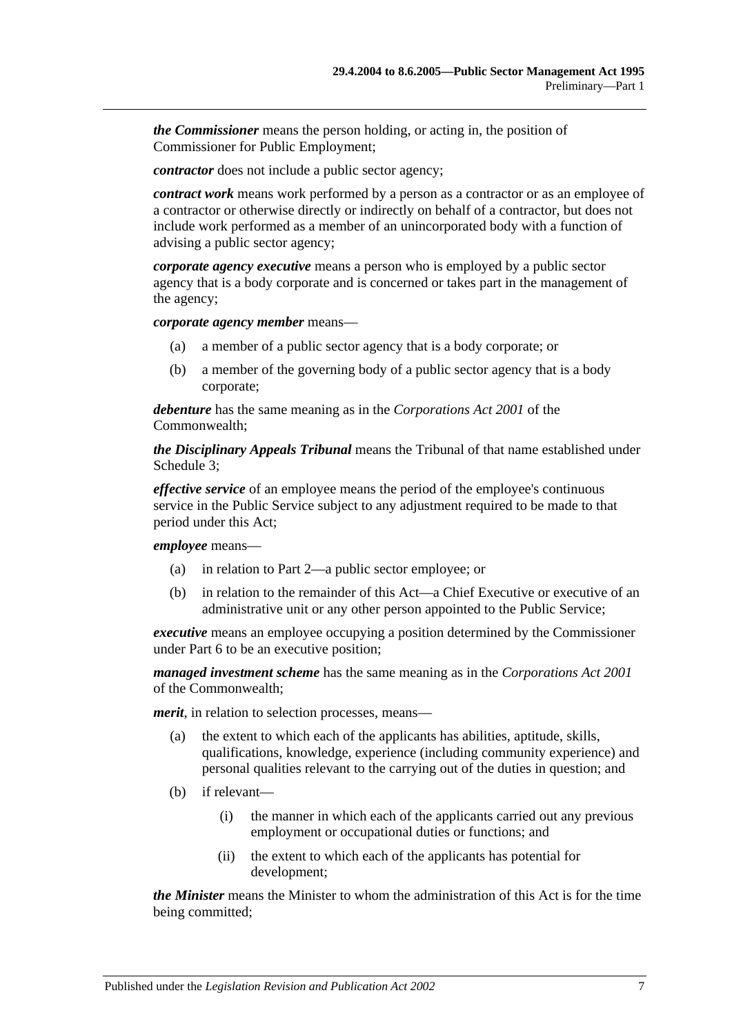*the Commissioner* means the person holding, or acting in, the position of Commissioner for Public Employment;

*contractor* does not include a public sector agency;

*contract work* means work performed by a person as a contractor or as an employee of a contractor or otherwise directly or indirectly on behalf of a contractor, but does not include work performed as a member of an unincorporated body with a function of advising a public sector agency;

*corporate agency executive* means a person who is employed by a public sector agency that is a body corporate and is concerned or takes part in the management of the agency;

*corporate agency member* means—

- (a) a member of a public sector agency that is a body corporate; or
- (b) a member of the governing body of a public sector agency that is a body corporate;

*debenture* has the same meaning as in the *Corporations Act 2001* of the Commonwealth;

*the Disciplinary Appeals Tribunal* means the Tribunal of that name established under [Schedule 3;](#page-64-0)

*effective service* of an employee means the period of the employee's continuous service in the Public Service subject to any adjustment required to be made to that period under this Act;

*employee* means—

- (a) in relation to [Part 2—](#page-9-0)a public sector employee; or
- (b) in relation to the remainder of this Act—a Chief Executive or executive of an administrative unit or any other person appointed to the Public Service;

*executive* means an employee occupying a position determined by the Commissioner under [Part 6](#page-33-0) to be an executive position;

*managed investment scheme* has the same meaning as in the *Corporations Act 2001* of the Commonwealth;

*merit*, in relation to selection processes, means—

- (a) the extent to which each of the applicants has abilities, aptitude, skills, qualifications, knowledge, experience (including community experience) and personal qualities relevant to the carrying out of the duties in question; and
- (b) if relevant—
	- (i) the manner in which each of the applicants carried out any previous employment or occupational duties or functions; and
	- (ii) the extent to which each of the applicants has potential for development;

*the Minister* means the Minister to whom the administration of this Act is for the time being committed;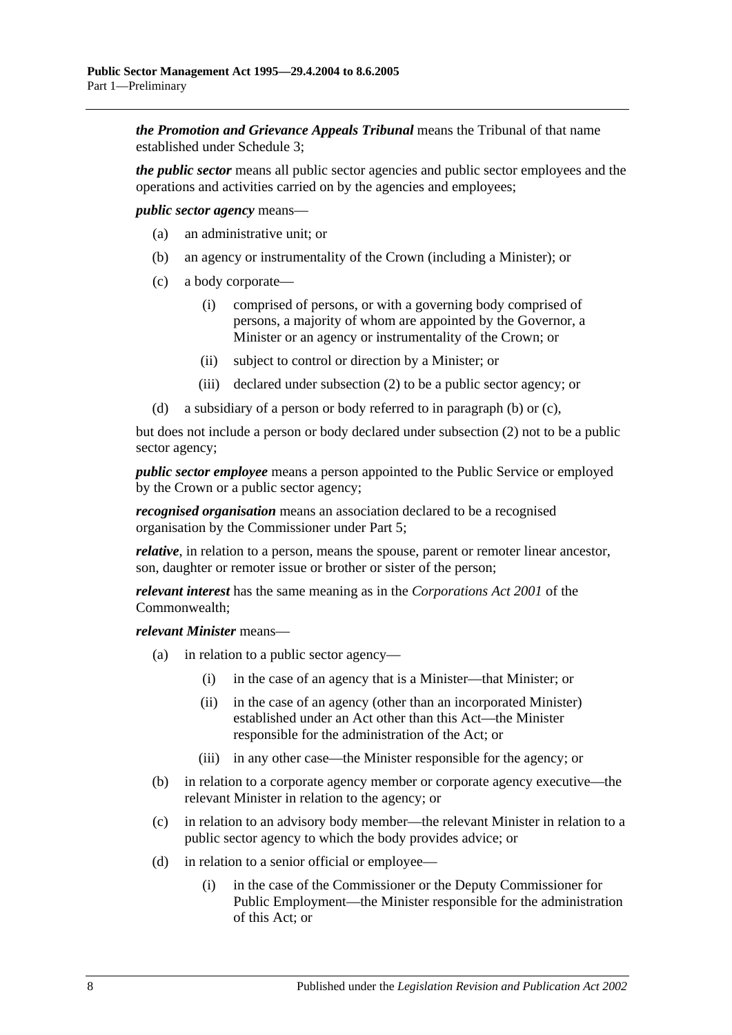*the Promotion and Grievance Appeals Tribunal* means the Tribunal of that name established under [Schedule 3;](#page-64-0)

*the public sector* means all public sector agencies and public sector employees and the operations and activities carried on by the agencies and employees;

<span id="page-7-0"></span>*public sector agency* means—

- (a) an administrative unit; or
- (b) an agency or instrumentality of the Crown (including a Minister); or
- <span id="page-7-1"></span>(c) a body corporate—
	- (i) comprised of persons, or with a governing body comprised of persons, a majority of whom are appointed by the Governor, a Minister or an agency or instrumentality of the Crown; or
	- (ii) subject to control or direction by a Minister; or
	- (iii) declared under [subsection](#page-9-3) (2) to be a public sector agency; or
- (d) a subsidiary of a person or body referred to in [paragraph](#page-7-0) (b) or [\(c\),](#page-7-1)

but does not include a person or body declared under [subsection](#page-9-3) (2) not to be a public sector agency;

*public sector employee* means a person appointed to the Public Service or employed by the Crown or a public sector agency;

*recognised organisation* means an association declared to be a recognised organisation by the Commissioner under [Part 5;](#page-28-1)

*relative*, in relation to a person, means the spouse, parent or remoter linear ancestor, son, daughter or remoter issue or brother or sister of the person;

*relevant interest* has the same meaning as in the *Corporations Act 2001* of the Commonwealth;

*relevant Minister* means—

- (a) in relation to a public sector agency—
	- (i) in the case of an agency that is a Minister—that Minister; or
	- (ii) in the case of an agency (other than an incorporated Minister) established under an Act other than this Act—the Minister responsible for the administration of the Act; or
	- (iii) in any other case—the Minister responsible for the agency; or
- (b) in relation to a corporate agency member or corporate agency executive—the relevant Minister in relation to the agency; or
- (c) in relation to an advisory body member—the relevant Minister in relation to a public sector agency to which the body provides advice; or
- (d) in relation to a senior official or employee—
	- (i) in the case of the Commissioner or the Deputy Commissioner for Public Employment—the Minister responsible for the administration of this Act; or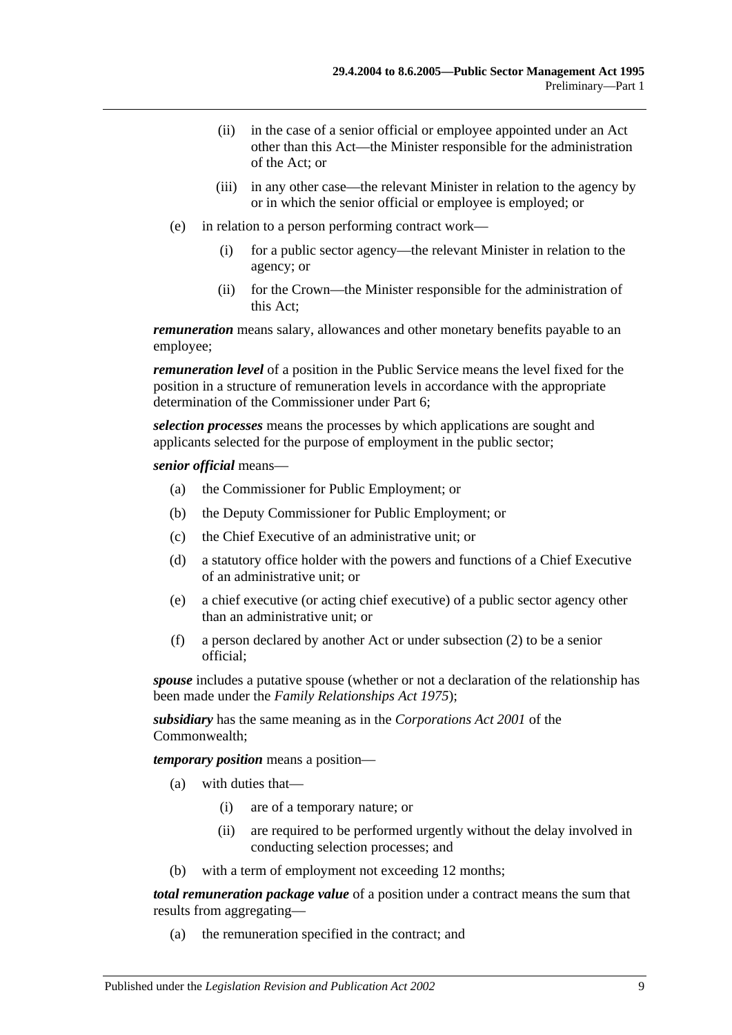- (ii) in the case of a senior official or employee appointed under an Act other than this Act—the Minister responsible for the administration of the Act; or
- (iii) in any other case—the relevant Minister in relation to the agency by or in which the senior official or employee is employed; or
- (e) in relation to a person performing contract work—
	- (i) for a public sector agency—the relevant Minister in relation to the agency; or
	- (ii) for the Crown—the Minister responsible for the administration of this Act;

*remuneration* means salary, allowances and other monetary benefits payable to an employee;

*remuneration level* of a position in the Public Service means the level fixed for the position in a structure of remuneration levels in accordance with the appropriate determination of the Commissioner under [Part 6;](#page-33-0)

*selection processes* means the processes by which applications are sought and applicants selected for the purpose of employment in the public sector;

#### *senior official* means—

- (a) the Commissioner for Public Employment; or
- (b) the Deputy Commissioner for Public Employment; or
- (c) the Chief Executive of an administrative unit; or
- (d) a statutory office holder with the powers and functions of a Chief Executive of an administrative unit; or
- (e) a chief executive (or acting chief executive) of a public sector agency other than an administrative unit; or
- (f) a person declared by another Act or under [subsection](#page-9-3) (2) to be a senior official;

*spouse* includes a putative spouse (whether or not a declaration of the relationship has been made under the *[Family Relationships Act](http://www.legislation.sa.gov.au/index.aspx?action=legref&type=act&legtitle=Family%20Relationships%20Act%201975) 1975*);

*subsidiary* has the same meaning as in the *Corporations Act 2001* of the Commonwealth;

*temporary position* means a position—

- (a) with duties that—
	- (i) are of a temporary nature; or
	- (ii) are required to be performed urgently without the delay involved in conducting selection processes; and
- (b) with a term of employment not exceeding 12 months;

*total remuneration package value* of a position under a contract means the sum that results from aggregating—

(a) the remuneration specified in the contract; and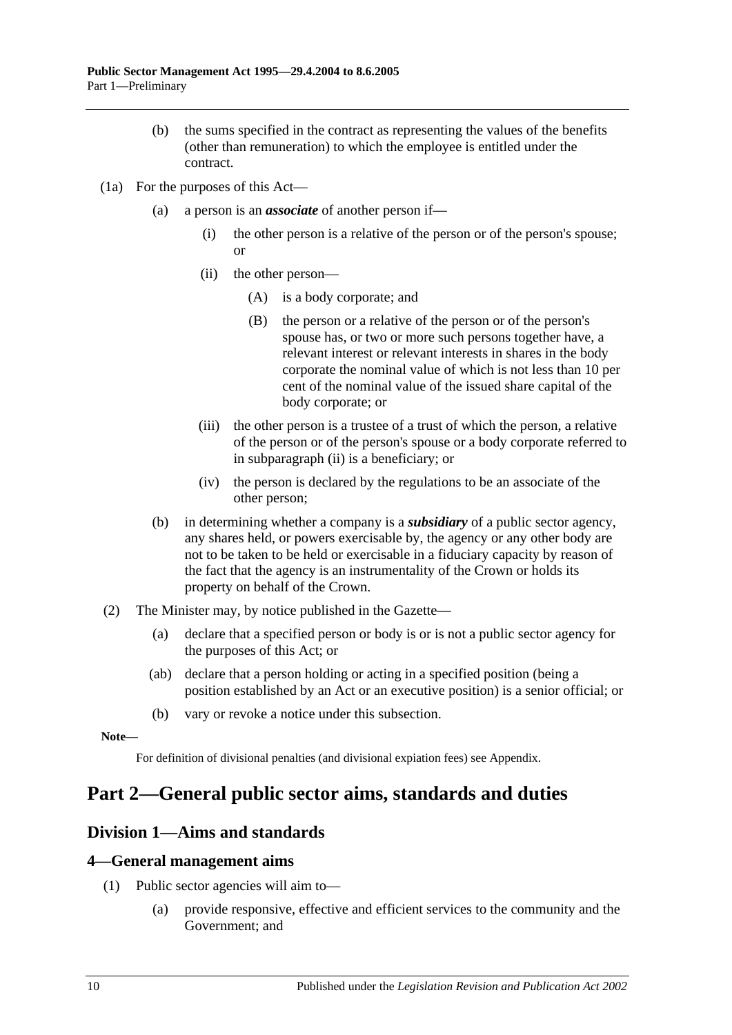- (b) the sums specified in the contract as representing the values of the benefits (other than remuneration) to which the employee is entitled under the contract.
- <span id="page-9-4"></span>(1a) For the purposes of this Act—
	- (a) a person is an *associate* of another person if—
		- (i) the other person is a relative of the person or of the person's spouse; or
		- (ii) the other person—
			- (A) is a body corporate; and
			- (B) the person or a relative of the person or of the person's spouse has, or two or more such persons together have, a relevant interest or relevant interests in shares in the body corporate the nominal value of which is not less than 10 per cent of the nominal value of the issued share capital of the body corporate; or
		- (iii) the other person is a trustee of a trust of which the person, a relative of the person or of the person's spouse or a body corporate referred to in [subparagraph](#page-9-4) (ii) is a beneficiary; or
		- (iv) the person is declared by the regulations to be an associate of the other person;
	- (b) in determining whether a company is a *subsidiary* of a public sector agency, any shares held, or powers exercisable by, the agency or any other body are not to be taken to be held or exercisable in a fiduciary capacity by reason of the fact that the agency is an instrumentality of the Crown or holds its property on behalf of the Crown.
- <span id="page-9-3"></span>(2) The Minister may, by notice published in the Gazette—
	- (a) declare that a specified person or body is or is not a public sector agency for the purposes of this Act; or
	- (ab) declare that a person holding or acting in a specified position (being a position established by an Act or an executive position) is a senior official; or
	- (b) vary or revoke a notice under this subsection.

**Note—**

For definition of divisional penalties (and divisional expiation fees) see Appendix.

# <span id="page-9-0"></span>**Part 2—General public sector aims, standards and duties**

## <span id="page-9-1"></span>**Division 1—Aims and standards**

### <span id="page-9-2"></span>**4—General management aims**

- (1) Public sector agencies will aim to—
	- (a) provide responsive, effective and efficient services to the community and the Government; and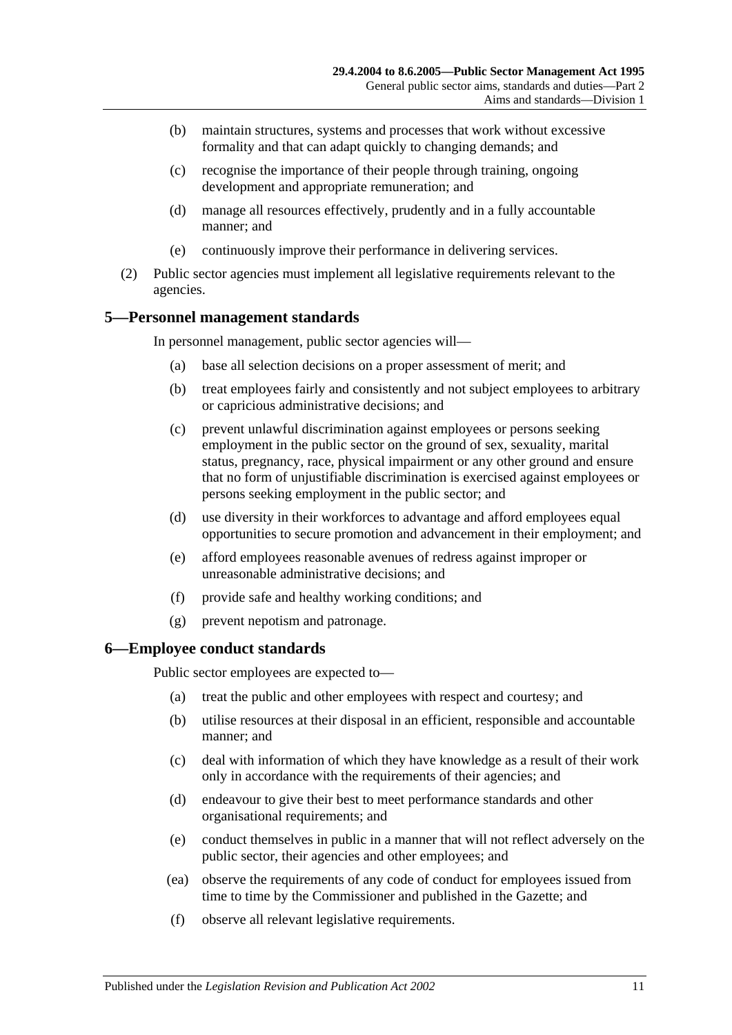- (b) maintain structures, systems and processes that work without excessive formality and that can adapt quickly to changing demands; and
- (c) recognise the importance of their people through training, ongoing development and appropriate remuneration; and
- (d) manage all resources effectively, prudently and in a fully accountable manner; and
- (e) continuously improve their performance in delivering services.
- (2) Public sector agencies must implement all legislative requirements relevant to the agencies.

## <span id="page-10-0"></span>**5—Personnel management standards**

In personnel management, public sector agencies will—

- (a) base all selection decisions on a proper assessment of merit; and
- (b) treat employees fairly and consistently and not subject employees to arbitrary or capricious administrative decisions; and
- (c) prevent unlawful discrimination against employees or persons seeking employment in the public sector on the ground of sex, sexuality, marital status, pregnancy, race, physical impairment or any other ground and ensure that no form of unjustifiable discrimination is exercised against employees or persons seeking employment in the public sector; and
- (d) use diversity in their workforces to advantage and afford employees equal opportunities to secure promotion and advancement in their employment; and
- (e) afford employees reasonable avenues of redress against improper or unreasonable administrative decisions; and
- (f) provide safe and healthy working conditions; and
- (g) prevent nepotism and patronage.

### <span id="page-10-1"></span>**6—Employee conduct standards**

Public sector employees are expected to—

- (a) treat the public and other employees with respect and courtesy; and
- (b) utilise resources at their disposal in an efficient, responsible and accountable manner; and
- (c) deal with information of which they have knowledge as a result of their work only in accordance with the requirements of their agencies; and
- (d) endeavour to give their best to meet performance standards and other organisational requirements; and
- (e) conduct themselves in public in a manner that will not reflect adversely on the public sector, their agencies and other employees; and
- (ea) observe the requirements of any code of conduct for employees issued from time to time by the Commissioner and published in the Gazette; and
- (f) observe all relevant legislative requirements.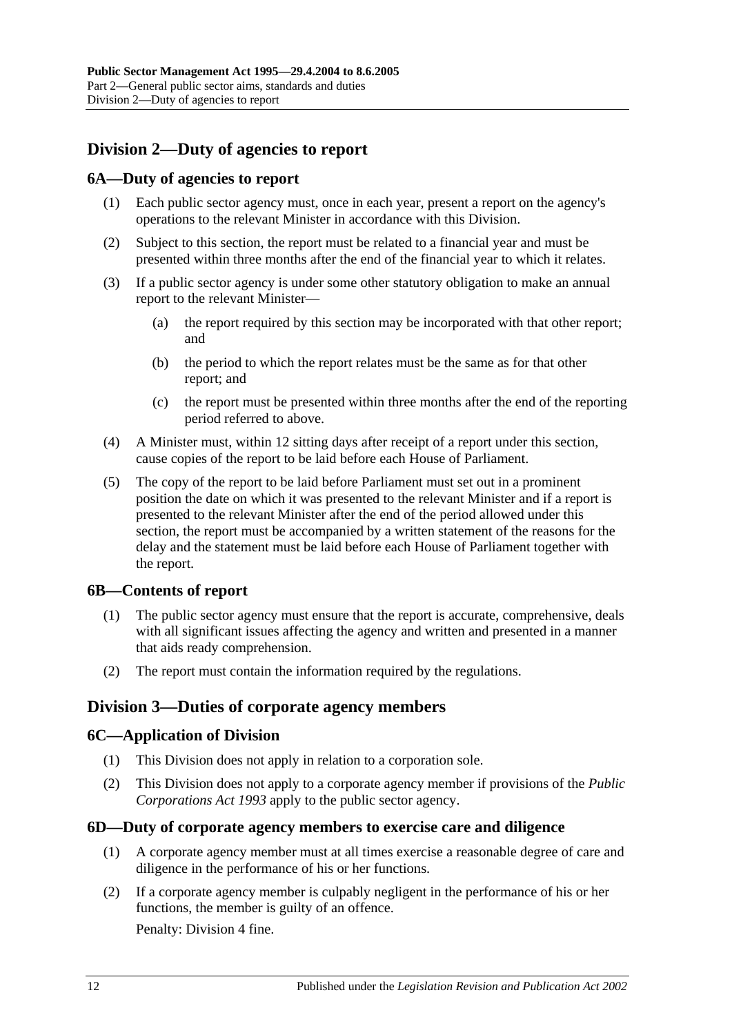## <span id="page-11-0"></span>**Division 2—Duty of agencies to report**

## <span id="page-11-1"></span>**6A—Duty of agencies to report**

- (1) Each public sector agency must, once in each year, present a report on the agency's operations to the relevant Minister in accordance with this Division.
- (2) Subject to this section, the report must be related to a financial year and must be presented within three months after the end of the financial year to which it relates.
- (3) If a public sector agency is under some other statutory obligation to make an annual report to the relevant Minister—
	- (a) the report required by this section may be incorporated with that other report; and
	- (b) the period to which the report relates must be the same as for that other report; and
	- (c) the report must be presented within three months after the end of the reporting period referred to above.
- (4) A Minister must, within 12 sitting days after receipt of a report under this section, cause copies of the report to be laid before each House of Parliament.
- (5) The copy of the report to be laid before Parliament must set out in a prominent position the date on which it was presented to the relevant Minister and if a report is presented to the relevant Minister after the end of the period allowed under this section, the report must be accompanied by a written statement of the reasons for the delay and the statement must be laid before each House of Parliament together with the report.

## <span id="page-11-2"></span>**6B—Contents of report**

- (1) The public sector agency must ensure that the report is accurate, comprehensive, deals with all significant issues affecting the agency and written and presented in a manner that aids ready comprehension.
- (2) The report must contain the information required by the regulations.

## <span id="page-11-3"></span>**Division 3—Duties of corporate agency members**

### <span id="page-11-4"></span>**6C—Application of Division**

- (1) This Division does not apply in relation to a corporation sole.
- (2) This Division does not apply to a corporate agency member if provisions of the *[Public](http://www.legislation.sa.gov.au/index.aspx?action=legref&type=act&legtitle=Public%20Corporations%20Act%201993)  [Corporations Act](http://www.legislation.sa.gov.au/index.aspx?action=legref&type=act&legtitle=Public%20Corporations%20Act%201993) 1993* apply to the public sector agency.

### <span id="page-11-5"></span>**6D—Duty of corporate agency members to exercise care and diligence**

- (1) A corporate agency member must at all times exercise a reasonable degree of care and diligence in the performance of his or her functions.
- <span id="page-11-6"></span>(2) If a corporate agency member is culpably negligent in the performance of his or her functions, the member is guilty of an offence.

Penalty: Division 4 fine.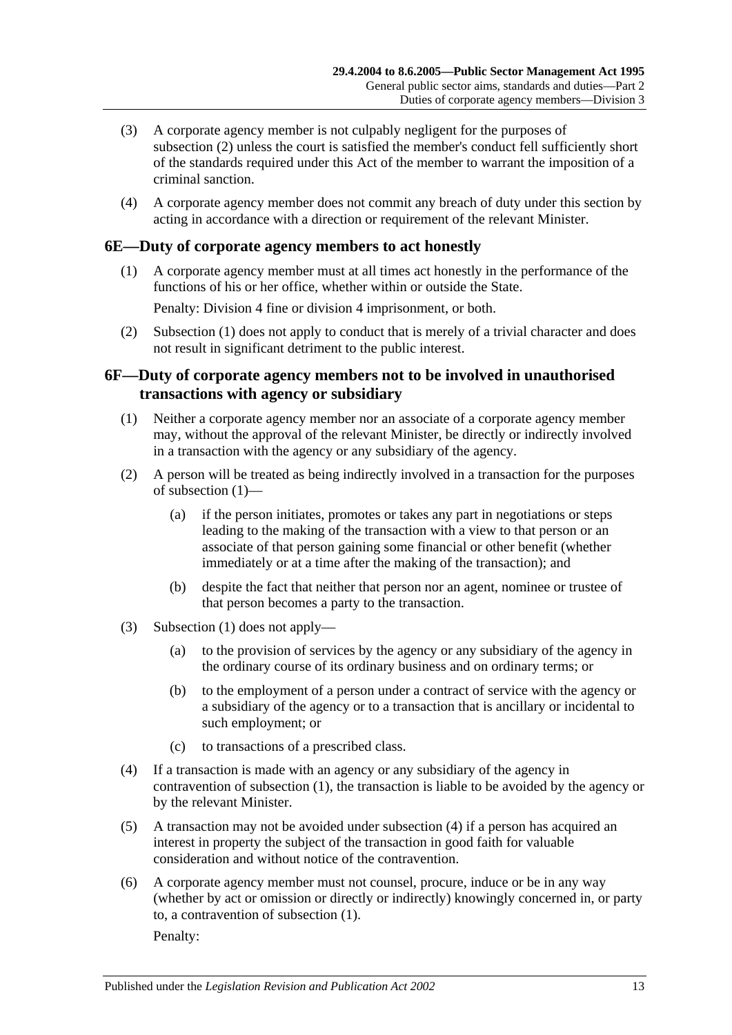- (3) A corporate agency member is not culpably negligent for the purposes of [subsection](#page-11-6) (2) unless the court is satisfied the member's conduct fell sufficiently short of the standards required under this Act of the member to warrant the imposition of a criminal sanction.
- (4) A corporate agency member does not commit any breach of duty under this section by acting in accordance with a direction or requirement of the relevant Minister.

## <span id="page-12-2"></span><span id="page-12-0"></span>**6E—Duty of corporate agency members to act honestly**

(1) A corporate agency member must at all times act honestly in the performance of the functions of his or her office, whether within or outside the State.

Penalty: Division 4 fine or division 4 imprisonment, or both.

(2) [Subsection](#page-12-2) (1) does not apply to conduct that is merely of a trivial character and does not result in significant detriment to the public interest.

## <span id="page-12-1"></span>**6F—Duty of corporate agency members not to be involved in unauthorised transactions with agency or subsidiary**

- <span id="page-12-3"></span>(1) Neither a corporate agency member nor an associate of a corporate agency member may, without the approval of the relevant Minister, be directly or indirectly involved in a transaction with the agency or any subsidiary of the agency.
- (2) A person will be treated as being indirectly involved in a transaction for the purposes of [subsection](#page-12-3) (1)—
	- (a) if the person initiates, promotes or takes any part in negotiations or steps leading to the making of the transaction with a view to that person or an associate of that person gaining some financial or other benefit (whether immediately or at a time after the making of the transaction); and
	- (b) despite the fact that neither that person nor an agent, nominee or trustee of that person becomes a party to the transaction.
- (3) [Subsection](#page-12-3) (1) does not apply—
	- (a) to the provision of services by the agency or any subsidiary of the agency in the ordinary course of its ordinary business and on ordinary terms; or
	- (b) to the employment of a person under a contract of service with the agency or a subsidiary of the agency or to a transaction that is ancillary or incidental to such employment; or
	- (c) to transactions of a prescribed class.
- <span id="page-12-4"></span>(4) If a transaction is made with an agency or any subsidiary of the agency in contravention of [subsection](#page-12-3) (1), the transaction is liable to be avoided by the agency or by the relevant Minister.
- (5) A transaction may not be avoided under [subsection](#page-12-4) (4) if a person has acquired an interest in property the subject of the transaction in good faith for valuable consideration and without notice of the contravention.
- (6) A corporate agency member must not counsel, procure, induce or be in any way (whether by act or omission or directly or indirectly) knowingly concerned in, or party to, a contravention of [subsection](#page-12-3) (1).

Penalty: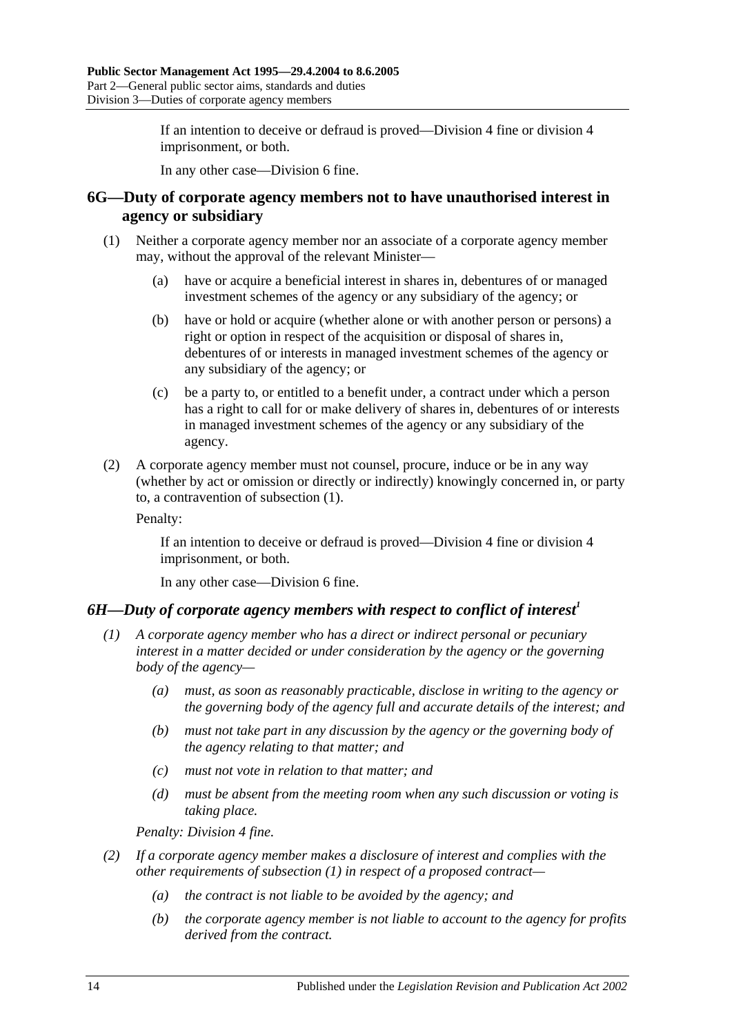If an intention to deceive or defraud is proved—Division 4 fine or division 4 imprisonment, or both.

In any other case—Division 6 fine.

### <span id="page-13-0"></span>**6G—Duty of corporate agency members not to have unauthorised interest in agency or subsidiary**

- <span id="page-13-2"></span>(1) Neither a corporate agency member nor an associate of a corporate agency member may, without the approval of the relevant Minister—
	- (a) have or acquire a beneficial interest in shares in, debentures of or managed investment schemes of the agency or any subsidiary of the agency; or
	- (b) have or hold or acquire (whether alone or with another person or persons) a right or option in respect of the acquisition or disposal of shares in, debentures of or interests in managed investment schemes of the agency or any subsidiary of the agency; or
	- (c) be a party to, or entitled to a benefit under, a contract under which a person has a right to call for or make delivery of shares in, debentures of or interests in managed investment schemes of the agency or any subsidiary of the agency.
- (2) A corporate agency member must not counsel, procure, induce or be in any way (whether by act or omission or directly or indirectly) knowingly concerned in, or party to, a contravention of [subsection](#page-13-2) (1).

Penalty:

If an intention to deceive or defraud is proved—Division 4 fine or division 4 imprisonment, or both.

In any other case—Division 6 fine.

## <span id="page-13-3"></span><span id="page-13-1"></span>*6H—Duty of corporate agency members with respect to conflict of interest<sup>1</sup>*

- *(1) A corporate agency member who has a direct or indirect personal or pecuniary interest in a matter decided or under consideration by the agency or the governing body of the agency—*
	- *(a) must, as soon as reasonably practicable, disclose in writing to the agency or the governing body of the agency full and accurate details of the interest; and*
	- *(b) must not take part in any discussion by the agency or the governing body of the agency relating to that matter; and*
	- *(c) must not vote in relation to that matter; and*
	- *(d) must be absent from the meeting room when any such discussion or voting is taking place.*

*Penalty: Division 4 fine.*

- *(2) If a corporate agency member makes a disclosure of interest and complies with the other requirements of [subsection](#page-13-3) (1) in respect of a proposed contract—*
	- *(a) the contract is not liable to be avoided by the agency; and*
	- *(b) the corporate agency member is not liable to account to the agency for profits derived from the contract.*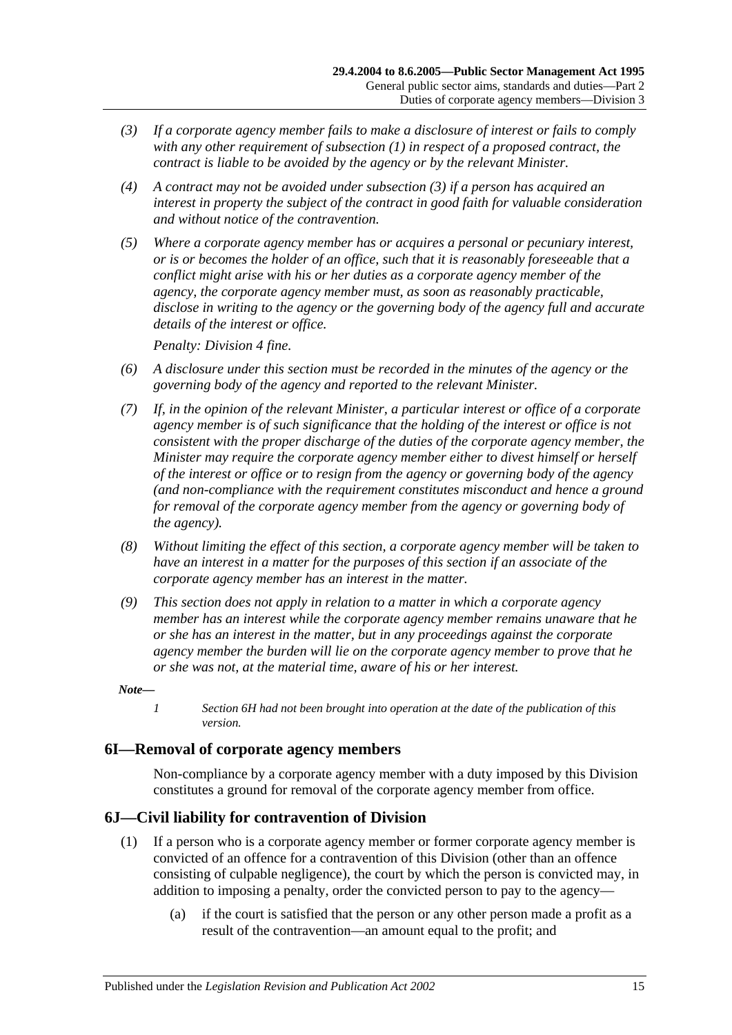- <span id="page-14-2"></span>*(3) If a corporate agency member fails to make a disclosure of interest or fails to comply with any other requirement of [subsection](#page-13-3) (1) in respect of a proposed contract, the contract is liable to be avoided by the agency or by the relevant Minister.*
- *(4) A contract may not be avoided under [subsection](#page-14-2) (3) if a person has acquired an interest in property the subject of the contract in good faith for valuable consideration and without notice of the contravention.*
- *(5) Where a corporate agency member has or acquires a personal or pecuniary interest, or is or becomes the holder of an office, such that it is reasonably foreseeable that a conflict might arise with his or her duties as a corporate agency member of the agency, the corporate agency member must, as soon as reasonably practicable, disclose in writing to the agency or the governing body of the agency full and accurate details of the interest or office.*

*Penalty: Division 4 fine.*

- *(6) A disclosure under this section must be recorded in the minutes of the agency or the governing body of the agency and reported to the relevant Minister.*
- *(7) If, in the opinion of the relevant Minister, a particular interest or office of a corporate agency member is of such significance that the holding of the interest or office is not consistent with the proper discharge of the duties of the corporate agency member, the Minister may require the corporate agency member either to divest himself or herself of the interest or office or to resign from the agency or governing body of the agency (and non-compliance with the requirement constitutes misconduct and hence a ground for removal of the corporate agency member from the agency or governing body of the agency).*
- *(8) Without limiting the effect of this section, a corporate agency member will be taken to have an interest in a matter for the purposes of this section if an associate of the corporate agency member has an interest in the matter.*
- *(9) This section does not apply in relation to a matter in which a corporate agency member has an interest while the corporate agency member remains unaware that he or she has an interest in the matter, but in any proceedings against the corporate agency member the burden will lie on the corporate agency member to prove that he or she was not, at the material time, aware of his or her interest.*

#### *Note—*

*1 Section 6H had not been brought into operation at the date of the publication of this version.*

### <span id="page-14-0"></span>**6I—Removal of corporate agency members**

Non-compliance by a corporate agency member with a duty imposed by this Division constitutes a ground for removal of the corporate agency member from office.

### <span id="page-14-1"></span>**6J—Civil liability for contravention of Division**

- (1) If a person who is a corporate agency member or former corporate agency member is convicted of an offence for a contravention of this Division (other than an offence consisting of culpable negligence), the court by which the person is convicted may, in addition to imposing a penalty, order the convicted person to pay to the agency—
	- (a) if the court is satisfied that the person or any other person made a profit as a result of the contravention—an amount equal to the profit; and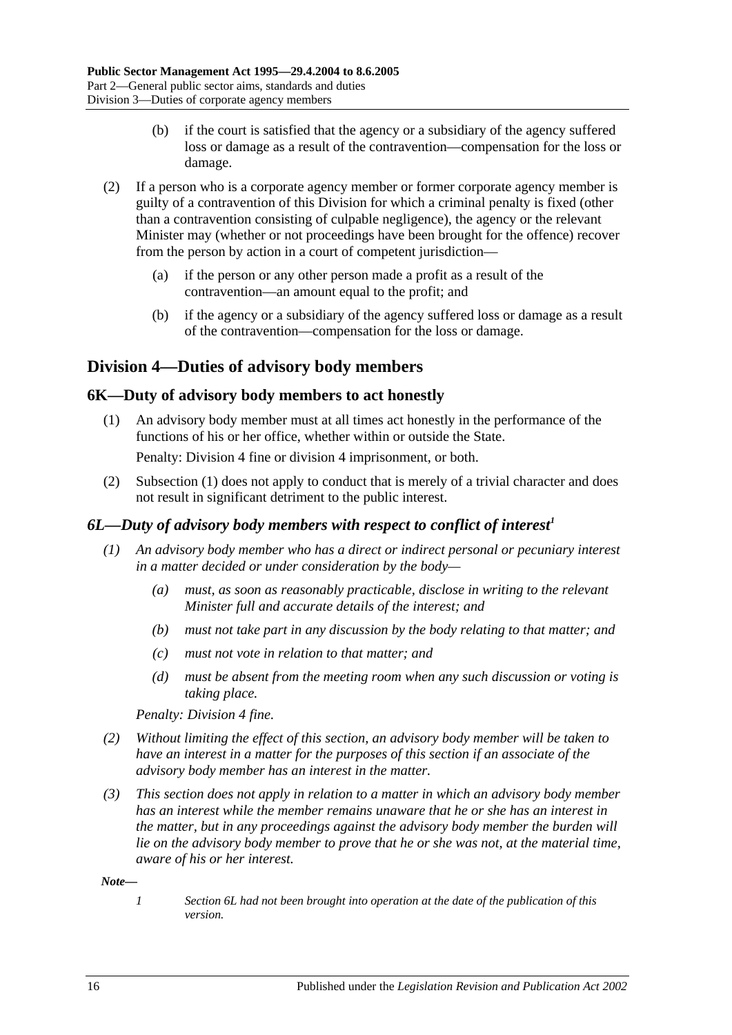- (b) if the court is satisfied that the agency or a subsidiary of the agency suffered loss or damage as a result of the contravention—compensation for the loss or damage.
- (2) If a person who is a corporate agency member or former corporate agency member is guilty of a contravention of this Division for which a criminal penalty is fixed (other than a contravention consisting of culpable negligence), the agency or the relevant Minister may (whether or not proceedings have been brought for the offence) recover from the person by action in a court of competent jurisdiction—
	- (a) if the person or any other person made a profit as a result of the contravention—an amount equal to the profit; and
	- (b) if the agency or a subsidiary of the agency suffered loss or damage as a result of the contravention—compensation for the loss or damage.

## <span id="page-15-0"></span>**Division 4—Duties of advisory body members**

## <span id="page-15-3"></span><span id="page-15-1"></span>**6K—Duty of advisory body members to act honestly**

(1) An advisory body member must at all times act honestly in the performance of the functions of his or her office, whether within or outside the State.

Penalty: Division 4 fine or division 4 imprisonment, or both.

(2) [Subsection](#page-15-3) (1) does not apply to conduct that is merely of a trivial character and does not result in significant detriment to the public interest.

## <span id="page-15-2"></span>*6L—Duty of advisory body members with respect to conflict of interest<sup>1</sup>*

- *(1) An advisory body member who has a direct or indirect personal or pecuniary interest in a matter decided or under consideration by the body—*
	- *(a) must, as soon as reasonably practicable, disclose in writing to the relevant Minister full and accurate details of the interest; and*
	- *(b) must not take part in any discussion by the body relating to that matter; and*
	- *(c) must not vote in relation to that matter; and*
	- *(d) must be absent from the meeting room when any such discussion or voting is taking place.*

*Penalty: Division 4 fine.*

- *(2) Without limiting the effect of this section, an advisory body member will be taken to have an interest in a matter for the purposes of this section if an associate of the advisory body member has an interest in the matter.*
- *(3) This section does not apply in relation to a matter in which an advisory body member has an interest while the member remains unaware that he or she has an interest in the matter, but in any proceedings against the advisory body member the burden will lie on the advisory body member to prove that he or she was not, at the material time, aware of his or her interest.*

*Note—*

*1 Section 6L had not been brought into operation at the date of the publication of this version.*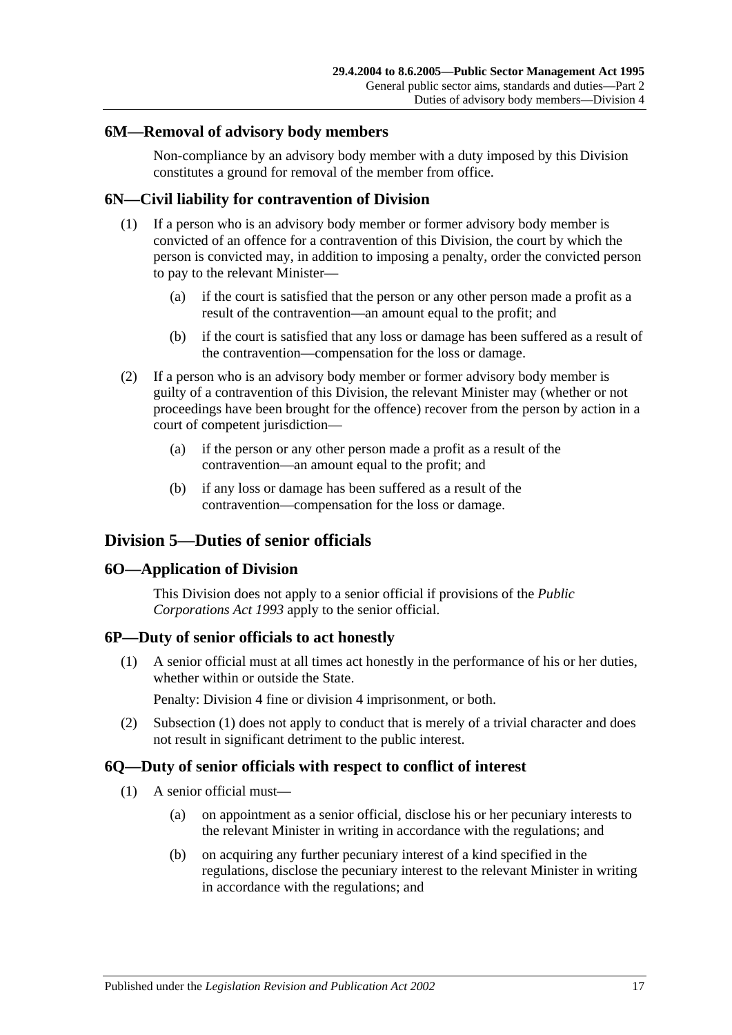### <span id="page-16-0"></span>**6M—Removal of advisory body members**

Non-compliance by an advisory body member with a duty imposed by this Division constitutes a ground for removal of the member from office.

## <span id="page-16-1"></span>**6N—Civil liability for contravention of Division**

- (1) If a person who is an advisory body member or former advisory body member is convicted of an offence for a contravention of this Division, the court by which the person is convicted may, in addition to imposing a penalty, order the convicted person to pay to the relevant Minister—
	- (a) if the court is satisfied that the person or any other person made a profit as a result of the contravention—an amount equal to the profit; and
	- (b) if the court is satisfied that any loss or damage has been suffered as a result of the contravention—compensation for the loss or damage.
- (2) If a person who is an advisory body member or former advisory body member is guilty of a contravention of this Division, the relevant Minister may (whether or not proceedings have been brought for the offence) recover from the person by action in a court of competent jurisdiction—
	- (a) if the person or any other person made a profit as a result of the contravention—an amount equal to the profit; and
	- (b) if any loss or damage has been suffered as a result of the contravention—compensation for the loss or damage.

## <span id="page-16-2"></span>**Division 5—Duties of senior officials**

### <span id="page-16-3"></span>**6O—Application of Division**

This Division does not apply to a senior official if provisions of the *[Public](http://www.legislation.sa.gov.au/index.aspx?action=legref&type=act&legtitle=Public%20Corporations%20Act%201993)  [Corporations Act](http://www.legislation.sa.gov.au/index.aspx?action=legref&type=act&legtitle=Public%20Corporations%20Act%201993) 1993* apply to the senior official.

## <span id="page-16-6"></span><span id="page-16-4"></span>**6P—Duty of senior officials to act honestly**

(1) A senior official must at all times act honestly in the performance of his or her duties, whether within or outside the State.

Penalty: Division 4 fine or division 4 imprisonment, or both.

(2) [Subsection](#page-16-6) (1) does not apply to conduct that is merely of a trivial character and does not result in significant detriment to the public interest.

## <span id="page-16-9"></span><span id="page-16-5"></span>**6Q—Duty of senior officials with respect to conflict of interest**

- <span id="page-16-8"></span><span id="page-16-7"></span>(1) A senior official must—
	- (a) on appointment as a senior official, disclose his or her pecuniary interests to the relevant Minister in writing in accordance with the regulations; and
	- (b) on acquiring any further pecuniary interest of a kind specified in the regulations, disclose the pecuniary interest to the relevant Minister in writing in accordance with the regulations; and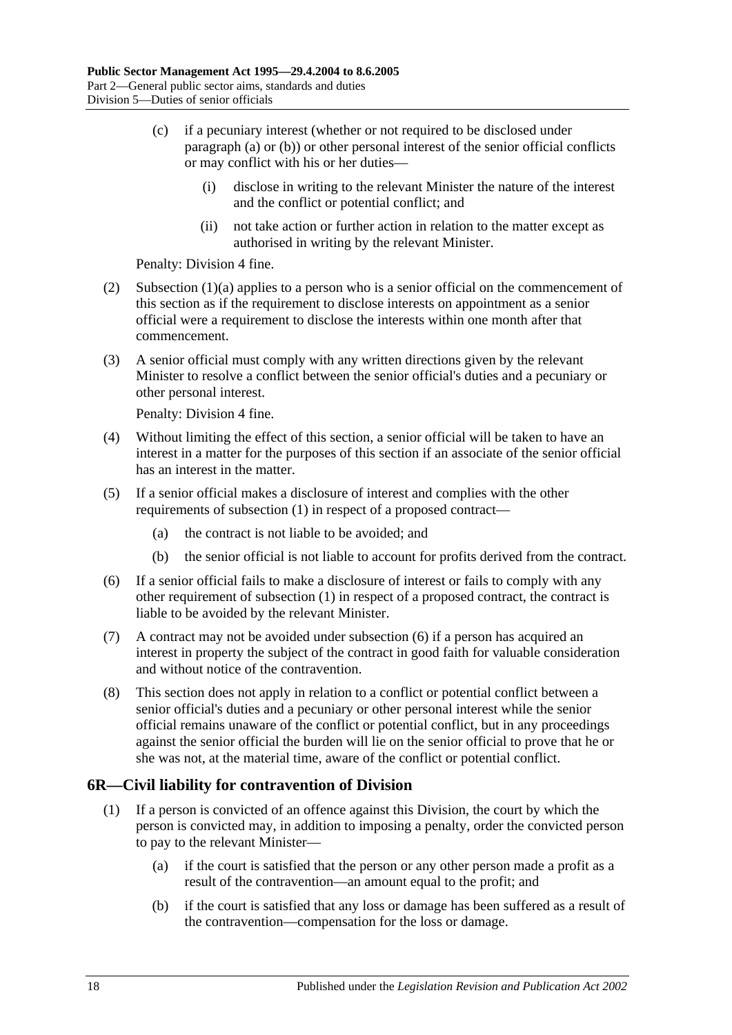- (c) if a pecuniary interest (whether or not required to be disclosed under [paragraph](#page-16-7) (a) or [\(b\)\)](#page-16-8) or other personal interest of the senior official conflicts or may conflict with his or her duties—
	- (i) disclose in writing to the relevant Minister the nature of the interest and the conflict or potential conflict; and
	- (ii) not take action or further action in relation to the matter except as authorised in writing by the relevant Minister.

Penalty: Division 4 fine.

- (2) [Subsection](#page-16-7) (1)(a) applies to a person who is a senior official on the commencement of this section as if the requirement to disclose interests on appointment as a senior official were a requirement to disclose the interests within one month after that commencement.
- (3) A senior official must comply with any written directions given by the relevant Minister to resolve a conflict between the senior official's duties and a pecuniary or other personal interest.

Penalty: Division 4 fine.

- (4) Without limiting the effect of this section, a senior official will be taken to have an interest in a matter for the purposes of this section if an associate of the senior official has an interest in the matter.
- (5) If a senior official makes a disclosure of interest and complies with the other requirements of [subsection](#page-16-9) (1) in respect of a proposed contract—
	- (a) the contract is not liable to be avoided; and
	- (b) the senior official is not liable to account for profits derived from the contract.
- <span id="page-17-1"></span>(6) If a senior official fails to make a disclosure of interest or fails to comply with any other requirement of [subsection](#page-16-9) (1) in respect of a proposed contract, the contract is liable to be avoided by the relevant Minister.
- (7) A contract may not be avoided under [subsection](#page-17-1) (6) if a person has acquired an interest in property the subject of the contract in good faith for valuable consideration and without notice of the contravention.
- (8) This section does not apply in relation to a conflict or potential conflict between a senior official's duties and a pecuniary or other personal interest while the senior official remains unaware of the conflict or potential conflict, but in any proceedings against the senior official the burden will lie on the senior official to prove that he or she was not, at the material time, aware of the conflict or potential conflict.

## <span id="page-17-0"></span>**6R—Civil liability for contravention of Division**

- (1) If a person is convicted of an offence against this Division, the court by which the person is convicted may, in addition to imposing a penalty, order the convicted person to pay to the relevant Minister—
	- (a) if the court is satisfied that the person or any other person made a profit as a result of the contravention—an amount equal to the profit; and
	- (b) if the court is satisfied that any loss or damage has been suffered as a result of the contravention—compensation for the loss or damage.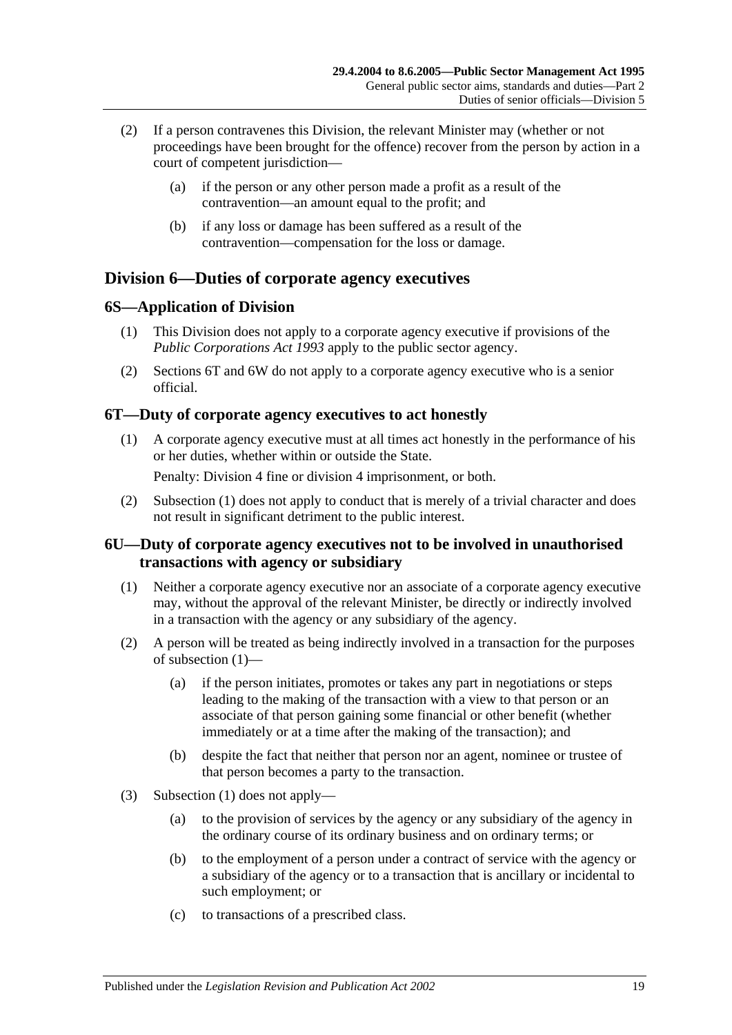- (2) If a person contravenes this Division, the relevant Minister may (whether or not proceedings have been brought for the offence) recover from the person by action in a court of competent jurisdiction—
	- (a) if the person or any other person made a profit as a result of the contravention—an amount equal to the profit; and
	- (b) if any loss or damage has been suffered as a result of the contravention—compensation for the loss or damage.

## <span id="page-18-0"></span>**Division 6—Duties of corporate agency executives**

## <span id="page-18-1"></span>**6S—Application of Division**

- (1) This Division does not apply to a corporate agency executive if provisions of the *[Public Corporations Act](http://www.legislation.sa.gov.au/index.aspx?action=legref&type=act&legtitle=Public%20Corporations%20Act%201993) 1993* apply to the public sector agency.
- (2) [Sections](#page-18-2) 6T and [6W](#page-19-1) do not apply to a corporate agency executive who is a senior official.

## <span id="page-18-4"></span><span id="page-18-2"></span>**6T—Duty of corporate agency executives to act honestly**

- (1) A corporate agency executive must at all times act honestly in the performance of his or her duties, whether within or outside the State. Penalty: Division 4 fine or division 4 imprisonment, or both.
- (2) [Subsection](#page-18-4) (1) does not apply to conduct that is merely of a trivial character and does not result in significant detriment to the public interest.

## <span id="page-18-3"></span>**6U—Duty of corporate agency executives not to be involved in unauthorised transactions with agency or subsidiary**

- <span id="page-18-5"></span>(1) Neither a corporate agency executive nor an associate of a corporate agency executive may, without the approval of the relevant Minister, be directly or indirectly involved in a transaction with the agency or any subsidiary of the agency.
- (2) A person will be treated as being indirectly involved in a transaction for the purposes of [subsection](#page-18-5) (1)—
	- (a) if the person initiates, promotes or takes any part in negotiations or steps leading to the making of the transaction with a view to that person or an associate of that person gaining some financial or other benefit (whether immediately or at a time after the making of the transaction); and
	- (b) despite the fact that neither that person nor an agent, nominee or trustee of that person becomes a party to the transaction.
- (3) [Subsection](#page-18-5) (1) does not apply—
	- (a) to the provision of services by the agency or any subsidiary of the agency in the ordinary course of its ordinary business and on ordinary terms; or
	- (b) to the employment of a person under a contract of service with the agency or a subsidiary of the agency or to a transaction that is ancillary or incidental to such employment; or
	- (c) to transactions of a prescribed class.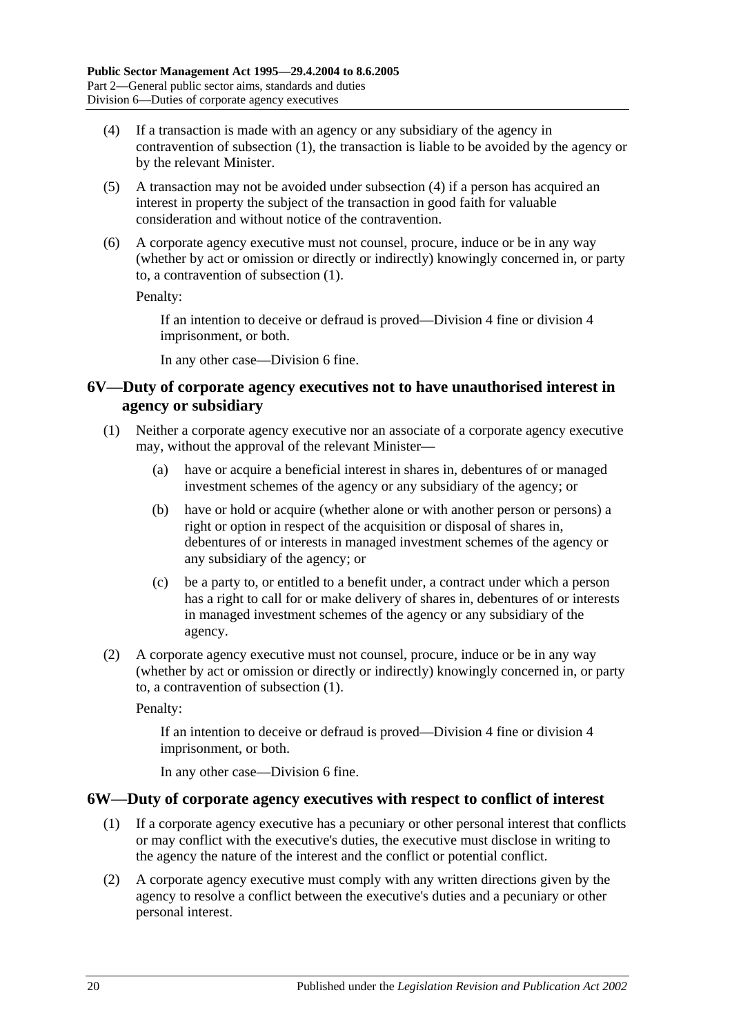- <span id="page-19-2"></span>(4) If a transaction is made with an agency or any subsidiary of the agency in contravention of [subsection](#page-18-5) (1), the transaction is liable to be avoided by the agency or by the relevant Minister.
- (5) A transaction may not be avoided under [subsection](#page-19-2) (4) if a person has acquired an interest in property the subject of the transaction in good faith for valuable consideration and without notice of the contravention.
- (6) A corporate agency executive must not counsel, procure, induce or be in any way (whether by act or omission or directly or indirectly) knowingly concerned in, or party to, a contravention of [subsection](#page-18-5) (1).

Penalty:

If an intention to deceive or defraud is proved—Division 4 fine or division 4 imprisonment, or both.

In any other case—Division 6 fine.

### <span id="page-19-0"></span>**6V—Duty of corporate agency executives not to have unauthorised interest in agency or subsidiary**

- <span id="page-19-3"></span>(1) Neither a corporate agency executive nor an associate of a corporate agency executive may, without the approval of the relevant Minister—
	- (a) have or acquire a beneficial interest in shares in, debentures of or managed investment schemes of the agency or any subsidiary of the agency; or
	- (b) have or hold or acquire (whether alone or with another person or persons) a right or option in respect of the acquisition or disposal of shares in, debentures of or interests in managed investment schemes of the agency or any subsidiary of the agency; or
	- (c) be a party to, or entitled to a benefit under, a contract under which a person has a right to call for or make delivery of shares in, debentures of or interests in managed investment schemes of the agency or any subsidiary of the agency.
- (2) A corporate agency executive must not counsel, procure, induce or be in any way (whether by act or omission or directly or indirectly) knowingly concerned in, or party to, a contravention of [subsection](#page-19-3) (1).

Penalty:

If an intention to deceive or defraud is proved—Division 4 fine or division 4 imprisonment, or both.

In any other case—Division 6 fine.

### <span id="page-19-4"></span><span id="page-19-1"></span>**6W—Duty of corporate agency executives with respect to conflict of interest**

- (1) If a corporate agency executive has a pecuniary or other personal interest that conflicts or may conflict with the executive's duties, the executive must disclose in writing to the agency the nature of the interest and the conflict or potential conflict.
- (2) A corporate agency executive must comply with any written directions given by the agency to resolve a conflict between the executive's duties and a pecuniary or other personal interest.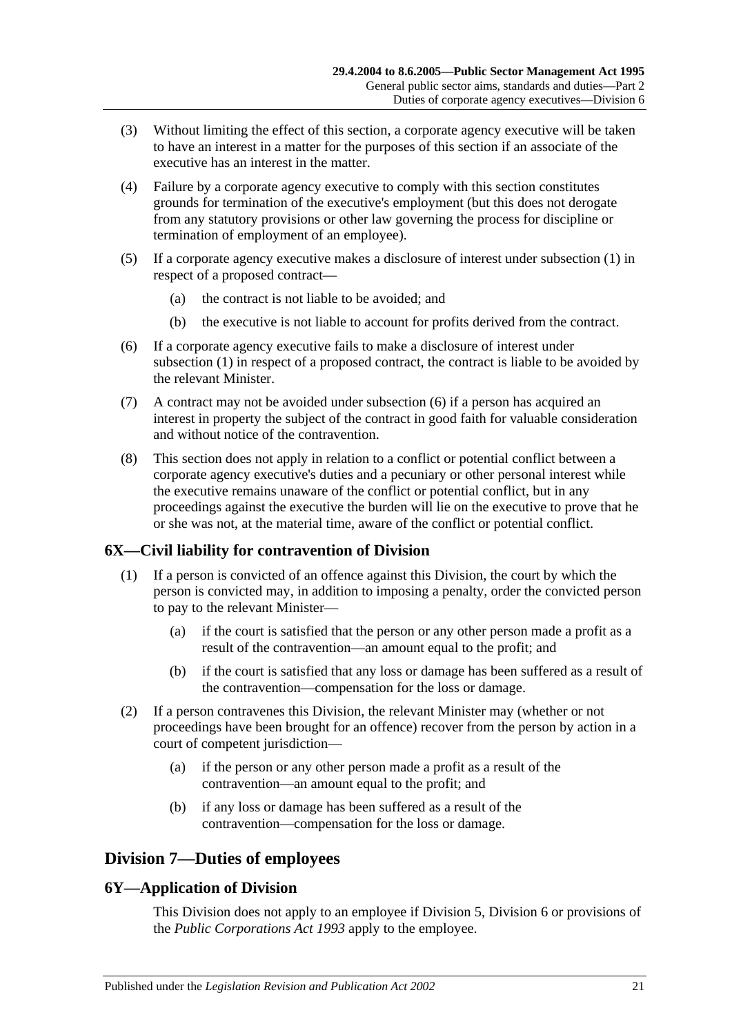- (3) Without limiting the effect of this section, a corporate agency executive will be taken to have an interest in a matter for the purposes of this section if an associate of the executive has an interest in the matter.
- (4) Failure by a corporate agency executive to comply with this section constitutes grounds for termination of the executive's employment (but this does not derogate from any statutory provisions or other law governing the process for discipline or termination of employment of an employee).
- (5) If a corporate agency executive makes a disclosure of interest under [subsection](#page-19-4) (1) in respect of a proposed contract—
	- (a) the contract is not liable to be avoided; and
	- (b) the executive is not liable to account for profits derived from the contract.
- <span id="page-20-3"></span>(6) If a corporate agency executive fails to make a disclosure of interest under [subsection](#page-19-4) (1) in respect of a proposed contract, the contract is liable to be avoided by the relevant Minister.
- (7) A contract may not be avoided under [subsection](#page-20-3) (6) if a person has acquired an interest in property the subject of the contract in good faith for valuable consideration and without notice of the contravention.
- (8) This section does not apply in relation to a conflict or potential conflict between a corporate agency executive's duties and a pecuniary or other personal interest while the executive remains unaware of the conflict or potential conflict, but in any proceedings against the executive the burden will lie on the executive to prove that he or she was not, at the material time, aware of the conflict or potential conflict.

## <span id="page-20-0"></span>**6X—Civil liability for contravention of Division**

- (1) If a person is convicted of an offence against this Division, the court by which the person is convicted may, in addition to imposing a penalty, order the convicted person to pay to the relevant Minister—
	- (a) if the court is satisfied that the person or any other person made a profit as a result of the contravention—an amount equal to the profit; and
	- (b) if the court is satisfied that any loss or damage has been suffered as a result of the contravention—compensation for the loss or damage.
- (2) If a person contravenes this Division, the relevant Minister may (whether or not proceedings have been brought for an offence) recover from the person by action in a court of competent jurisdiction—
	- (a) if the person or any other person made a profit as a result of the contravention—an amount equal to the profit; and
	- (b) if any loss or damage has been suffered as a result of the contravention—compensation for the loss or damage.

## <span id="page-20-1"></span>**Division 7—Duties of employees**

## <span id="page-20-2"></span>**6Y—Application of Division**

This Division does not apply to an employee if [Division 5,](#page-16-2) [Division 6](#page-18-0) or provisions of the *[Public Corporations Act](http://www.legislation.sa.gov.au/index.aspx?action=legref&type=act&legtitle=Public%20Corporations%20Act%201993) 1993* apply to the employee.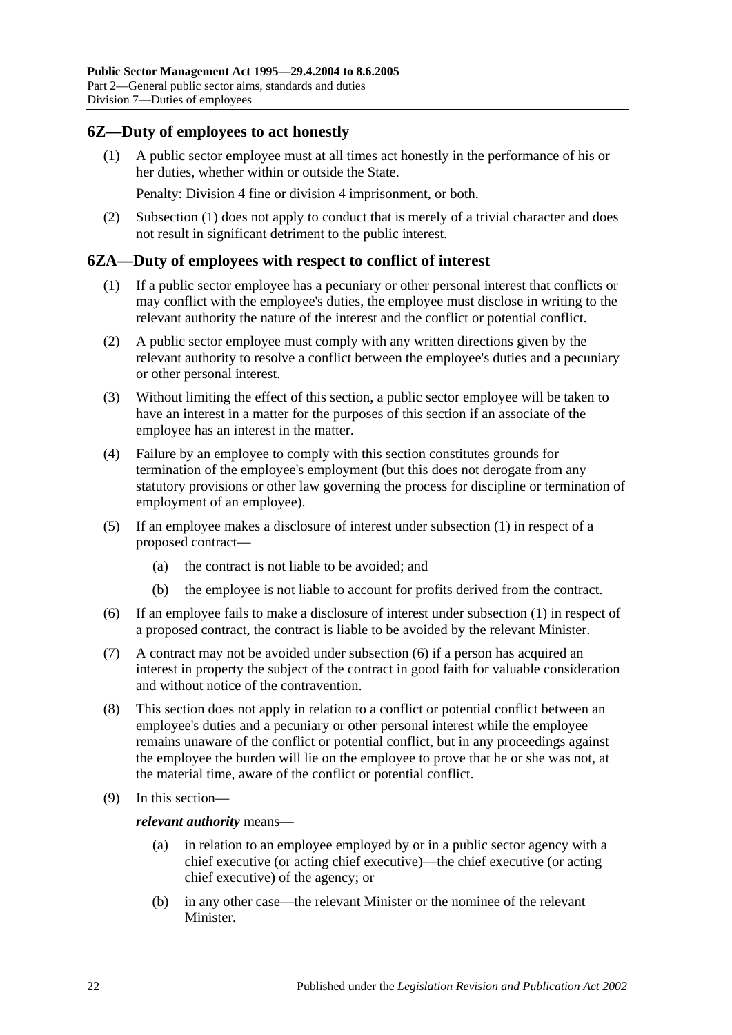## <span id="page-21-2"></span><span id="page-21-0"></span>**6Z—Duty of employees to act honestly**

(1) A public sector employee must at all times act honestly in the performance of his or her duties, whether within or outside the State.

Penalty: Division 4 fine or division 4 imprisonment, or both.

(2) [Subsection](#page-21-2) (1) does not apply to conduct that is merely of a trivial character and does not result in significant detriment to the public interest.

### <span id="page-21-3"></span><span id="page-21-1"></span>**6ZA—Duty of employees with respect to conflict of interest**

- (1) If a public sector employee has a pecuniary or other personal interest that conflicts or may conflict with the employee's duties, the employee must disclose in writing to the relevant authority the nature of the interest and the conflict or potential conflict.
- (2) A public sector employee must comply with any written directions given by the relevant authority to resolve a conflict between the employee's duties and a pecuniary or other personal interest.
- (3) Without limiting the effect of this section, a public sector employee will be taken to have an interest in a matter for the purposes of this section if an associate of the employee has an interest in the matter.
- (4) Failure by an employee to comply with this section constitutes grounds for termination of the employee's employment (but this does not derogate from any statutory provisions or other law governing the process for discipline or termination of employment of an employee).
- (5) If an employee makes a disclosure of interest under [subsection](#page-21-3) (1) in respect of a proposed contract—
	- (a) the contract is not liable to be avoided; and
	- (b) the employee is not liable to account for profits derived from the contract.
- <span id="page-21-4"></span>(6) If an employee fails to make a disclosure of interest under [subsection](#page-21-3) (1) in respect of a proposed contract, the contract is liable to be avoided by the relevant Minister.
- (7) A contract may not be avoided under [subsection](#page-21-4) (6) if a person has acquired an interest in property the subject of the contract in good faith for valuable consideration and without notice of the contravention.
- (8) This section does not apply in relation to a conflict or potential conflict between an employee's duties and a pecuniary or other personal interest while the employee remains unaware of the conflict or potential conflict, but in any proceedings against the employee the burden will lie on the employee to prove that he or she was not, at the material time, aware of the conflict or potential conflict.
- (9) In this section—

*relevant authority* means—

- (a) in relation to an employee employed by or in a public sector agency with a chief executive (or acting chief executive)—the chief executive (or acting chief executive) of the agency; or
- (b) in any other case—the relevant Minister or the nominee of the relevant Minister.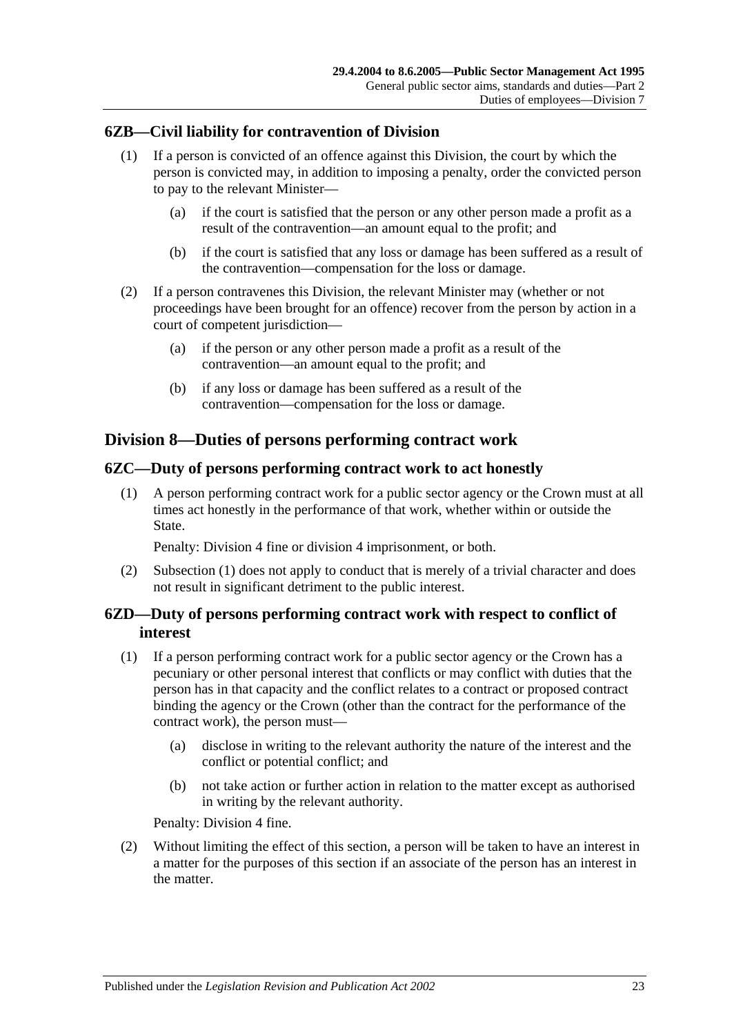## <span id="page-22-0"></span>**6ZB—Civil liability for contravention of Division**

- (1) If a person is convicted of an offence against this Division, the court by which the person is convicted may, in addition to imposing a penalty, order the convicted person to pay to the relevant Minister—
	- (a) if the court is satisfied that the person or any other person made a profit as a result of the contravention—an amount equal to the profit; and
	- (b) if the court is satisfied that any loss or damage has been suffered as a result of the contravention—compensation for the loss or damage.
- (2) If a person contravenes this Division, the relevant Minister may (whether or not proceedings have been brought for an offence) recover from the person by action in a court of competent jurisdiction—
	- (a) if the person or any other person made a profit as a result of the contravention—an amount equal to the profit; and
	- (b) if any loss or damage has been suffered as a result of the contravention—compensation for the loss or damage.

## <span id="page-22-1"></span>**Division 8—Duties of persons performing contract work**

## <span id="page-22-4"></span><span id="page-22-2"></span>**6ZC—Duty of persons performing contract work to act honestly**

(1) A person performing contract work for a public sector agency or the Crown must at all times act honestly in the performance of that work, whether within or outside the State.

Penalty: Division 4 fine or division 4 imprisonment, or both.

(2) [Subsection](#page-22-4) (1) does not apply to conduct that is merely of a trivial character and does not result in significant detriment to the public interest.

## <span id="page-22-3"></span>**6ZD—Duty of persons performing contract work with respect to conflict of interest**

- <span id="page-22-5"></span>(1) If a person performing contract work for a public sector agency or the Crown has a pecuniary or other personal interest that conflicts or may conflict with duties that the person has in that capacity and the conflict relates to a contract or proposed contract binding the agency or the Crown (other than the contract for the performance of the contract work), the person must—
	- (a) disclose in writing to the relevant authority the nature of the interest and the conflict or potential conflict; and
	- (b) not take action or further action in relation to the matter except as authorised in writing by the relevant authority.

Penalty: Division 4 fine.

(2) Without limiting the effect of this section, a person will be taken to have an interest in a matter for the purposes of this section if an associate of the person has an interest in the matter.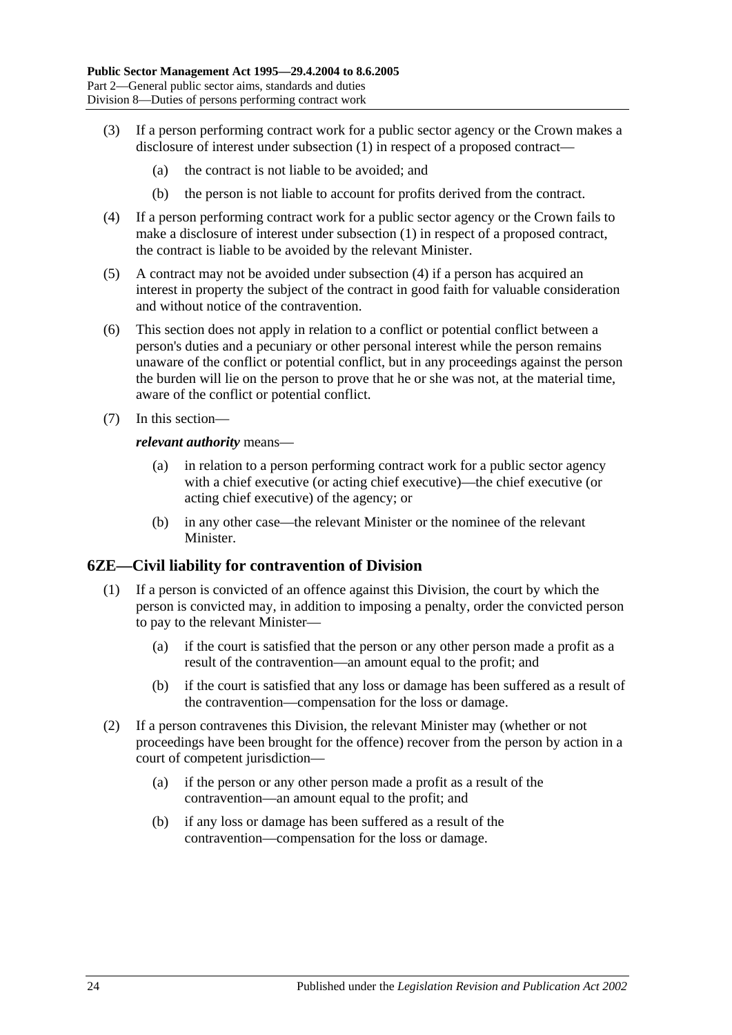- (3) If a person performing contract work for a public sector agency or the Crown makes a disclosure of interest under [subsection](#page-22-5) (1) in respect of a proposed contract—
	- (a) the contract is not liable to be avoided; and
	- (b) the person is not liable to account for profits derived from the contract.
- <span id="page-23-1"></span>(4) If a person performing contract work for a public sector agency or the Crown fails to make a disclosure of interest under [subsection](#page-22-5) (1) in respect of a proposed contract, the contract is liable to be avoided by the relevant Minister.
- (5) A contract may not be avoided under [subsection](#page-23-1) (4) if a person has acquired an interest in property the subject of the contract in good faith for valuable consideration and without notice of the contravention.
- (6) This section does not apply in relation to a conflict or potential conflict between a person's duties and a pecuniary or other personal interest while the person remains unaware of the conflict or potential conflict, but in any proceedings against the person the burden will lie on the person to prove that he or she was not, at the material time, aware of the conflict or potential conflict.
- (7) In this section—

#### *relevant authority* means—

- (a) in relation to a person performing contract work for a public sector agency with a chief executive (or acting chief executive)—the chief executive (or acting chief executive) of the agency; or
- (b) in any other case—the relevant Minister or the nominee of the relevant Minister.

### <span id="page-23-0"></span>**6ZE—Civil liability for contravention of Division**

- (1) If a person is convicted of an offence against this Division, the court by which the person is convicted may, in addition to imposing a penalty, order the convicted person to pay to the relevant Minister—
	- (a) if the court is satisfied that the person or any other person made a profit as a result of the contravention—an amount equal to the profit; and
	- (b) if the court is satisfied that any loss or damage has been suffered as a result of the contravention—compensation for the loss or damage.
- (2) If a person contravenes this Division, the relevant Minister may (whether or not proceedings have been brought for the offence) recover from the person by action in a court of competent jurisdiction—
	- (a) if the person or any other person made a profit as a result of the contravention—an amount equal to the profit; and
	- (b) if any loss or damage has been suffered as a result of the contravention—compensation for the loss or damage.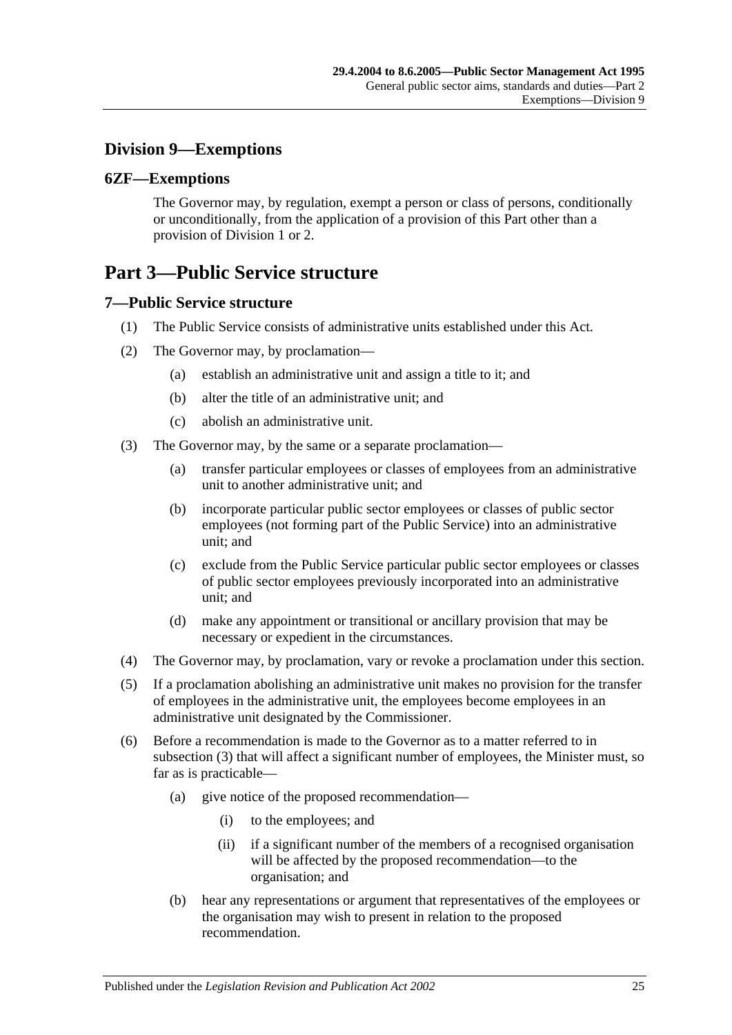## <span id="page-24-0"></span>**Division 9—Exemptions**

## <span id="page-24-1"></span>**6ZF—Exemptions**

The Governor may, by regulation, exempt a person or class of persons, conditionally or unconditionally, from the application of a provision of this Part other than a provision of [Division 1](#page-9-1) or [2.](#page-11-0)

# <span id="page-24-2"></span>**Part 3—Public Service structure**

## <span id="page-24-3"></span>**7—Public Service structure**

- (1) The Public Service consists of administrative units established under this Act.
- (2) The Governor may, by proclamation—
	- (a) establish an administrative unit and assign a title to it; and
	- (b) alter the title of an administrative unit; and
	- (c) abolish an administrative unit.
- <span id="page-24-4"></span>(3) The Governor may, by the same or a separate proclamation—
	- (a) transfer particular employees or classes of employees from an administrative unit to another administrative unit; and
	- (b) incorporate particular public sector employees or classes of public sector employees (not forming part of the Public Service) into an administrative unit; and
	- (c) exclude from the Public Service particular public sector employees or classes of public sector employees previously incorporated into an administrative unit; and
	- (d) make any appointment or transitional or ancillary provision that may be necessary or expedient in the circumstances.
- (4) The Governor may, by proclamation, vary or revoke a proclamation under this section.
- (5) If a proclamation abolishing an administrative unit makes no provision for the transfer of employees in the administrative unit, the employees become employees in an administrative unit designated by the Commissioner.
- (6) Before a recommendation is made to the Governor as to a matter referred to in [subsection](#page-24-4) (3) that will affect a significant number of employees, the Minister must, so far as is practicable—
	- (a) give notice of the proposed recommendation—
		- (i) to the employees; and
		- (ii) if a significant number of the members of a recognised organisation will be affected by the proposed recommendation—to the organisation; and
	- (b) hear any representations or argument that representatives of the employees or the organisation may wish to present in relation to the proposed recommendation.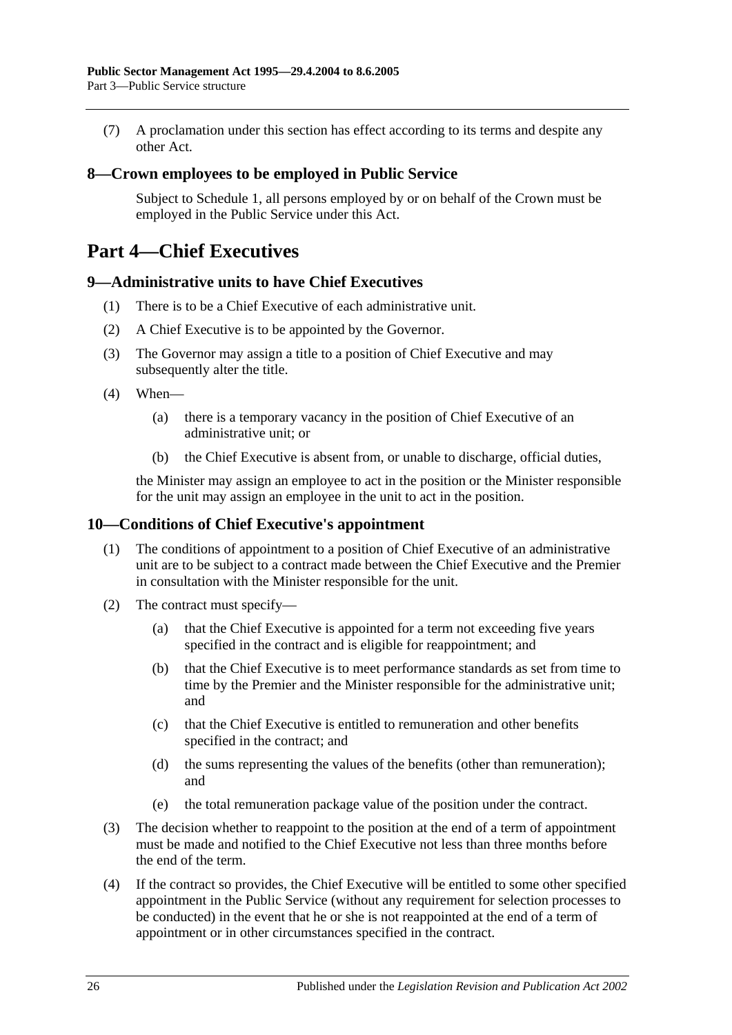(7) A proclamation under this section has effect according to its terms and despite any other Act.

### <span id="page-25-0"></span>**8—Crown employees to be employed in Public Service**

Subject to [Schedule 1,](#page-57-2) all persons employed by or on behalf of the Crown must be employed in the Public Service under this Act.

# <span id="page-25-1"></span>**Part 4—Chief Executives**

### <span id="page-25-2"></span>**9—Administrative units to have Chief Executives**

- (1) There is to be a Chief Executive of each administrative unit.
- (2) A Chief Executive is to be appointed by the Governor.
- (3) The Governor may assign a title to a position of Chief Executive and may subsequently alter the title.
- (4) When—
	- (a) there is a temporary vacancy in the position of Chief Executive of an administrative unit; or
	- (b) the Chief Executive is absent from, or unable to discharge, official duties,

the Minister may assign an employee to act in the position or the Minister responsible for the unit may assign an employee in the unit to act in the position.

### <span id="page-25-3"></span>**10—Conditions of Chief Executive's appointment**

- (1) The conditions of appointment to a position of Chief Executive of an administrative unit are to be subject to a contract made between the Chief Executive and the Premier in consultation with the Minister responsible for the unit.
- (2) The contract must specify—
	- (a) that the Chief Executive is appointed for a term not exceeding five years specified in the contract and is eligible for reappointment; and
	- (b) that the Chief Executive is to meet performance standards as set from time to time by the Premier and the Minister responsible for the administrative unit; and
	- (c) that the Chief Executive is entitled to remuneration and other benefits specified in the contract; and
	- (d) the sums representing the values of the benefits (other than remuneration); and
	- (e) the total remuneration package value of the position under the contract.
- (3) The decision whether to reappoint to the position at the end of a term of appointment must be made and notified to the Chief Executive not less than three months before the end of the term.
- (4) If the contract so provides, the Chief Executive will be entitled to some other specified appointment in the Public Service (without any requirement for selection processes to be conducted) in the event that he or she is not reappointed at the end of a term of appointment or in other circumstances specified in the contract.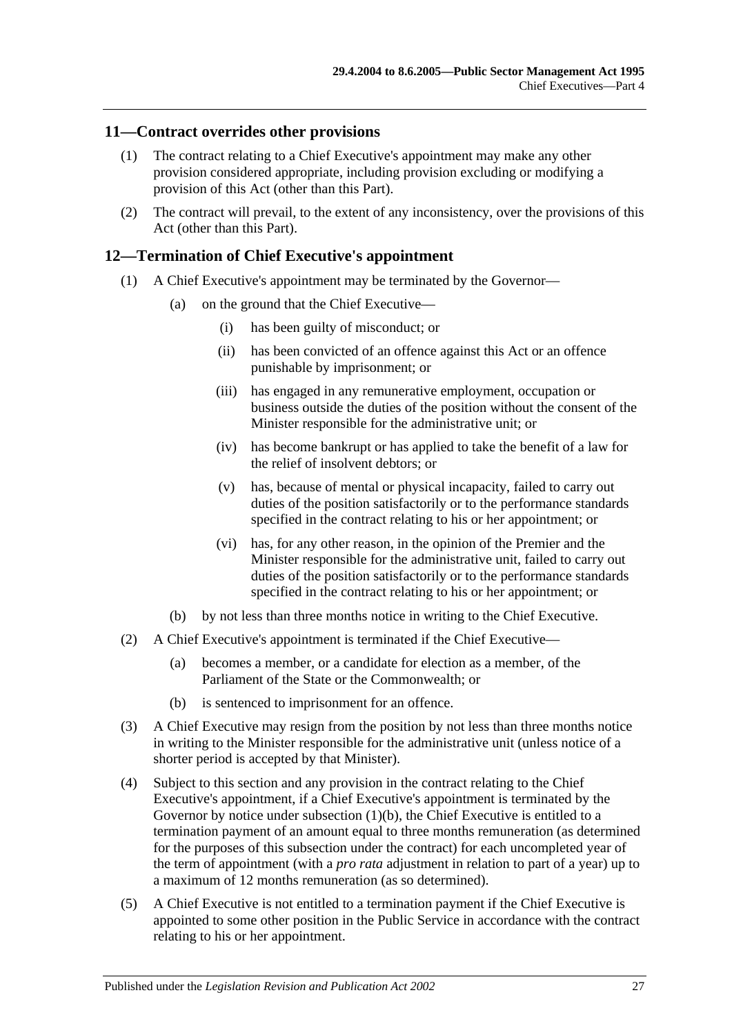### <span id="page-26-0"></span>**11—Contract overrides other provisions**

- (1) The contract relating to a Chief Executive's appointment may make any other provision considered appropriate, including provision excluding or modifying a provision of this Act (other than this Part).
- (2) The contract will prevail, to the extent of any inconsistency, over the provisions of this Act (other than this Part).

### <span id="page-26-1"></span>**12—Termination of Chief Executive's appointment**

- (1) A Chief Executive's appointment may be terminated by the Governor—
	- (a) on the ground that the Chief Executive—
		- (i) has been guilty of misconduct; or
		- (ii) has been convicted of an offence against this Act or an offence punishable by imprisonment; or
		- (iii) has engaged in any remunerative employment, occupation or business outside the duties of the position without the consent of the Minister responsible for the administrative unit; or
		- (iv) has become bankrupt or has applied to take the benefit of a law for the relief of insolvent debtors; or
		- (v) has, because of mental or physical incapacity, failed to carry out duties of the position satisfactorily or to the performance standards specified in the contract relating to his or her appointment; or
		- (vi) has, for any other reason, in the opinion of the Premier and the Minister responsible for the administrative unit, failed to carry out duties of the position satisfactorily or to the performance standards specified in the contract relating to his or her appointment; or
	- (b) by not less than three months notice in writing to the Chief Executive.
- <span id="page-26-2"></span>(2) A Chief Executive's appointment is terminated if the Chief Executive—
	- (a) becomes a member, or a candidate for election as a member, of the Parliament of the State or the Commonwealth; or
	- (b) is sentenced to imprisonment for an offence.
- (3) A Chief Executive may resign from the position by not less than three months notice in writing to the Minister responsible for the administrative unit (unless notice of a shorter period is accepted by that Minister).
- (4) Subject to this section and any provision in the contract relating to the Chief Executive's appointment, if a Chief Executive's appointment is terminated by the Governor by notice under [subsection](#page-26-2) (1)(b), the Chief Executive is entitled to a termination payment of an amount equal to three months remuneration (as determined for the purposes of this subsection under the contract) for each uncompleted year of the term of appointment (with a *pro rata* adjustment in relation to part of a year) up to a maximum of 12 months remuneration (as so determined).
- (5) A Chief Executive is not entitled to a termination payment if the Chief Executive is appointed to some other position in the Public Service in accordance with the contract relating to his or her appointment.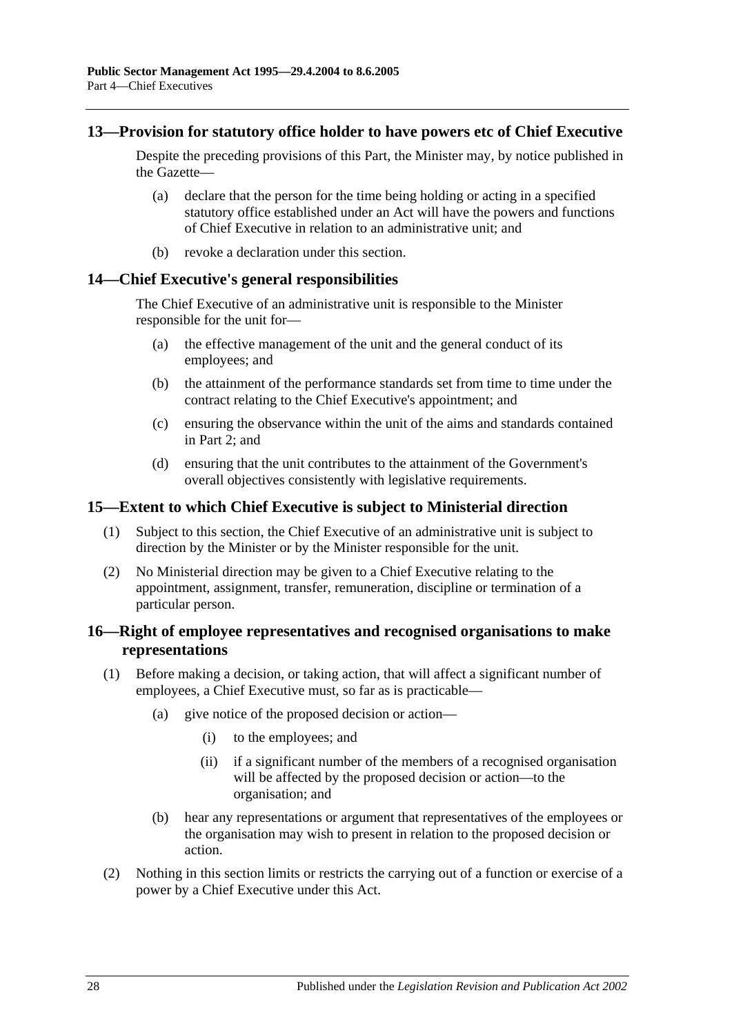### <span id="page-27-0"></span>**13—Provision for statutory office holder to have powers etc of Chief Executive**

Despite the preceding provisions of this Part, the Minister may, by notice published in the Gazette—

- (a) declare that the person for the time being holding or acting in a specified statutory office established under an Act will have the powers and functions of Chief Executive in relation to an administrative unit; and
- (b) revoke a declaration under this section.

### <span id="page-27-1"></span>**14—Chief Executive's general responsibilities**

The Chief Executive of an administrative unit is responsible to the Minister responsible for the unit for—

- (a) the effective management of the unit and the general conduct of its employees; and
- (b) the attainment of the performance standards set from time to time under the contract relating to the Chief Executive's appointment; and
- (c) ensuring the observance within the unit of the aims and standards contained in [Part 2;](#page-9-0) and
- (d) ensuring that the unit contributes to the attainment of the Government's overall objectives consistently with legislative requirements.

### <span id="page-27-2"></span>**15—Extent to which Chief Executive is subject to Ministerial direction**

- (1) Subject to this section, the Chief Executive of an administrative unit is subject to direction by the Minister or by the Minister responsible for the unit.
- (2) No Ministerial direction may be given to a Chief Executive relating to the appointment, assignment, transfer, remuneration, discipline or termination of a particular person.

## <span id="page-27-3"></span>**16—Right of employee representatives and recognised organisations to make representations**

- (1) Before making a decision, or taking action, that will affect a significant number of employees, a Chief Executive must, so far as is practicable—
	- (a) give notice of the proposed decision or action—
		- (i) to the employees; and
		- (ii) if a significant number of the members of a recognised organisation will be affected by the proposed decision or action—to the organisation; and
	- (b) hear any representations or argument that representatives of the employees or the organisation may wish to present in relation to the proposed decision or action.
- (2) Nothing in this section limits or restricts the carrying out of a function or exercise of a power by a Chief Executive under this Act.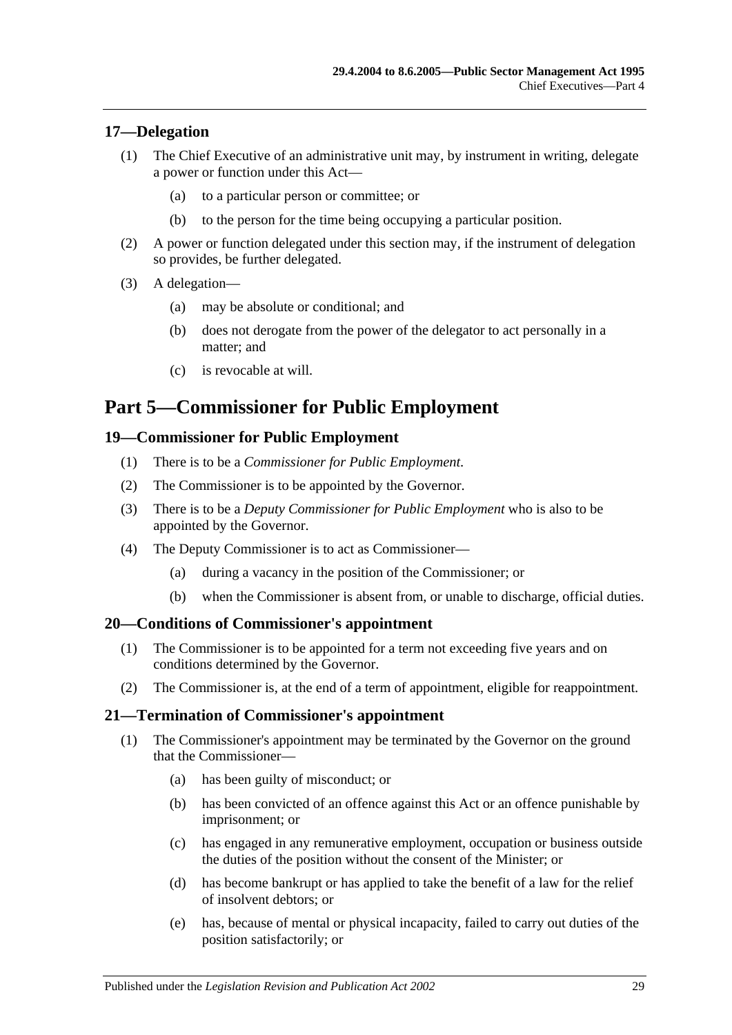## <span id="page-28-0"></span>**17—Delegation**

- (1) The Chief Executive of an administrative unit may, by instrument in writing, delegate a power or function under this Act—
	- (a) to a particular person or committee; or
	- (b) to the person for the time being occupying a particular position.
- (2) A power or function delegated under this section may, if the instrument of delegation so provides, be further delegated.
- (3) A delegation—
	- (a) may be absolute or conditional; and
	- (b) does not derogate from the power of the delegator to act personally in a matter; and
	- (c) is revocable at will.

# <span id="page-28-1"></span>**Part 5—Commissioner for Public Employment**

### <span id="page-28-2"></span>**19—Commissioner for Public Employment**

- (1) There is to be a *Commissioner for Public Employment*.
- (2) The Commissioner is to be appointed by the Governor.
- (3) There is to be a *Deputy Commissioner for Public Employment* who is also to be appointed by the Governor.
- (4) The Deputy Commissioner is to act as Commissioner—
	- (a) during a vacancy in the position of the Commissioner; or
	- (b) when the Commissioner is absent from, or unable to discharge, official duties.

### <span id="page-28-3"></span>**20—Conditions of Commissioner's appointment**

- (1) The Commissioner is to be appointed for a term not exceeding five years and on conditions determined by the Governor.
- (2) The Commissioner is, at the end of a term of appointment, eligible for reappointment.

### <span id="page-28-4"></span>**21—Termination of Commissioner's appointment**

- (1) The Commissioner's appointment may be terminated by the Governor on the ground that the Commissioner—
	- (a) has been guilty of misconduct; or
	- (b) has been convicted of an offence against this Act or an offence punishable by imprisonment; or
	- (c) has engaged in any remunerative employment, occupation or business outside the duties of the position without the consent of the Minister; or
	- (d) has become bankrupt or has applied to take the benefit of a law for the relief of insolvent debtors; or
	- (e) has, because of mental or physical incapacity, failed to carry out duties of the position satisfactorily; or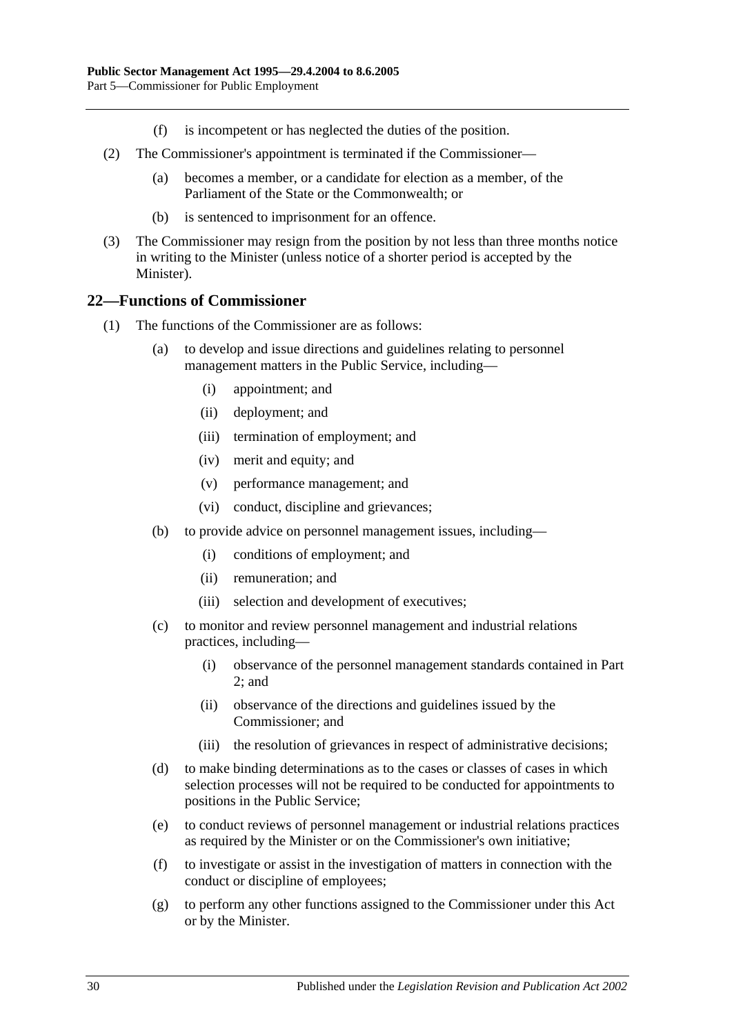- (f) is incompetent or has neglected the duties of the position.
- (2) The Commissioner's appointment is terminated if the Commissioner—
	- (a) becomes a member, or a candidate for election as a member, of the Parliament of the State or the Commonwealth; or
	- (b) is sentenced to imprisonment for an offence.
- (3) The Commissioner may resign from the position by not less than three months notice in writing to the Minister (unless notice of a shorter period is accepted by the Minister).

### <span id="page-29-0"></span>**22—Functions of Commissioner**

- (1) The functions of the Commissioner are as follows:
	- (a) to develop and issue directions and guidelines relating to personnel management matters in the Public Service, including—
		- (i) appointment; and
		- (ii) deployment; and
		- (iii) termination of employment; and
		- (iv) merit and equity; and
		- (v) performance management; and
		- (vi) conduct, discipline and grievances;
	- (b) to provide advice on personnel management issues, including—
		- (i) conditions of employment; and
		- (ii) remuneration; and
		- (iii) selection and development of executives;
	- (c) to monitor and review personnel management and industrial relations practices, including—
		- (i) observance of the personnel management standards contained in [Part](#page-9-0)   $2:$  and
		- (ii) observance of the directions and guidelines issued by the Commissioner; and
		- (iii) the resolution of grievances in respect of administrative decisions;
	- (d) to make binding determinations as to the cases or classes of cases in which selection processes will not be required to be conducted for appointments to positions in the Public Service;
	- (e) to conduct reviews of personnel management or industrial relations practices as required by the Minister or on the Commissioner's own initiative;
	- (f) to investigate or assist in the investigation of matters in connection with the conduct or discipline of employees;
	- (g) to perform any other functions assigned to the Commissioner under this Act or by the Minister.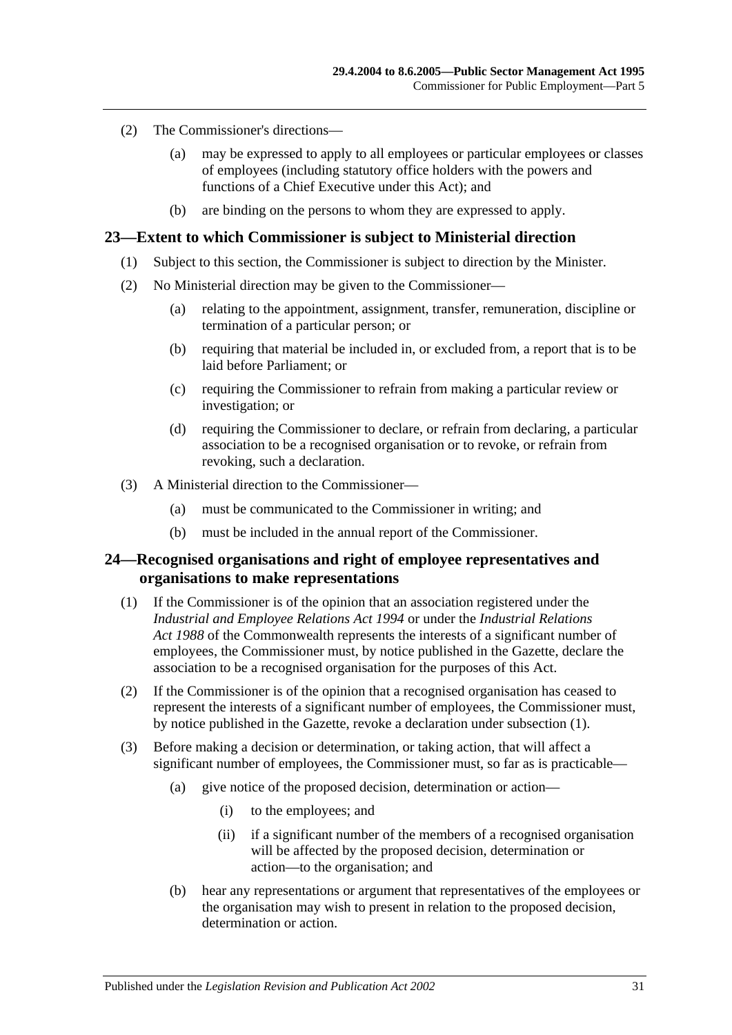- (2) The Commissioner's directions—
	- (a) may be expressed to apply to all employees or particular employees or classes of employees (including statutory office holders with the powers and functions of a Chief Executive under this Act); and
	- (b) are binding on the persons to whom they are expressed to apply.

### <span id="page-30-0"></span>**23—Extent to which Commissioner is subject to Ministerial direction**

- (1) Subject to this section, the Commissioner is subject to direction by the Minister.
- (2) No Ministerial direction may be given to the Commissioner—
	- (a) relating to the appointment, assignment, transfer, remuneration, discipline or termination of a particular person; or
	- (b) requiring that material be included in, or excluded from, a report that is to be laid before Parliament; or
	- (c) requiring the Commissioner to refrain from making a particular review or investigation; or
	- (d) requiring the Commissioner to declare, or refrain from declaring, a particular association to be a recognised organisation or to revoke, or refrain from revoking, such a declaration.
- (3) A Ministerial direction to the Commissioner—
	- (a) must be communicated to the Commissioner in writing; and
	- (b) must be included in the annual report of the Commissioner.

### <span id="page-30-1"></span>**24—Recognised organisations and right of employee representatives and organisations to make representations**

- <span id="page-30-2"></span>(1) If the Commissioner is of the opinion that an association registered under the *[Industrial and Employee Relations Act](http://www.legislation.sa.gov.au/index.aspx?action=legref&type=act&legtitle=Industrial%20and%20Employee%20Relations%20Act%201994) 1994* or under the *Industrial Relations Act 1988* of the Commonwealth represents the interests of a significant number of employees, the Commissioner must, by notice published in the Gazette, declare the association to be a recognised organisation for the purposes of this Act.
- (2) If the Commissioner is of the opinion that a recognised organisation has ceased to represent the interests of a significant number of employees, the Commissioner must, by notice published in the Gazette, revoke a declaration under [subsection](#page-30-2) (1).
- (3) Before making a decision or determination, or taking action, that will affect a significant number of employees, the Commissioner must, so far as is practicable—
	- (a) give notice of the proposed decision, determination or action—
		- (i) to the employees; and
		- (ii) if a significant number of the members of a recognised organisation will be affected by the proposed decision, determination or action—to the organisation; and
	- (b) hear any representations or argument that representatives of the employees or the organisation may wish to present in relation to the proposed decision, determination or action.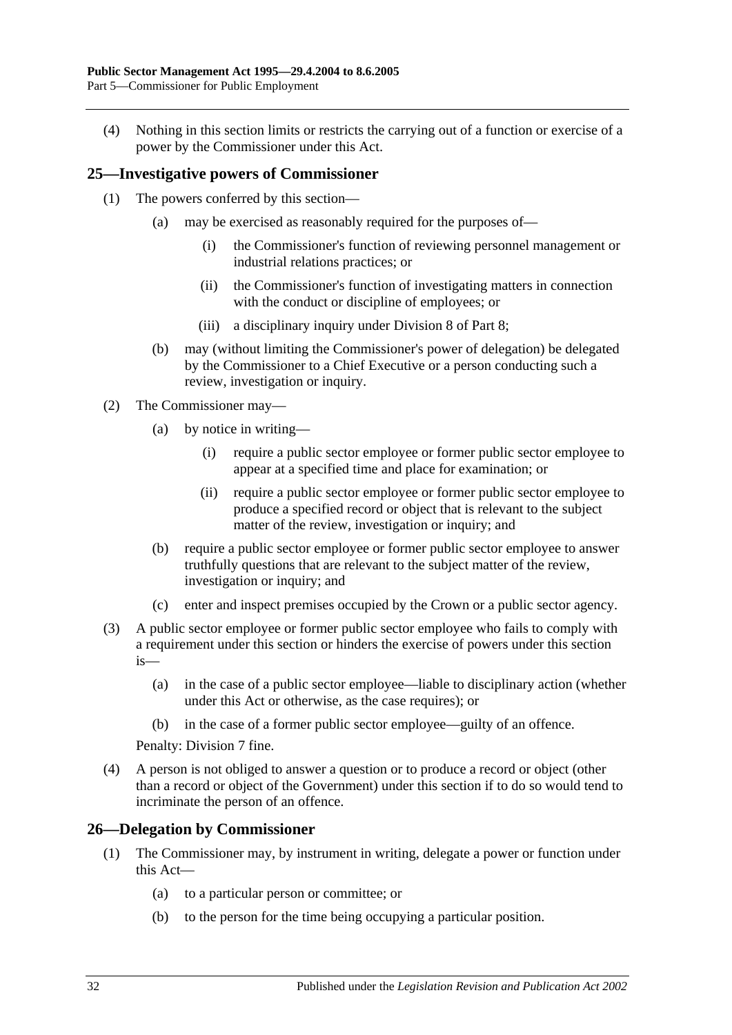(4) Nothing in this section limits or restricts the carrying out of a function or exercise of a power by the Commissioner under this Act.

## <span id="page-31-0"></span>**25—Investigative powers of Commissioner**

- (1) The powers conferred by this section—
	- (a) may be exercised as reasonably required for the purposes of—
		- (i) the Commissioner's function of reviewing personnel management or industrial relations practices; or
		- (ii) the Commissioner's function of investigating matters in connection with the conduct or discipline of employees; or
		- (iii) a disciplinary inquiry under [Division 8](#page-47-2) of [Part 8;](#page-41-0)
	- (b) may (without limiting the Commissioner's power of delegation) be delegated by the Commissioner to a Chief Executive or a person conducting such a review, investigation or inquiry.
- (2) The Commissioner may—
	- (a) by notice in writing—
		- (i) require a public sector employee or former public sector employee to appear at a specified time and place for examination; or
		- (ii) require a public sector employee or former public sector employee to produce a specified record or object that is relevant to the subject matter of the review, investigation or inquiry; and
	- (b) require a public sector employee or former public sector employee to answer truthfully questions that are relevant to the subject matter of the review, investigation or inquiry; and
	- (c) enter and inspect premises occupied by the Crown or a public sector agency.
- (3) A public sector employee or former public sector employee who fails to comply with a requirement under this section or hinders the exercise of powers under this section is—
	- (a) in the case of a public sector employee—liable to disciplinary action (whether under this Act or otherwise, as the case requires); or
	- (b) in the case of a former public sector employee—guilty of an offence.

Penalty: Division 7 fine.

(4) A person is not obliged to answer a question or to produce a record or object (other than a record or object of the Government) under this section if to do so would tend to incriminate the person of an offence.

### <span id="page-31-1"></span>**26—Delegation by Commissioner**

- (1) The Commissioner may, by instrument in writing, delegate a power or function under this Act—
	- (a) to a particular person or committee; or
	- (b) to the person for the time being occupying a particular position.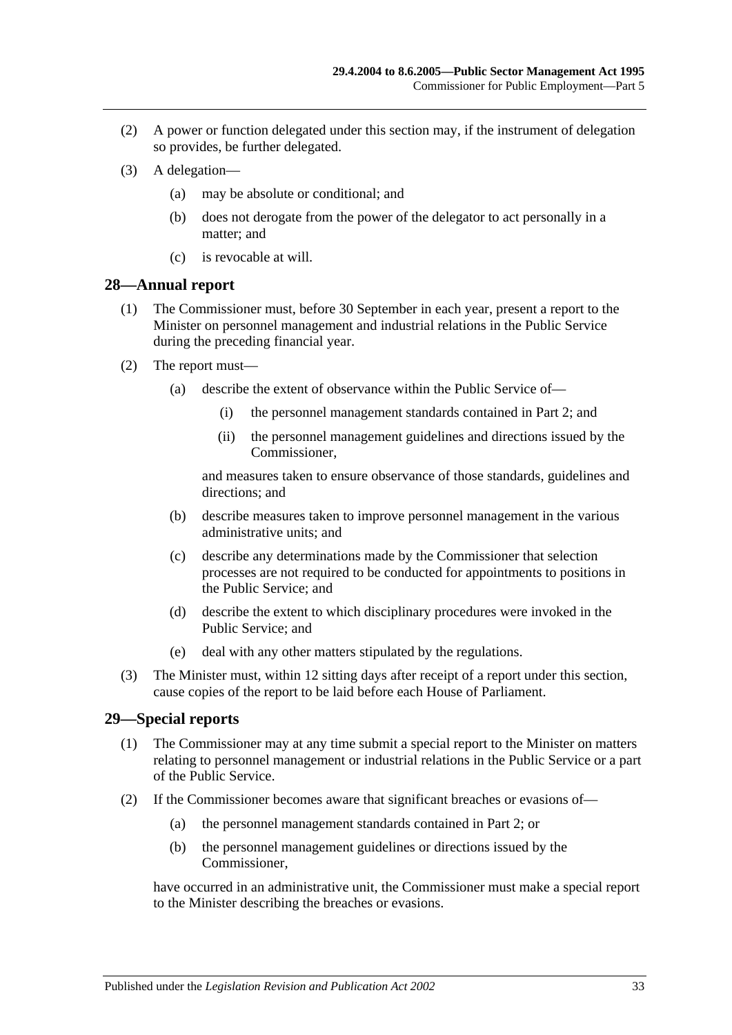- (2) A power or function delegated under this section may, if the instrument of delegation so provides, be further delegated.
- (3) A delegation—
	- (a) may be absolute or conditional; and
	- (b) does not derogate from the power of the delegator to act personally in a matter; and
	- (c) is revocable at will.

### <span id="page-32-0"></span>**28—Annual report**

- (1) The Commissioner must, before 30 September in each year, present a report to the Minister on personnel management and industrial relations in the Public Service during the preceding financial year.
- (2) The report must—
	- (a) describe the extent of observance within the Public Service of—
		- (i) the personnel management standards contained in [Part 2;](#page-9-0) and
		- (ii) the personnel management guidelines and directions issued by the Commissioner,

and measures taken to ensure observance of those standards, guidelines and directions; and

- (b) describe measures taken to improve personnel management in the various administrative units; and
- (c) describe any determinations made by the Commissioner that selection processes are not required to be conducted for appointments to positions in the Public Service; and
- (d) describe the extent to which disciplinary procedures were invoked in the Public Service; and
- (e) deal with any other matters stipulated by the regulations.
- (3) The Minister must, within 12 sitting days after receipt of a report under this section, cause copies of the report to be laid before each House of Parliament.

## <span id="page-32-1"></span>**29—Special reports**

- (1) The Commissioner may at any time submit a special report to the Minister on matters relating to personnel management or industrial relations in the Public Service or a part of the Public Service.
- <span id="page-32-2"></span>(2) If the Commissioner becomes aware that significant breaches or evasions of—
	- (a) the personnel management standards contained in [Part 2;](#page-9-0) or
	- (b) the personnel management guidelines or directions issued by the Commissioner,

have occurred in an administrative unit, the Commissioner must make a special report to the Minister describing the breaches or evasions.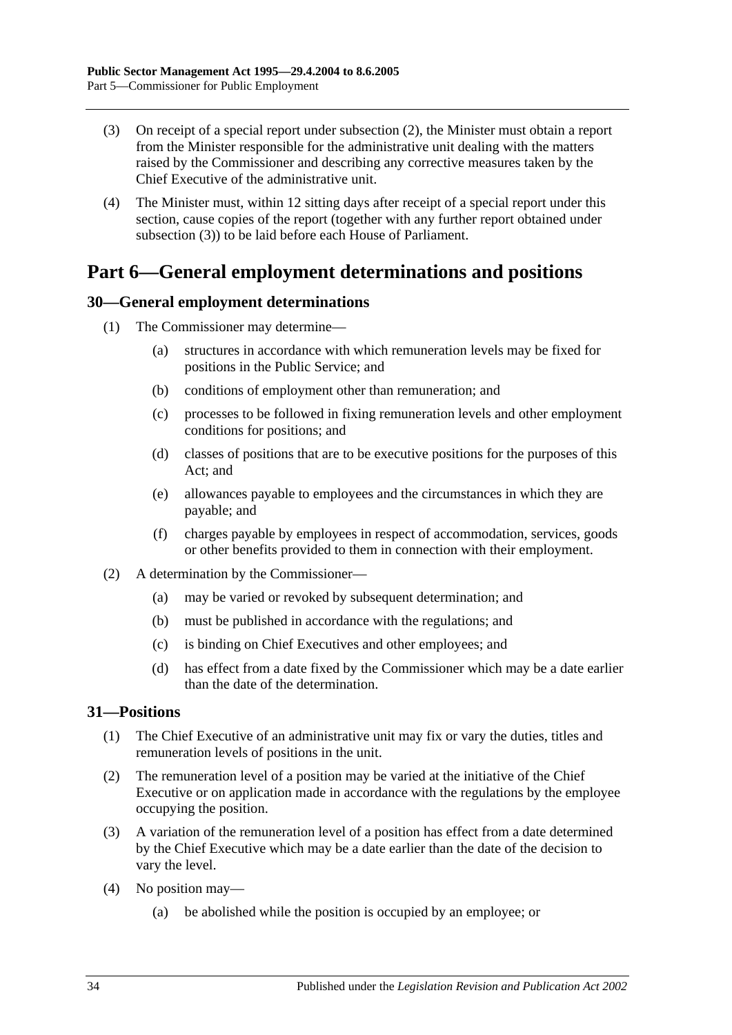- <span id="page-33-3"></span>(3) On receipt of a special report under [subsection](#page-32-2) (2), the Minister must obtain a report from the Minister responsible for the administrative unit dealing with the matters raised by the Commissioner and describing any corrective measures taken by the Chief Executive of the administrative unit.
- (4) The Minister must, within 12 sitting days after receipt of a special report under this section, cause copies of the report (together with any further report obtained under [subsection](#page-33-3) (3)) to be laid before each House of Parliament.

# <span id="page-33-0"></span>**Part 6—General employment determinations and positions**

## <span id="page-33-1"></span>**30—General employment determinations**

- (1) The Commissioner may determine—
	- (a) structures in accordance with which remuneration levels may be fixed for positions in the Public Service; and
	- (b) conditions of employment other than remuneration; and
	- (c) processes to be followed in fixing remuneration levels and other employment conditions for positions; and
	- (d) classes of positions that are to be executive positions for the purposes of this Act; and
	- (e) allowances payable to employees and the circumstances in which they are payable; and
	- (f) charges payable by employees in respect of accommodation, services, goods or other benefits provided to them in connection with their employment.
- (2) A determination by the Commissioner—
	- (a) may be varied or revoked by subsequent determination; and
	- (b) must be published in accordance with the regulations; and
	- (c) is binding on Chief Executives and other employees; and
	- (d) has effect from a date fixed by the Commissioner which may be a date earlier than the date of the determination.

## <span id="page-33-2"></span>**31—Positions**

- (1) The Chief Executive of an administrative unit may fix or vary the duties, titles and remuneration levels of positions in the unit.
- (2) The remuneration level of a position may be varied at the initiative of the Chief Executive or on application made in accordance with the regulations by the employee occupying the position.
- (3) A variation of the remuneration level of a position has effect from a date determined by the Chief Executive which may be a date earlier than the date of the decision to vary the level.
- (4) No position may—
	- (a) be abolished while the position is occupied by an employee; or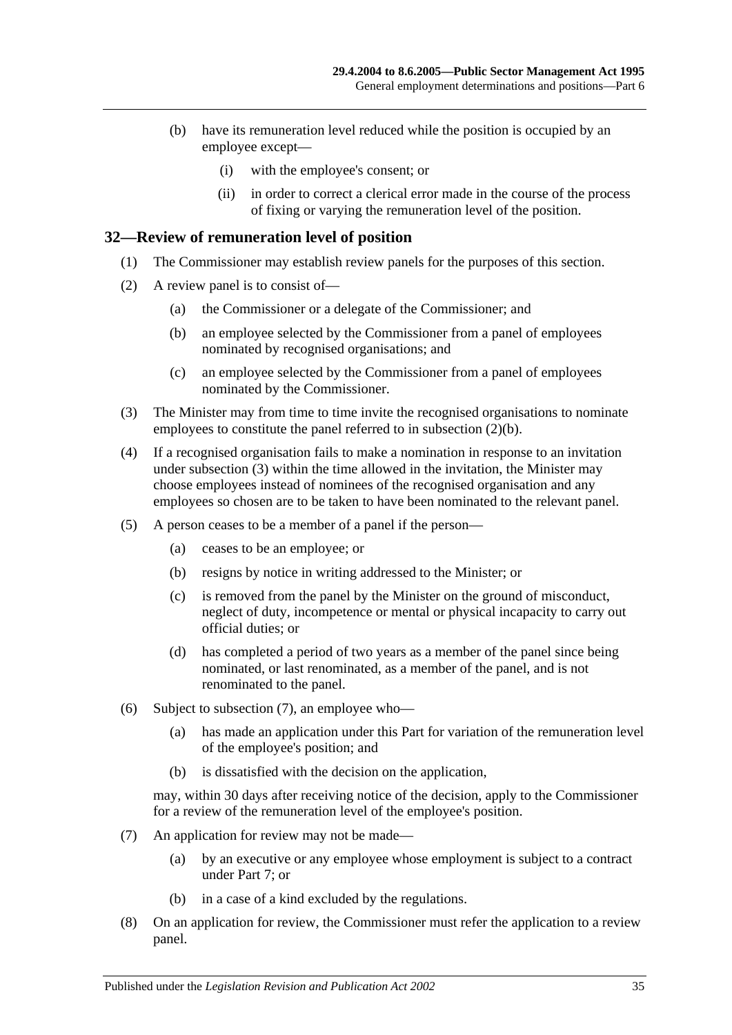- (b) have its remuneration level reduced while the position is occupied by an employee except—
	- (i) with the employee's consent; or
	- (ii) in order to correct a clerical error made in the course of the process of fixing or varying the remuneration level of the position.

### <span id="page-34-0"></span>**32—Review of remuneration level of position**

- (1) The Commissioner may establish review panels for the purposes of this section.
- <span id="page-34-1"></span>(2) A review panel is to consist of—
	- (a) the Commissioner or a delegate of the Commissioner; and
	- (b) an employee selected by the Commissioner from a panel of employees nominated by recognised organisations; and
	- (c) an employee selected by the Commissioner from a panel of employees nominated by the Commissioner.
- <span id="page-34-2"></span>(3) The Minister may from time to time invite the recognised organisations to nominate employees to constitute the panel referred to in [subsection](#page-34-1) (2)(b).
- (4) If a recognised organisation fails to make a nomination in response to an invitation under [subsection](#page-34-2) (3) within the time allowed in the invitation, the Minister may choose employees instead of nominees of the recognised organisation and any employees so chosen are to be taken to have been nominated to the relevant panel.
- (5) A person ceases to be a member of a panel if the person—
	- (a) ceases to be an employee; or
	- (b) resigns by notice in writing addressed to the Minister; or
	- (c) is removed from the panel by the Minister on the ground of misconduct, neglect of duty, incompetence or mental or physical incapacity to carry out official duties; or
	- (d) has completed a period of two years as a member of the panel since being nominated, or last renominated, as a member of the panel, and is not renominated to the panel.
- (6) Subject to [subsection](#page-34-3) (7), an employee who—
	- (a) has made an application under this Part for variation of the remuneration level of the employee's position; and
	- (b) is dissatisfied with the decision on the application,

may, within 30 days after receiving notice of the decision, apply to the Commissioner for a review of the remuneration level of the employee's position.

- <span id="page-34-3"></span>(7) An application for review may not be made—
	- (a) by an executive or any employee whose employment is subject to a contract under [Part 7;](#page-35-0) or
	- (b) in a case of a kind excluded by the regulations.
- (8) On an application for review, the Commissioner must refer the application to a review panel.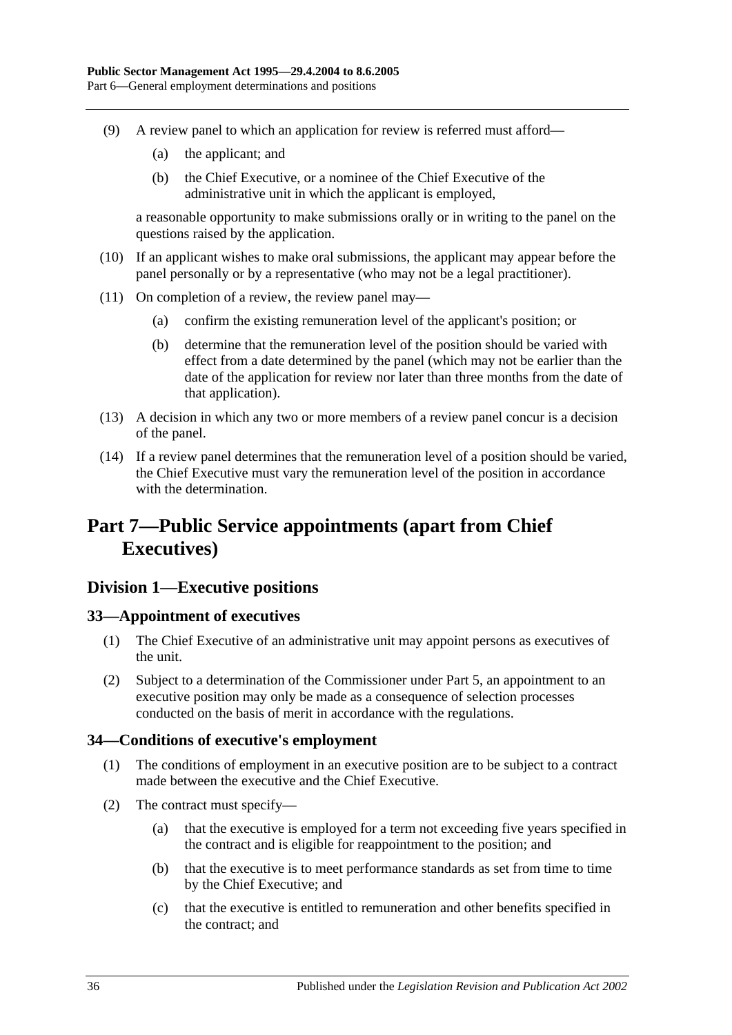- (9) A review panel to which an application for review is referred must afford—
	- (a) the applicant; and
	- (b) the Chief Executive, or a nominee of the Chief Executive of the administrative unit in which the applicant is employed,

a reasonable opportunity to make submissions orally or in writing to the panel on the questions raised by the application.

- (10) If an applicant wishes to make oral submissions, the applicant may appear before the panel personally or by a representative (who may not be a legal practitioner).
- (11) On completion of a review, the review panel may—
	- (a) confirm the existing remuneration level of the applicant's position; or
	- (b) determine that the remuneration level of the position should be varied with effect from a date determined by the panel (which may not be earlier than the date of the application for review nor later than three months from the date of that application).
- (13) A decision in which any two or more members of a review panel concur is a decision of the panel.
- (14) If a review panel determines that the remuneration level of a position should be varied, the Chief Executive must vary the remuneration level of the position in accordance with the determination.

# <span id="page-35-0"></span>**Part 7—Public Service appointments (apart from Chief Executives)**

## <span id="page-35-1"></span>**Division 1—Executive positions**

## <span id="page-35-2"></span>**33—Appointment of executives**

- (1) The Chief Executive of an administrative unit may appoint persons as executives of the unit.
- (2) Subject to a determination of the Commissioner under [Part 5,](#page-28-1) an appointment to an executive position may only be made as a consequence of selection processes conducted on the basis of merit in accordance with the regulations.

## <span id="page-35-3"></span>**34—Conditions of executive's employment**

- (1) The conditions of employment in an executive position are to be subject to a contract made between the executive and the Chief Executive.
- (2) The contract must specify—
	- (a) that the executive is employed for a term not exceeding five years specified in the contract and is eligible for reappointment to the position; and
	- (b) that the executive is to meet performance standards as set from time to time by the Chief Executive; and
	- (c) that the executive is entitled to remuneration and other benefits specified in the contract; and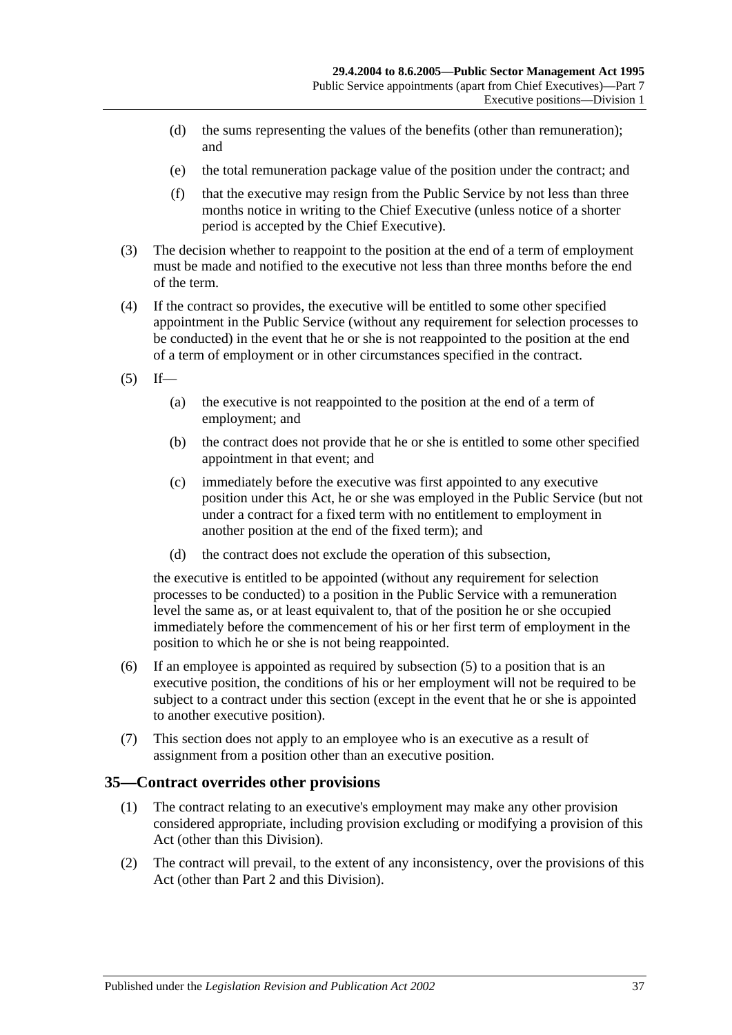- (d) the sums representing the values of the benefits (other than remuneration); and
- (e) the total remuneration package value of the position under the contract; and
- (f) that the executive may resign from the Public Service by not less than three months notice in writing to the Chief Executive (unless notice of a shorter period is accepted by the Chief Executive).
- (3) The decision whether to reappoint to the position at the end of a term of employment must be made and notified to the executive not less than three months before the end of the term.
- (4) If the contract so provides, the executive will be entitled to some other specified appointment in the Public Service (without any requirement for selection processes to be conducted) in the event that he or she is not reappointed to the position at the end of a term of employment or in other circumstances specified in the contract.
- <span id="page-36-0"></span> $(5)$  If—
	- (a) the executive is not reappointed to the position at the end of a term of employment; and
	- (b) the contract does not provide that he or she is entitled to some other specified appointment in that event; and
	- (c) immediately before the executive was first appointed to any executive position under this Act, he or she was employed in the Public Service (but not under a contract for a fixed term with no entitlement to employment in another position at the end of the fixed term); and
	- (d) the contract does not exclude the operation of this subsection,

the executive is entitled to be appointed (without any requirement for selection processes to be conducted) to a position in the Public Service with a remuneration level the same as, or at least equivalent to, that of the position he or she occupied immediately before the commencement of his or her first term of employment in the position to which he or she is not being reappointed.

- (6) If an employee is appointed as required by [subsection](#page-36-0) (5) to a position that is an executive position, the conditions of his or her employment will not be required to be subject to a contract under this section (except in the event that he or she is appointed to another executive position).
- (7) This section does not apply to an employee who is an executive as a result of assignment from a position other than an executive position.

# **35—Contract overrides other provisions**

- (1) The contract relating to an executive's employment may make any other provision considered appropriate, including provision excluding or modifying a provision of this Act (other than this Division).
- (2) The contract will prevail, to the extent of any inconsistency, over the provisions of this Act (other than [Part 2](#page-9-0) and this Division).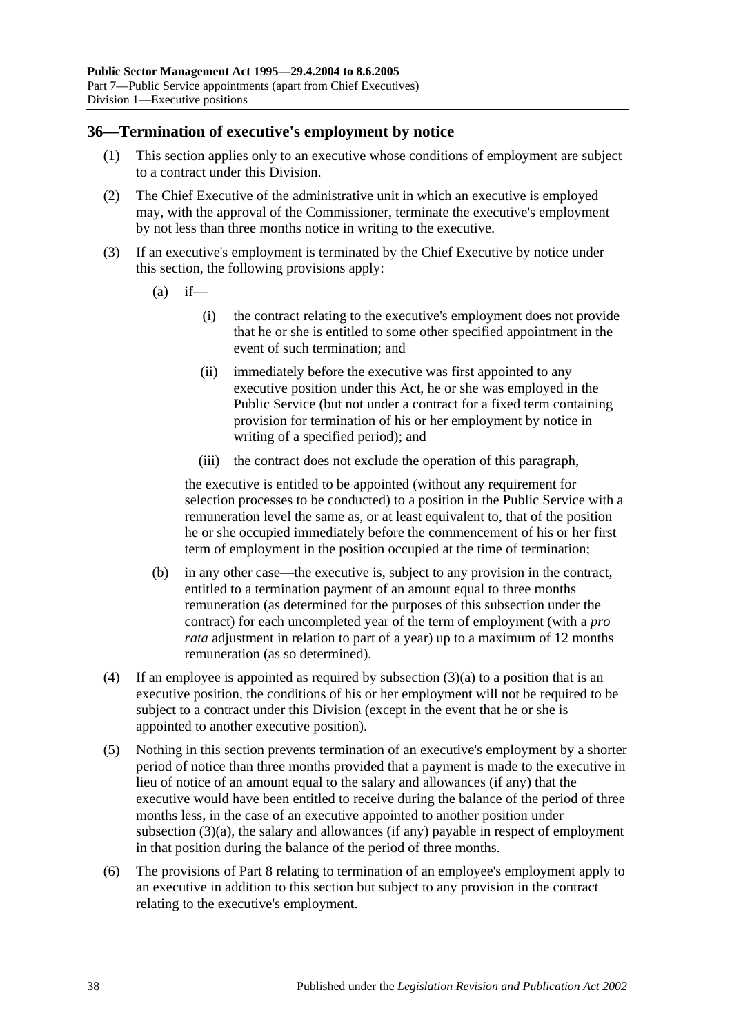#### **36—Termination of executive's employment by notice**

- (1) This section applies only to an executive whose conditions of employment are subject to a contract under this Division.
- (2) The Chief Executive of the administrative unit in which an executive is employed may, with the approval of the Commissioner, terminate the executive's employment by not less than three months notice in writing to the executive.
- <span id="page-37-0"></span>(3) If an executive's employment is terminated by the Chief Executive by notice under this section, the following provisions apply:
	- $(a)$  if—
		- (i) the contract relating to the executive's employment does not provide that he or she is entitled to some other specified appointment in the event of such termination; and
		- (ii) immediately before the executive was first appointed to any executive position under this Act, he or she was employed in the Public Service (but not under a contract for a fixed term containing provision for termination of his or her employment by notice in writing of a specified period); and
		- (iii) the contract does not exclude the operation of this paragraph,

the executive is entitled to be appointed (without any requirement for selection processes to be conducted) to a position in the Public Service with a remuneration level the same as, or at least equivalent to, that of the position he or she occupied immediately before the commencement of his or her first term of employment in the position occupied at the time of termination;

- (b) in any other case—the executive is, subject to any provision in the contract, entitled to a termination payment of an amount equal to three months remuneration (as determined for the purposes of this subsection under the contract) for each uncompleted year of the term of employment (with a *pro rata* adjustment in relation to part of a year) up to a maximum of 12 months remuneration (as so determined).
- (4) If an employee is appointed as required by [subsection](#page-37-0)  $(3)(a)$  to a position that is an executive position, the conditions of his or her employment will not be required to be subject to a contract under this Division (except in the event that he or she is appointed to another executive position).
- (5) Nothing in this section prevents termination of an executive's employment by a shorter period of notice than three months provided that a payment is made to the executive in lieu of notice of an amount equal to the salary and allowances (if any) that the executive would have been entitled to receive during the balance of the period of three months less, in the case of an executive appointed to another position under [subsection](#page-37-0) (3)(a), the salary and allowances (if any) payable in respect of employment in that position during the balance of the period of three months.
- (6) The provisions of [Part 8](#page-41-0) relating to termination of an employee's employment apply to an executive in addition to this section but subject to any provision in the contract relating to the executive's employment.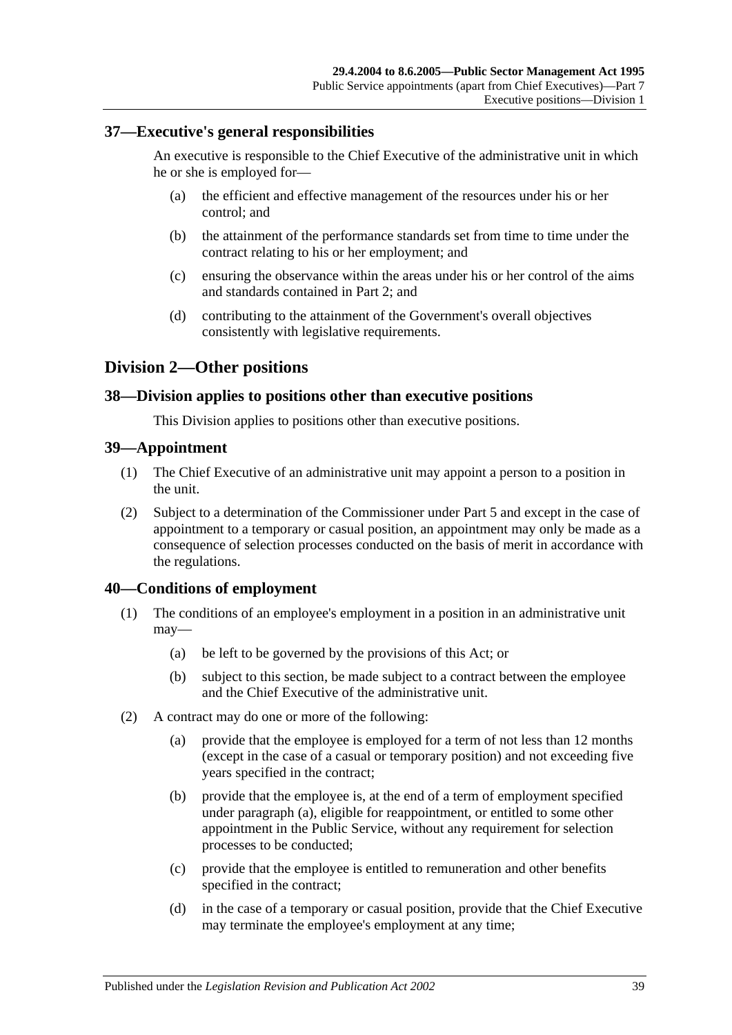#### **37—Executive's general responsibilities**

An executive is responsible to the Chief Executive of the administrative unit in which he or she is employed for—

- (a) the efficient and effective management of the resources under his or her control; and
- (b) the attainment of the performance standards set from time to time under the contract relating to his or her employment; and
- (c) ensuring the observance within the areas under his or her control of the aims and standards contained in [Part 2;](#page-9-0) and
- (d) contributing to the attainment of the Government's overall objectives consistently with legislative requirements.

### **Division 2—Other positions**

#### **38—Division applies to positions other than executive positions**

This Division applies to positions other than executive positions.

#### **39—Appointment**

- (1) The Chief Executive of an administrative unit may appoint a person to a position in the unit.
- (2) Subject to a determination of the Commissioner under [Part 5](#page-28-0) and except in the case of appointment to a temporary or casual position, an appointment may only be made as a consequence of selection processes conducted on the basis of merit in accordance with the regulations.

#### **40—Conditions of employment**

- (1) The conditions of an employee's employment in a position in an administrative unit may—
	- (a) be left to be governed by the provisions of this Act; or
	- (b) subject to this section, be made subject to a contract between the employee and the Chief Executive of the administrative unit.
- <span id="page-38-0"></span>(2) A contract may do one or more of the following:
	- (a) provide that the employee is employed for a term of not less than 12 months (except in the case of a casual or temporary position) and not exceeding five years specified in the contract;
	- (b) provide that the employee is, at the end of a term of employment specified under [paragraph](#page-38-0) (a), eligible for reappointment, or entitled to some other appointment in the Public Service, without any requirement for selection processes to be conducted;
	- (c) provide that the employee is entitled to remuneration and other benefits specified in the contract;
	- (d) in the case of a temporary or casual position, provide that the Chief Executive may terminate the employee's employment at any time;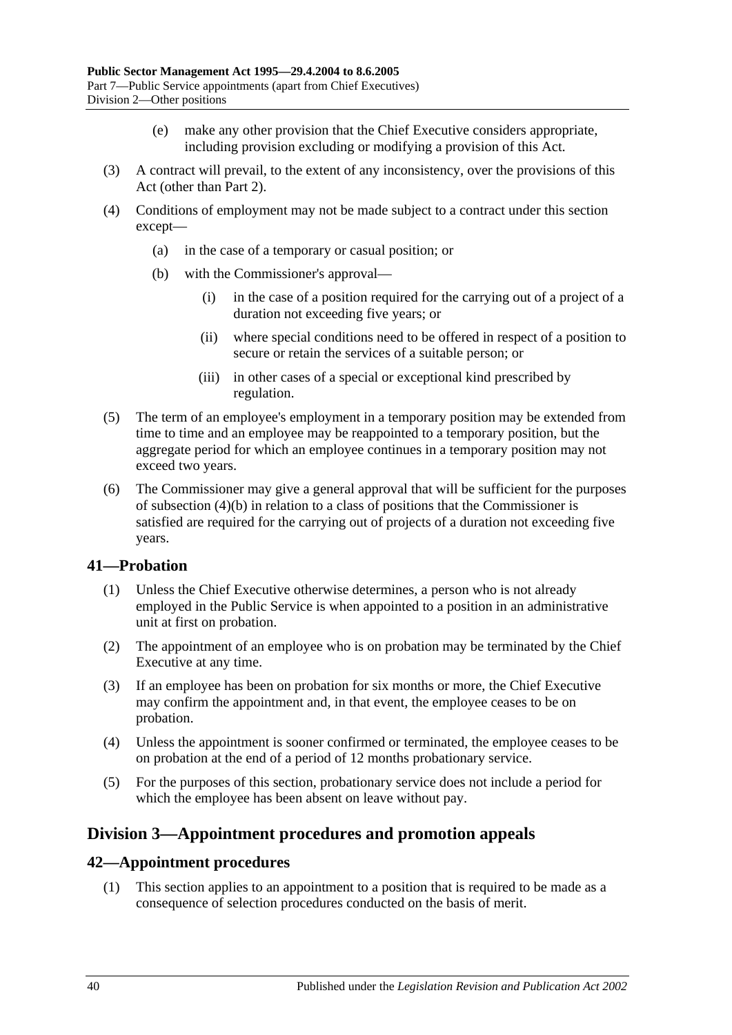- (e) make any other provision that the Chief Executive considers appropriate, including provision excluding or modifying a provision of this Act.
- (3) A contract will prevail, to the extent of any inconsistency, over the provisions of this Act (other than [Part 2\)](#page-9-0).
- <span id="page-39-0"></span>(4) Conditions of employment may not be made subject to a contract under this section except—
	- (a) in the case of a temporary or casual position; or
	- (b) with the Commissioner's approval—
		- (i) in the case of a position required for the carrying out of a project of a duration not exceeding five years; or
		- (ii) where special conditions need to be offered in respect of a position to secure or retain the services of a suitable person; or
		- (iii) in other cases of a special or exceptional kind prescribed by regulation.
- (5) The term of an employee's employment in a temporary position may be extended from time to time and an employee may be reappointed to a temporary position, but the aggregate period for which an employee continues in a temporary position may not exceed two years.
- (6) The Commissioner may give a general approval that will be sufficient for the purposes of [subsection](#page-39-0) (4)(b) in relation to a class of positions that the Commissioner is satisfied are required for the carrying out of projects of a duration not exceeding five years.

#### **41—Probation**

- (1) Unless the Chief Executive otherwise determines, a person who is not already employed in the Public Service is when appointed to a position in an administrative unit at first on probation.
- (2) The appointment of an employee who is on probation may be terminated by the Chief Executive at any time.
- (3) If an employee has been on probation for six months or more, the Chief Executive may confirm the appointment and, in that event, the employee ceases to be on probation.
- (4) Unless the appointment is sooner confirmed or terminated, the employee ceases to be on probation at the end of a period of 12 months probationary service.
- (5) For the purposes of this section, probationary service does not include a period for which the employee has been absent on leave without pay.

# **Division 3—Appointment procedures and promotion appeals**

#### **42—Appointment procedures**

(1) This section applies to an appointment to a position that is required to be made as a consequence of selection procedures conducted on the basis of merit.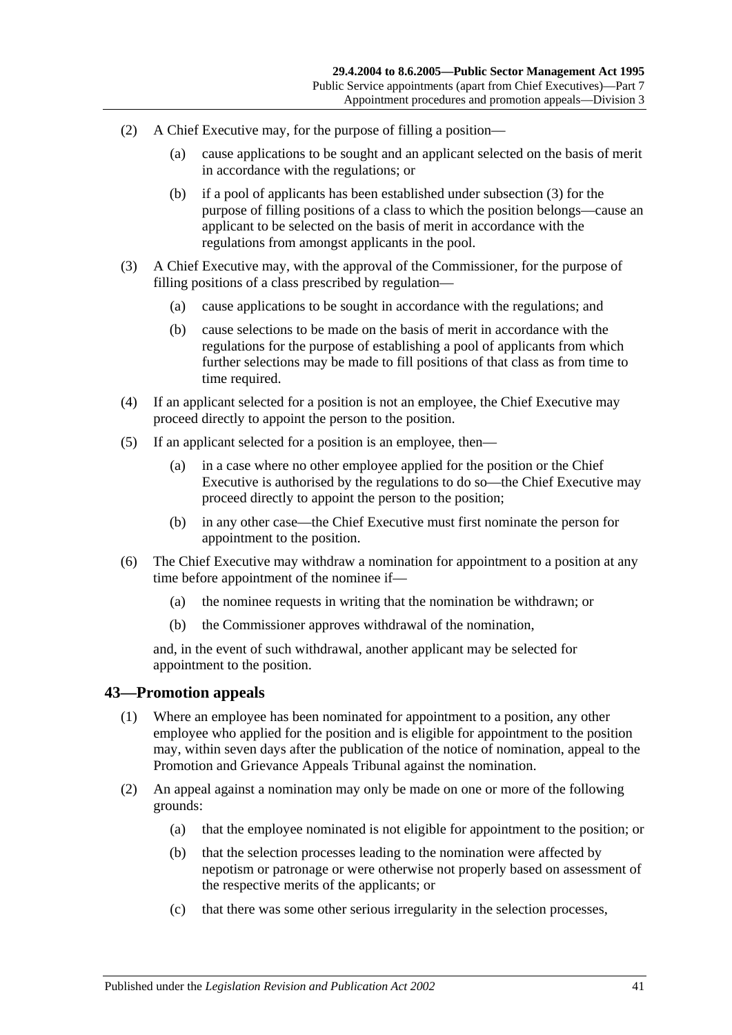- (2) A Chief Executive may, for the purpose of filling a position—
	- (a) cause applications to be sought and an applicant selected on the basis of merit in accordance with the regulations; or
	- (b) if a pool of applicants has been established under [subsection](#page-40-0) (3) for the purpose of filling positions of a class to which the position belongs—cause an applicant to be selected on the basis of merit in accordance with the regulations from amongst applicants in the pool.
- <span id="page-40-0"></span>(3) A Chief Executive may, with the approval of the Commissioner, for the purpose of filling positions of a class prescribed by regulation—
	- (a) cause applications to be sought in accordance with the regulations; and
	- (b) cause selections to be made on the basis of merit in accordance with the regulations for the purpose of establishing a pool of applicants from which further selections may be made to fill positions of that class as from time to time required.
- (4) If an applicant selected for a position is not an employee, the Chief Executive may proceed directly to appoint the person to the position.
- (5) If an applicant selected for a position is an employee, then—
	- (a) in a case where no other employee applied for the position or the Chief Executive is authorised by the regulations to do so—the Chief Executive may proceed directly to appoint the person to the position;
	- (b) in any other case—the Chief Executive must first nominate the person for appointment to the position.
- (6) The Chief Executive may withdraw a nomination for appointment to a position at any time before appointment of the nominee if—
	- (a) the nominee requests in writing that the nomination be withdrawn; or
	- (b) the Commissioner approves withdrawal of the nomination,

and, in the event of such withdrawal, another applicant may be selected for appointment to the position.

#### **43—Promotion appeals**

- (1) Where an employee has been nominated for appointment to a position, any other employee who applied for the position and is eligible for appointment to the position may, within seven days after the publication of the notice of nomination, appeal to the Promotion and Grievance Appeals Tribunal against the nomination.
- (2) An appeal against a nomination may only be made on one or more of the following grounds:
	- (a) that the employee nominated is not eligible for appointment to the position; or
	- (b) that the selection processes leading to the nomination were affected by nepotism or patronage or were otherwise not properly based on assessment of the respective merits of the applicants; or
	- (c) that there was some other serious irregularity in the selection processes,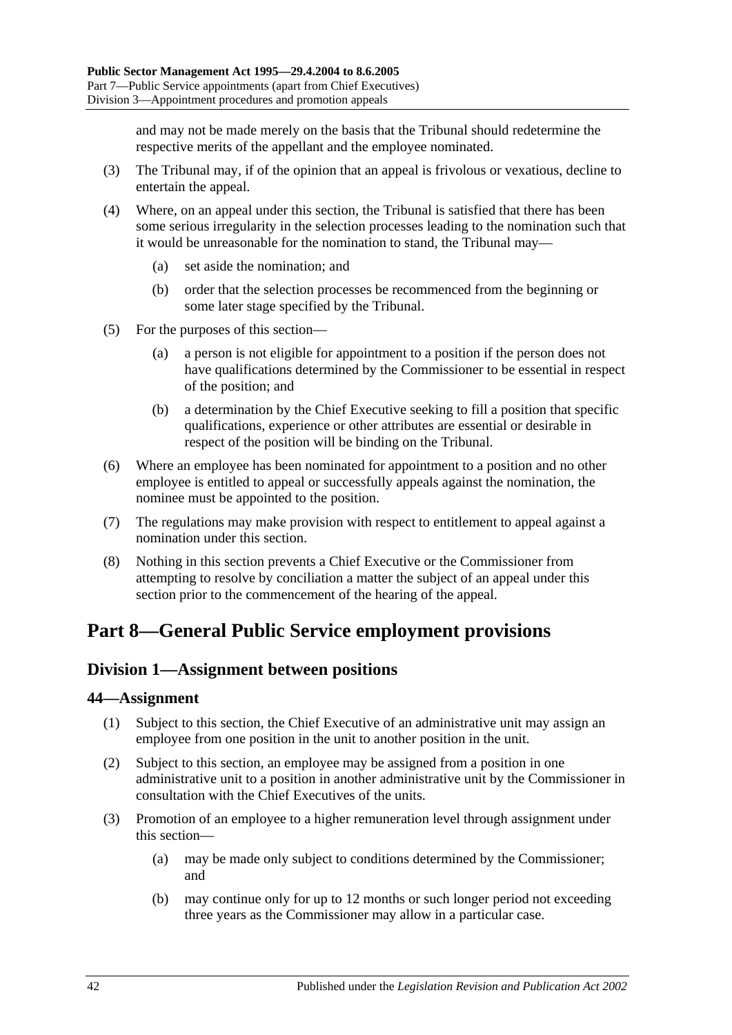and may not be made merely on the basis that the Tribunal should redetermine the respective merits of the appellant and the employee nominated.

- (3) The Tribunal may, if of the opinion that an appeal is frivolous or vexatious, decline to entertain the appeal.
- (4) Where, on an appeal under this section, the Tribunal is satisfied that there has been some serious irregularity in the selection processes leading to the nomination such that it would be unreasonable for the nomination to stand, the Tribunal may—
	- (a) set aside the nomination; and
	- (b) order that the selection processes be recommenced from the beginning or some later stage specified by the Tribunal.
- (5) For the purposes of this section—
	- (a) a person is not eligible for appointment to a position if the person does not have qualifications determined by the Commissioner to be essential in respect of the position; and
	- (b) a determination by the Chief Executive seeking to fill a position that specific qualifications, experience or other attributes are essential or desirable in respect of the position will be binding on the Tribunal.
- (6) Where an employee has been nominated for appointment to a position and no other employee is entitled to appeal or successfully appeals against the nomination, the nominee must be appointed to the position.
- (7) The regulations may make provision with respect to entitlement to appeal against a nomination under this section.
- (8) Nothing in this section prevents a Chief Executive or the Commissioner from attempting to resolve by conciliation a matter the subject of an appeal under this section prior to the commencement of the hearing of the appeal.

# <span id="page-41-0"></span>**Part 8—General Public Service employment provisions**

# <span id="page-41-2"></span>**Division 1—Assignment between positions**

#### **44—Assignment**

- (1) Subject to this section, the Chief Executive of an administrative unit may assign an employee from one position in the unit to another position in the unit.
- (2) Subject to this section, an employee may be assigned from a position in one administrative unit to a position in another administrative unit by the Commissioner in consultation with the Chief Executives of the units.
- <span id="page-41-1"></span>(3) Promotion of an employee to a higher remuneration level through assignment under this section—
	- (a) may be made only subject to conditions determined by the Commissioner; and
	- (b) may continue only for up to 12 months or such longer period not exceeding three years as the Commissioner may allow in a particular case.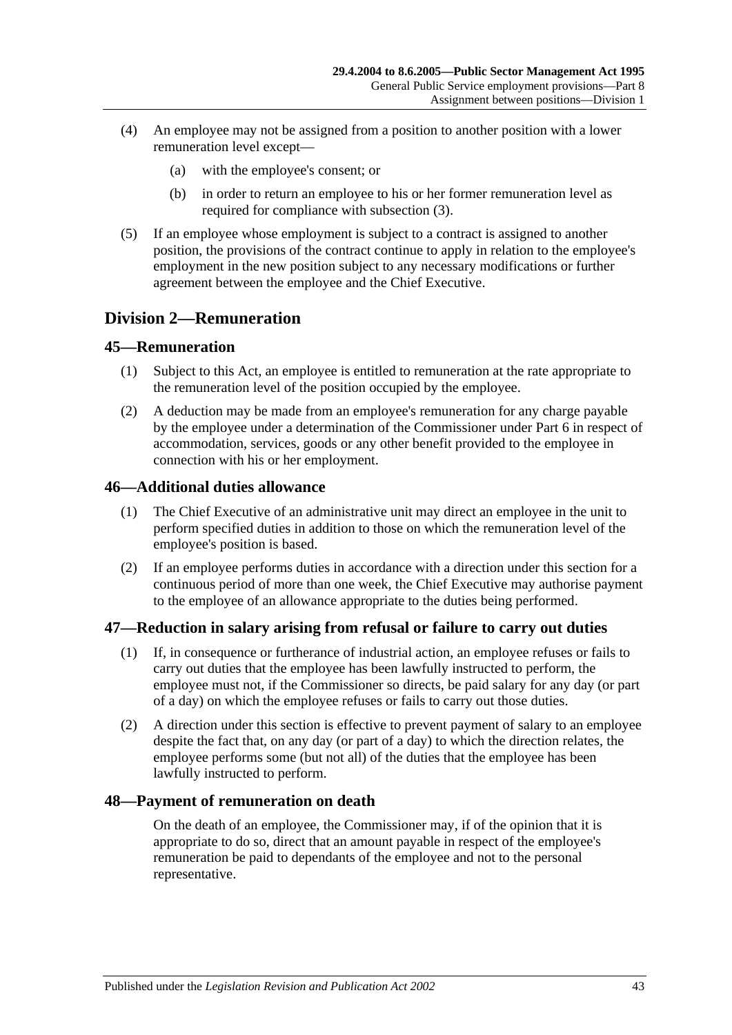- (4) An employee may not be assigned from a position to another position with a lower remuneration level except—
	- (a) with the employee's consent; or
	- (b) in order to return an employee to his or her former remuneration level as required for compliance with [subsection](#page-41-1) (3).
- (5) If an employee whose employment is subject to a contract is assigned to another position, the provisions of the contract continue to apply in relation to the employee's employment in the new position subject to any necessary modifications or further agreement between the employee and the Chief Executive.

### **Division 2—Remuneration**

#### **45—Remuneration**

- (1) Subject to this Act, an employee is entitled to remuneration at the rate appropriate to the remuneration level of the position occupied by the employee.
- (2) A deduction may be made from an employee's remuneration for any charge payable by the employee under a determination of the Commissioner under [Part 6](#page-33-0) in respect of accommodation, services, goods or any other benefit provided to the employee in connection with his or her employment.

#### **46—Additional duties allowance**

- (1) The Chief Executive of an administrative unit may direct an employee in the unit to perform specified duties in addition to those on which the remuneration level of the employee's position is based.
- (2) If an employee performs duties in accordance with a direction under this section for a continuous period of more than one week, the Chief Executive may authorise payment to the employee of an allowance appropriate to the duties being performed.

#### **47—Reduction in salary arising from refusal or failure to carry out duties**

- (1) If, in consequence or furtherance of industrial action, an employee refuses or fails to carry out duties that the employee has been lawfully instructed to perform, the employee must not, if the Commissioner so directs, be paid salary for any day (or part of a day) on which the employee refuses or fails to carry out those duties.
- (2) A direction under this section is effective to prevent payment of salary to an employee despite the fact that, on any day (or part of a day) to which the direction relates, the employee performs some (but not all) of the duties that the employee has been lawfully instructed to perform.

#### **48—Payment of remuneration on death**

On the death of an employee, the Commissioner may, if of the opinion that it is appropriate to do so, direct that an amount payable in respect of the employee's remuneration be paid to dependants of the employee and not to the personal representative.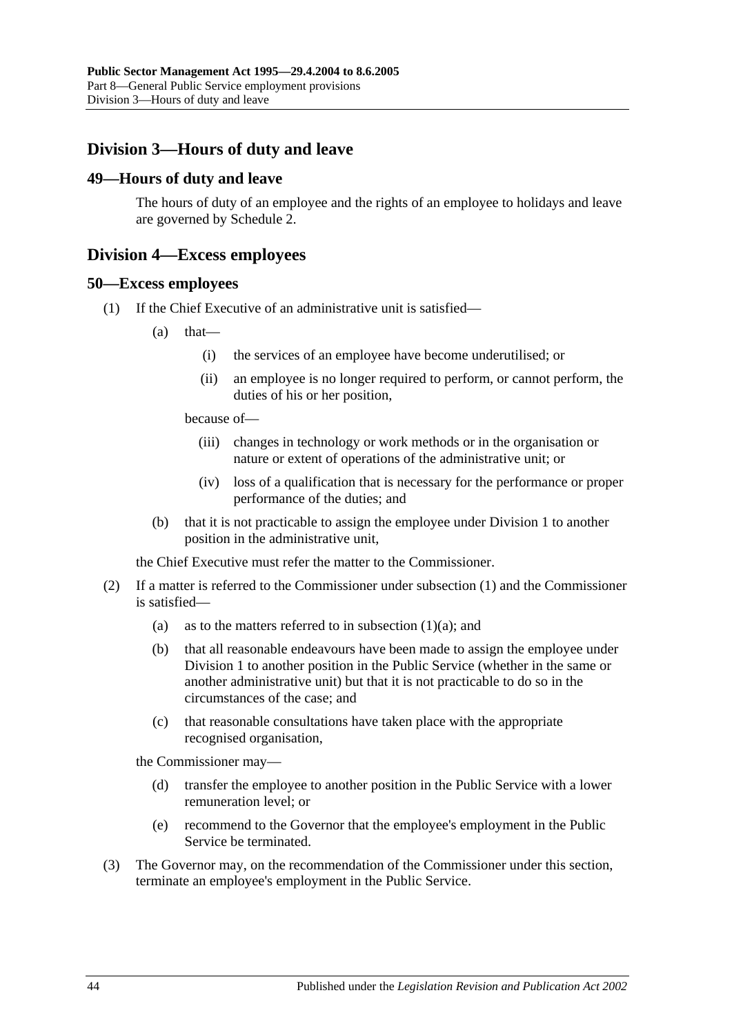# **Division 3—Hours of duty and leave**

#### **49—Hours of duty and leave**

The hours of duty of an employee and the rights of an employee to holidays and leave are governed by [Schedule 2.](#page-58-0)

#### **Division 4—Excess employees**

#### <span id="page-43-0"></span>**50—Excess employees**

- <span id="page-43-1"></span>(1) If the Chief Executive of an administrative unit is satisfied—
	- $(a)$  that—
		- (i) the services of an employee have become underutilised; or
		- (ii) an employee is no longer required to perform, or cannot perform, the duties of his or her position,

because of—

- (iii) changes in technology or work methods or in the organisation or nature or extent of operations of the administrative unit; or
- (iv) loss of a qualification that is necessary for the performance or proper performance of the duties; and
- (b) that it is not practicable to assign the employee under [Division 1](#page-41-2) to another position in the administrative unit,

the Chief Executive must refer the matter to the Commissioner.

- (2) If a matter is referred to the Commissioner under [subsection](#page-43-0) (1) and the Commissioner is satisfied
	- (a) as to the matters referred to in [subsection](#page-43-1)  $(1)(a)$ ; and
	- (b) that all reasonable endeavours have been made to assign the employee under [Division 1](#page-41-2) to another position in the Public Service (whether in the same or another administrative unit) but that it is not practicable to do so in the circumstances of the case; and
	- (c) that reasonable consultations have taken place with the appropriate recognised organisation,

the Commissioner may—

- (d) transfer the employee to another position in the Public Service with a lower remuneration level; or
- (e) recommend to the Governor that the employee's employment in the Public Service be terminated.
- (3) The Governor may, on the recommendation of the Commissioner under this section, terminate an employee's employment in the Public Service.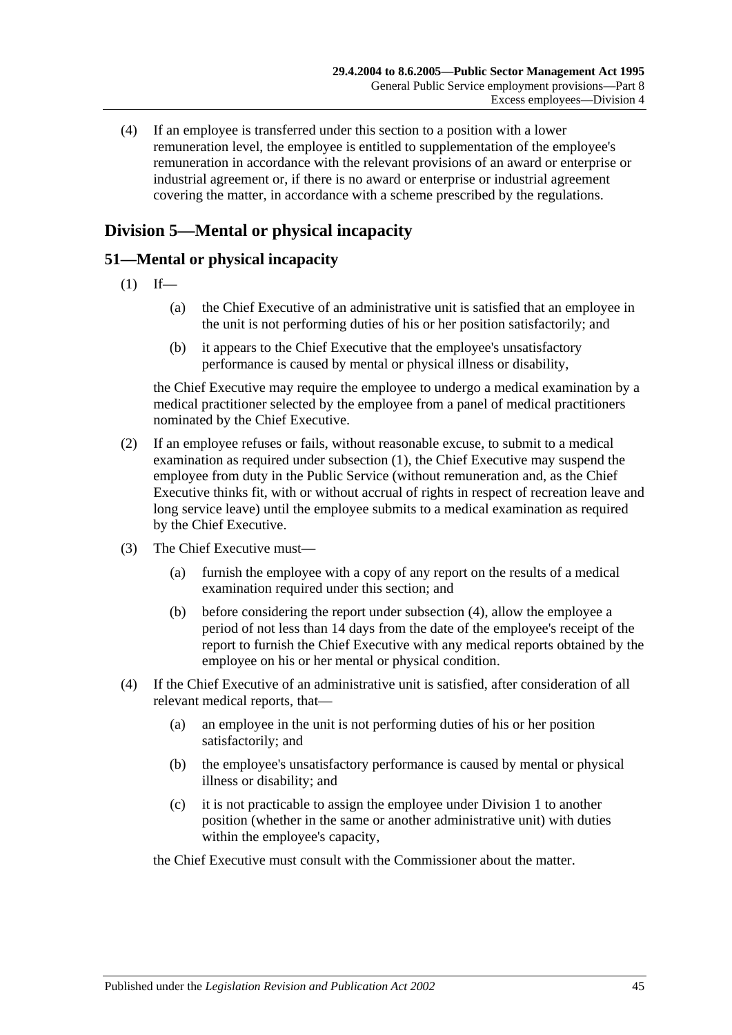(4) If an employee is transferred under this section to a position with a lower remuneration level, the employee is entitled to supplementation of the employee's remuneration in accordance with the relevant provisions of an award or enterprise or industrial agreement or, if there is no award or enterprise or industrial agreement covering the matter, in accordance with a scheme prescribed by the regulations.

# **Division 5—Mental or physical incapacity**

### <span id="page-44-0"></span>**51—Mental or physical incapacity**

- $(1)$  If—
	- (a) the Chief Executive of an administrative unit is satisfied that an employee in the unit is not performing duties of his or her position satisfactorily; and
	- (b) it appears to the Chief Executive that the employee's unsatisfactory performance is caused by mental or physical illness or disability,

the Chief Executive may require the employee to undergo a medical examination by a medical practitioner selected by the employee from a panel of medical practitioners nominated by the Chief Executive.

- (2) If an employee refuses or fails, without reasonable excuse, to submit to a medical examination as required under [subsection](#page-44-0) (1), the Chief Executive may suspend the employee from duty in the Public Service (without remuneration and, as the Chief Executive thinks fit, with or without accrual of rights in respect of recreation leave and long service leave) until the employee submits to a medical examination as required by the Chief Executive.
- <span id="page-44-2"></span>(3) The Chief Executive must—
	- (a) furnish the employee with a copy of any report on the results of a medical examination required under this section; and
	- (b) before considering the report under [subsection](#page-44-1) (4), allow the employee a period of not less than 14 days from the date of the employee's receipt of the report to furnish the Chief Executive with any medical reports obtained by the employee on his or her mental or physical condition.
- <span id="page-44-1"></span>(4) If the Chief Executive of an administrative unit is satisfied, after consideration of all relevant medical reports, that—
	- (a) an employee in the unit is not performing duties of his or her position satisfactorily; and
	- (b) the employee's unsatisfactory performance is caused by mental or physical illness or disability; and
	- (c) it is not practicable to assign the employee under [Division 1](#page-41-2) to another position (whether in the same or another administrative unit) with duties within the employee's capacity,

the Chief Executive must consult with the Commissioner about the matter.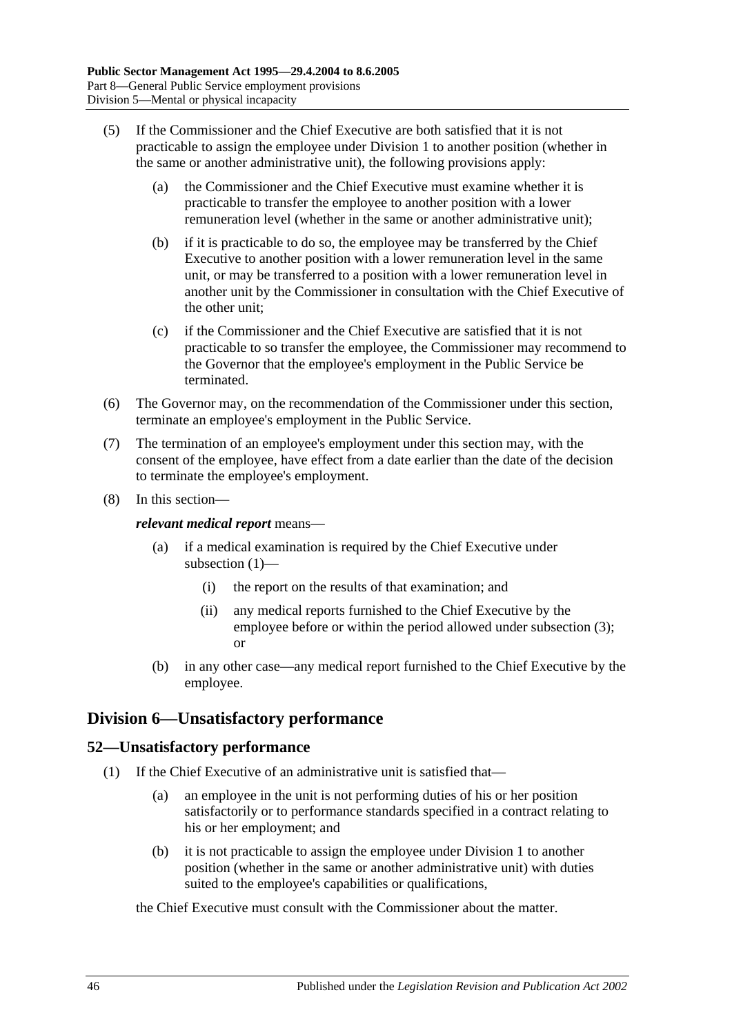- (5) If the Commissioner and the Chief Executive are both satisfied that it is not practicable to assign the employee under [Division 1](#page-41-2) to another position (whether in the same or another administrative unit), the following provisions apply:
	- (a) the Commissioner and the Chief Executive must examine whether it is practicable to transfer the employee to another position with a lower remuneration level (whether in the same or another administrative unit);
	- (b) if it is practicable to do so, the employee may be transferred by the Chief Executive to another position with a lower remuneration level in the same unit, or may be transferred to a position with a lower remuneration level in another unit by the Commissioner in consultation with the Chief Executive of the other unit;
	- (c) if the Commissioner and the Chief Executive are satisfied that it is not practicable to so transfer the employee, the Commissioner may recommend to the Governor that the employee's employment in the Public Service be terminated.
- (6) The Governor may, on the recommendation of the Commissioner under this section, terminate an employee's employment in the Public Service.
- (7) The termination of an employee's employment under this section may, with the consent of the employee, have effect from a date earlier than the date of the decision to terminate the employee's employment.
- (8) In this section—

*relevant medical report* means—

- (a) if a medical examination is required by the Chief Executive under [subsection](#page-44-0) (1)—
	- (i) the report on the results of that examination; and
	- (ii) any medical reports furnished to the Chief Executive by the employee before or within the period allowed under [subsection](#page-44-2) (3); or
- (b) in any other case—any medical report furnished to the Chief Executive by the employee.

# **Division 6—Unsatisfactory performance**

# **52—Unsatisfactory performance**

- (1) If the Chief Executive of an administrative unit is satisfied that—
	- (a) an employee in the unit is not performing duties of his or her position satisfactorily or to performance standards specified in a contract relating to his or her employment; and
	- (b) it is not practicable to assign the employee under [Division 1](#page-41-2) to another position (whether in the same or another administrative unit) with duties suited to the employee's capabilities or qualifications,

#### the Chief Executive must consult with the Commissioner about the matter.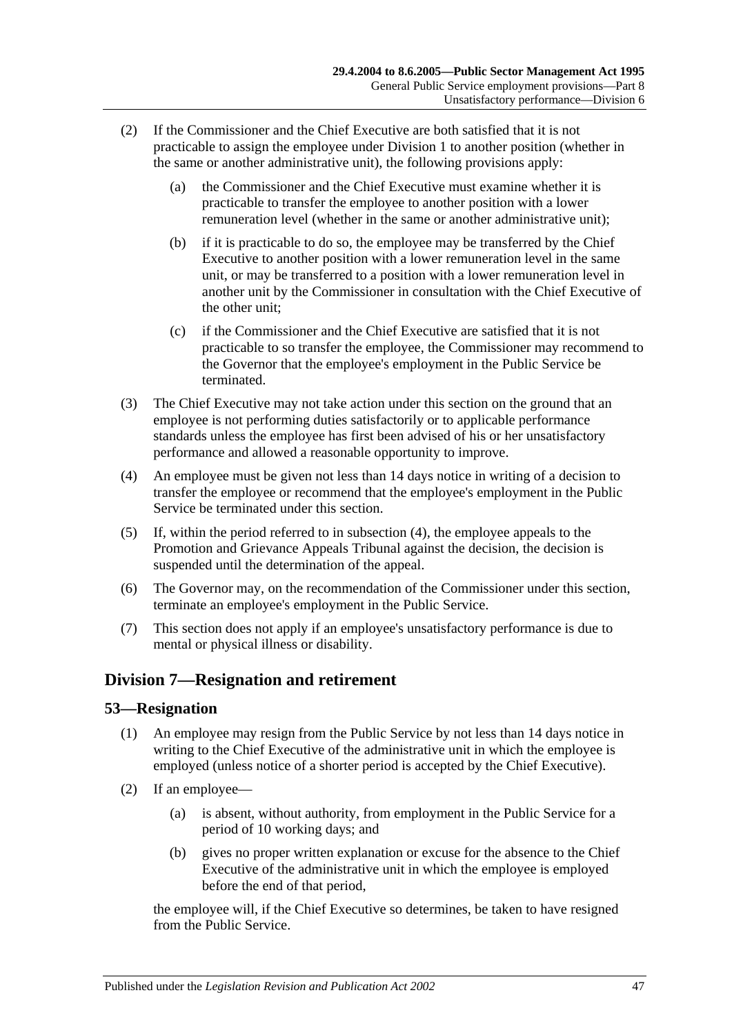- (2) If the Commissioner and the Chief Executive are both satisfied that it is not practicable to assign the employee under [Division 1](#page-41-2) to another position (whether in the same or another administrative unit), the following provisions apply:
	- (a) the Commissioner and the Chief Executive must examine whether it is practicable to transfer the employee to another position with a lower remuneration level (whether in the same or another administrative unit);
	- (b) if it is practicable to do so, the employee may be transferred by the Chief Executive to another position with a lower remuneration level in the same unit, or may be transferred to a position with a lower remuneration level in another unit by the Commissioner in consultation with the Chief Executive of the other unit;
	- (c) if the Commissioner and the Chief Executive are satisfied that it is not practicable to so transfer the employee, the Commissioner may recommend to the Governor that the employee's employment in the Public Service be terminated.
- (3) The Chief Executive may not take action under this section on the ground that an employee is not performing duties satisfactorily or to applicable performance standards unless the employee has first been advised of his or her unsatisfactory performance and allowed a reasonable opportunity to improve.
- <span id="page-46-0"></span>(4) An employee must be given not less than 14 days notice in writing of a decision to transfer the employee or recommend that the employee's employment in the Public Service be terminated under this section.
- (5) If, within the period referred to in [subsection](#page-46-0) (4), the employee appeals to the Promotion and Grievance Appeals Tribunal against the decision, the decision is suspended until the determination of the appeal.
- (6) The Governor may, on the recommendation of the Commissioner under this section, terminate an employee's employment in the Public Service.
- (7) This section does not apply if an employee's unsatisfactory performance is due to mental or physical illness or disability.

# **Division 7—Resignation and retirement**

#### **53—Resignation**

- (1) An employee may resign from the Public Service by not less than 14 days notice in writing to the Chief Executive of the administrative unit in which the employee is employed (unless notice of a shorter period is accepted by the Chief Executive).
- (2) If an employee—
	- (a) is absent, without authority, from employment in the Public Service for a period of 10 working days; and
	- (b) gives no proper written explanation or excuse for the absence to the Chief Executive of the administrative unit in which the employee is employed before the end of that period,

the employee will, if the Chief Executive so determines, be taken to have resigned from the Public Service.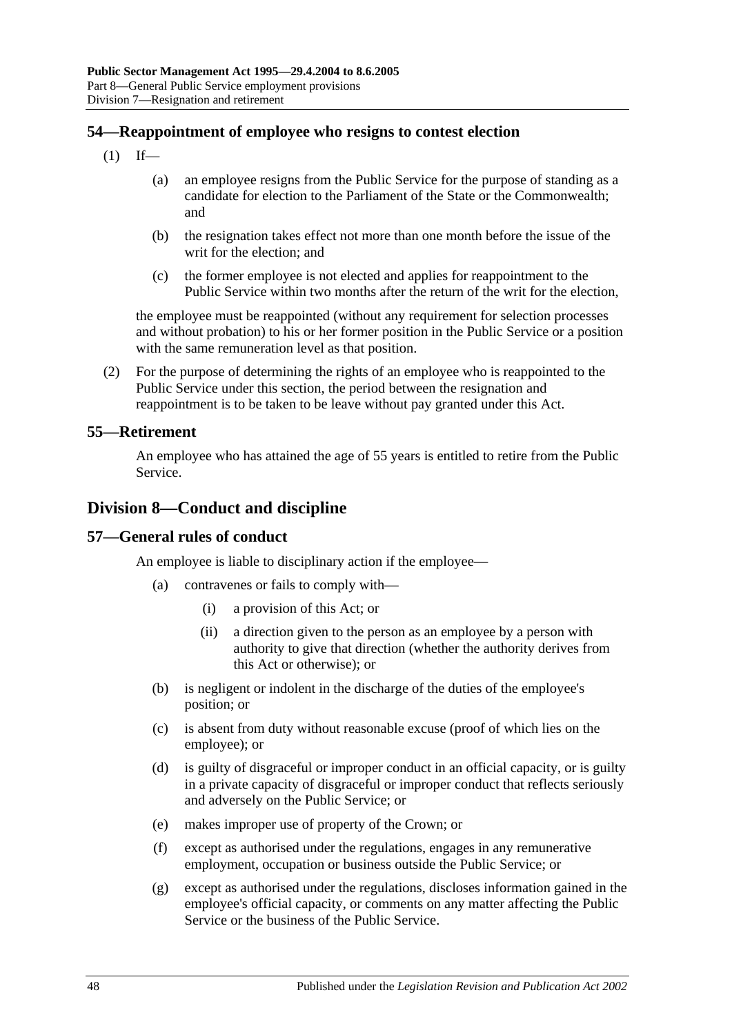### **54—Reappointment of employee who resigns to contest election**

- $(1)$  If—
	- (a) an employee resigns from the Public Service for the purpose of standing as a candidate for election to the Parliament of the State or the Commonwealth; and
	- (b) the resignation takes effect not more than one month before the issue of the writ for the election; and
	- (c) the former employee is not elected and applies for reappointment to the Public Service within two months after the return of the writ for the election,

the employee must be reappointed (without any requirement for selection processes and without probation) to his or her former position in the Public Service or a position with the same remuneration level as that position.

(2) For the purpose of determining the rights of an employee who is reappointed to the Public Service under this section, the period between the resignation and reappointment is to be taken to be leave without pay granted under this Act.

#### **55—Retirement**

An employee who has attained the age of 55 years is entitled to retire from the Public Service.

### **Division 8—Conduct and discipline**

#### **57—General rules of conduct**

An employee is liable to disciplinary action if the employee—

- (a) contravenes or fails to comply with—
	- (i) a provision of this Act; or
	- (ii) a direction given to the person as an employee by a person with authority to give that direction (whether the authority derives from this Act or otherwise); or
- (b) is negligent or indolent in the discharge of the duties of the employee's position; or
- (c) is absent from duty without reasonable excuse (proof of which lies on the employee); or
- (d) is guilty of disgraceful or improper conduct in an official capacity, or is guilty in a private capacity of disgraceful or improper conduct that reflects seriously and adversely on the Public Service; or
- (e) makes improper use of property of the Crown; or
- (f) except as authorised under the regulations, engages in any remunerative employment, occupation or business outside the Public Service; or
- (g) except as authorised under the regulations, discloses information gained in the employee's official capacity, or comments on any matter affecting the Public Service or the business of the Public Service.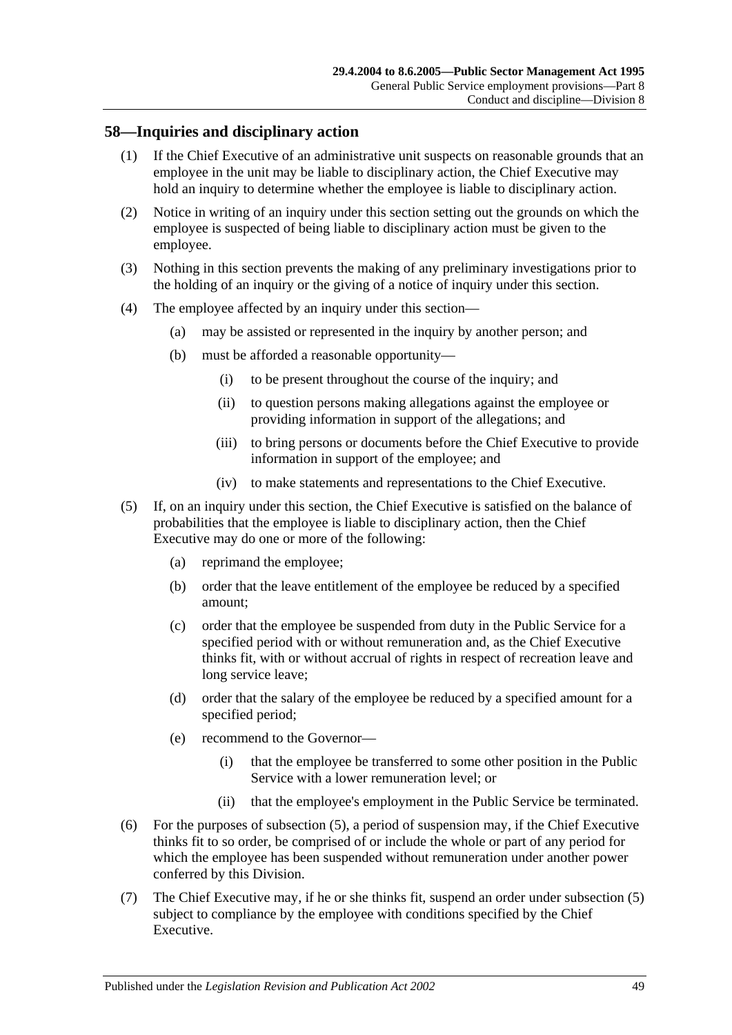#### **58—Inquiries and disciplinary action**

- (1) If the Chief Executive of an administrative unit suspects on reasonable grounds that an employee in the unit may be liable to disciplinary action, the Chief Executive may hold an inquiry to determine whether the employee is liable to disciplinary action.
- (2) Notice in writing of an inquiry under this section setting out the grounds on which the employee is suspected of being liable to disciplinary action must be given to the employee.
- (3) Nothing in this section prevents the making of any preliminary investigations prior to the holding of an inquiry or the giving of a notice of inquiry under this section.
- (4) The employee affected by an inquiry under this section—
	- (a) may be assisted or represented in the inquiry by another person; and
	- (b) must be afforded a reasonable opportunity—
		- (i) to be present throughout the course of the inquiry; and
		- (ii) to question persons making allegations against the employee or providing information in support of the allegations; and
		- (iii) to bring persons or documents before the Chief Executive to provide information in support of the employee; and
		- (iv) to make statements and representations to the Chief Executive.
- <span id="page-48-0"></span>(5) If, on an inquiry under this section, the Chief Executive is satisfied on the balance of probabilities that the employee is liable to disciplinary action, then the Chief Executive may do one or more of the following:
	- (a) reprimand the employee;
	- (b) order that the leave entitlement of the employee be reduced by a specified amount;
	- (c) order that the employee be suspended from duty in the Public Service for a specified period with or without remuneration and, as the Chief Executive thinks fit, with or without accrual of rights in respect of recreation leave and long service leave;
	- (d) order that the salary of the employee be reduced by a specified amount for a specified period;
	- (e) recommend to the Governor—
		- (i) that the employee be transferred to some other position in the Public Service with a lower remuneration level; or
		- (ii) that the employee's employment in the Public Service be terminated.
- (6) For the purposes of [subsection](#page-48-0) (5), a period of suspension may, if the Chief Executive thinks fit to so order, be comprised of or include the whole or part of any period for which the employee has been suspended without remuneration under another power conferred by this Division.
- (7) The Chief Executive may, if he or she thinks fit, suspend an order under [subsection](#page-48-0) (5) subject to compliance by the employee with conditions specified by the Chief Executive.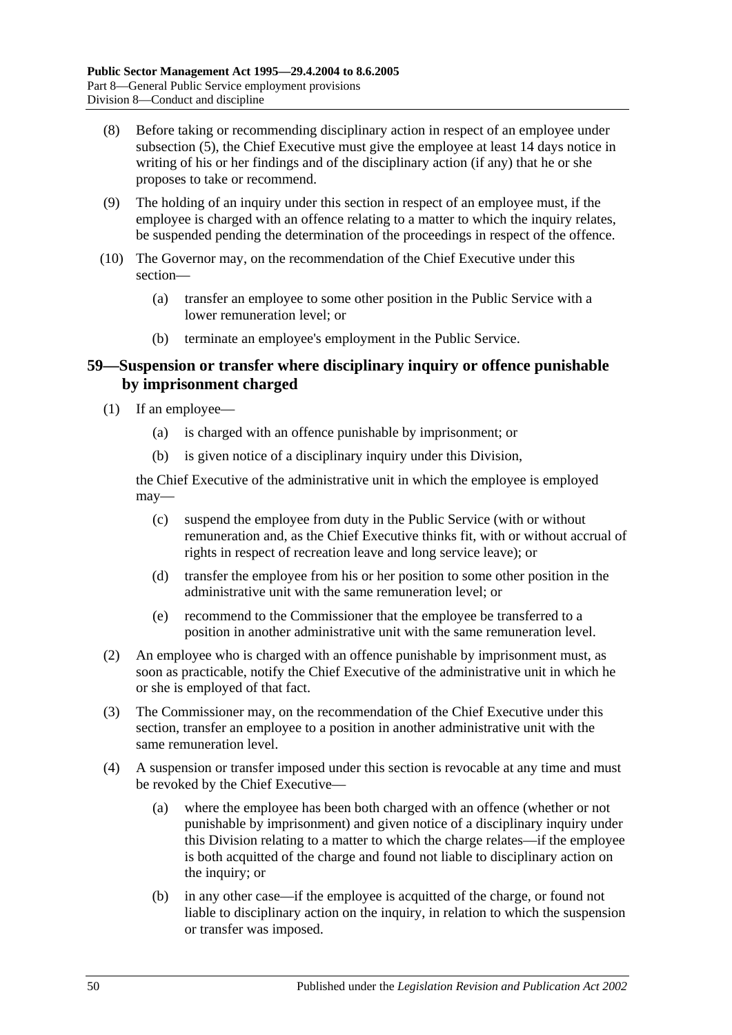- (8) Before taking or recommending disciplinary action in respect of an employee under [subsection](#page-48-0) (5), the Chief Executive must give the employee at least 14 days notice in writing of his or her findings and of the disciplinary action (if any) that he or she proposes to take or recommend.
- (9) The holding of an inquiry under this section in respect of an employee must, if the employee is charged with an offence relating to a matter to which the inquiry relates, be suspended pending the determination of the proceedings in respect of the offence.
- (10) The Governor may, on the recommendation of the Chief Executive under this section—
	- (a) transfer an employee to some other position in the Public Service with a lower remuneration level; or
	- (b) terminate an employee's employment in the Public Service.

#### **59—Suspension or transfer where disciplinary inquiry or offence punishable by imprisonment charged**

- (1) If an employee—
	- (a) is charged with an offence punishable by imprisonment; or
	- (b) is given notice of a disciplinary inquiry under this Division,

the Chief Executive of the administrative unit in which the employee is employed may—

- (c) suspend the employee from duty in the Public Service (with or without remuneration and, as the Chief Executive thinks fit, with or without accrual of rights in respect of recreation leave and long service leave); or
- (d) transfer the employee from his or her position to some other position in the administrative unit with the same remuneration level; or
- (e) recommend to the Commissioner that the employee be transferred to a position in another administrative unit with the same remuneration level.
- (2) An employee who is charged with an offence punishable by imprisonment must, as soon as practicable, notify the Chief Executive of the administrative unit in which he or she is employed of that fact.
- (3) The Commissioner may, on the recommendation of the Chief Executive under this section, transfer an employee to a position in another administrative unit with the same remuneration level.
- <span id="page-49-0"></span>(4) A suspension or transfer imposed under this section is revocable at any time and must be revoked by the Chief Executive—
	- (a) where the employee has been both charged with an offence (whether or not punishable by imprisonment) and given notice of a disciplinary inquiry under this Division relating to a matter to which the charge relates—if the employee is both acquitted of the charge and found not liable to disciplinary action on the inquiry; or
	- (b) in any other case—if the employee is acquitted of the charge, or found not liable to disciplinary action on the inquiry, in relation to which the suspension or transfer was imposed.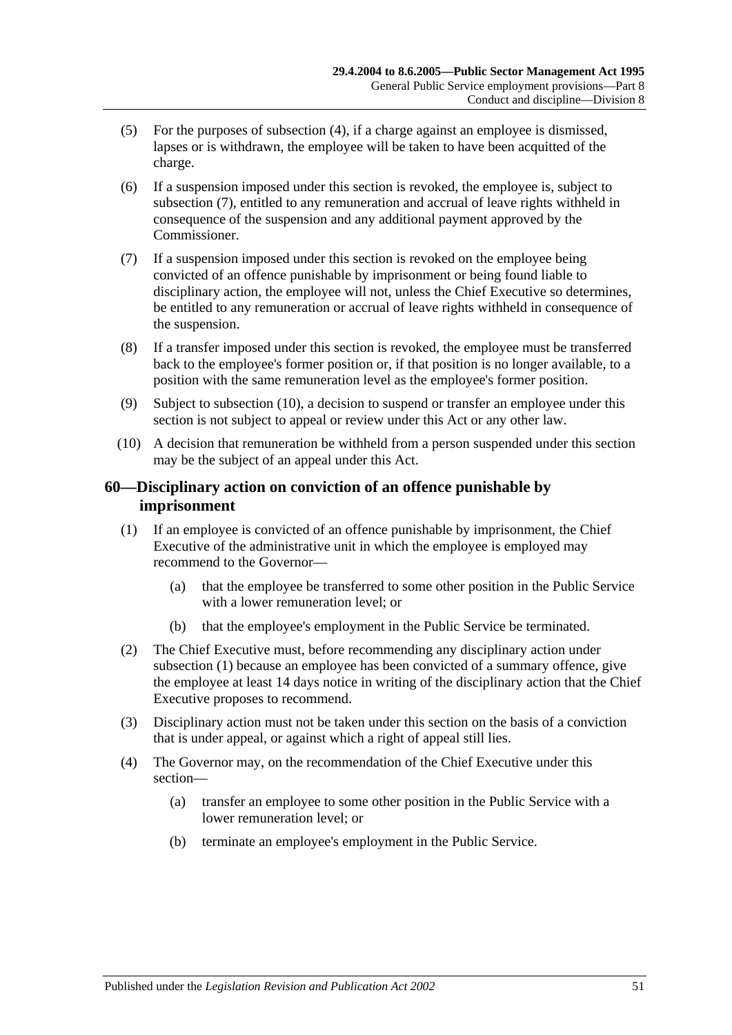- (5) For the purposes of [subsection](#page-49-0) (4), if a charge against an employee is dismissed, lapses or is withdrawn, the employee will be taken to have been acquitted of the charge.
- (6) If a suspension imposed under this section is revoked, the employee is, subject to [subsection](#page-50-0) (7), entitled to any remuneration and accrual of leave rights withheld in consequence of the suspension and any additional payment approved by the Commissioner.
- <span id="page-50-0"></span>(7) If a suspension imposed under this section is revoked on the employee being convicted of an offence punishable by imprisonment or being found liable to disciplinary action, the employee will not, unless the Chief Executive so determines, be entitled to any remuneration or accrual of leave rights withheld in consequence of the suspension.
- (8) If a transfer imposed under this section is revoked, the employee must be transferred back to the employee's former position or, if that position is no longer available, to a position with the same remuneration level as the employee's former position.
- (9) Subject to [subsection](#page-50-1) (10), a decision to suspend or transfer an employee under this section is not subject to appeal or review under this Act or any other law.
- <span id="page-50-1"></span>(10) A decision that remuneration be withheld from a person suspended under this section may be the subject of an appeal under this Act.

### **60—Disciplinary action on conviction of an offence punishable by imprisonment**

- <span id="page-50-2"></span>(1) If an employee is convicted of an offence punishable by imprisonment, the Chief Executive of the administrative unit in which the employee is employed may recommend to the Governor—
	- (a) that the employee be transferred to some other position in the Public Service with a lower remuneration level; or
	- (b) that the employee's employment in the Public Service be terminated.
- (2) The Chief Executive must, before recommending any disciplinary action under [subsection](#page-50-2) (1) because an employee has been convicted of a summary offence, give the employee at least 14 days notice in writing of the disciplinary action that the Chief Executive proposes to recommend.
- (3) Disciplinary action must not be taken under this section on the basis of a conviction that is under appeal, or against which a right of appeal still lies.
- (4) The Governor may, on the recommendation of the Chief Executive under this section—
	- (a) transfer an employee to some other position in the Public Service with a lower remuneration level; or
	- (b) terminate an employee's employment in the Public Service.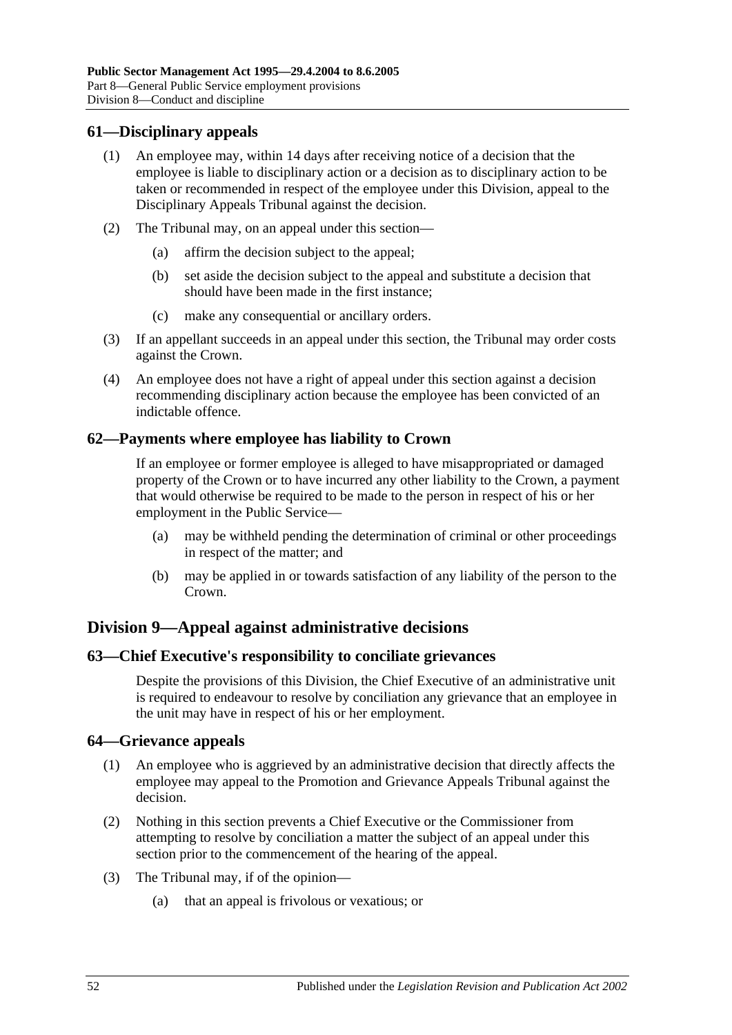#### **61—Disciplinary appeals**

- (1) An employee may, within 14 days after receiving notice of a decision that the employee is liable to disciplinary action or a decision as to disciplinary action to be taken or recommended in respect of the employee under this Division, appeal to the Disciplinary Appeals Tribunal against the decision.
- (2) The Tribunal may, on an appeal under this section—
	- (a) affirm the decision subject to the appeal;
	- (b) set aside the decision subject to the appeal and substitute a decision that should have been made in the first instance;
	- (c) make any consequential or ancillary orders.
- (3) If an appellant succeeds in an appeal under this section, the Tribunal may order costs against the Crown.
- (4) An employee does not have a right of appeal under this section against a decision recommending disciplinary action because the employee has been convicted of an indictable offence.

#### **62—Payments where employee has liability to Crown**

If an employee or former employee is alleged to have misappropriated or damaged property of the Crown or to have incurred any other liability to the Crown, a payment that would otherwise be required to be made to the person in respect of his or her employment in the Public Service—

- (a) may be withheld pending the determination of criminal or other proceedings in respect of the matter; and
- (b) may be applied in or towards satisfaction of any liability of the person to the Crown.

# **Division 9—Appeal against administrative decisions**

#### **63—Chief Executive's responsibility to conciliate grievances**

Despite the provisions of this Division, the Chief Executive of an administrative unit is required to endeavour to resolve by conciliation any grievance that an employee in the unit may have in respect of his or her employment.

#### **64—Grievance appeals**

- (1) An employee who is aggrieved by an administrative decision that directly affects the employee may appeal to the Promotion and Grievance Appeals Tribunal against the decision.
- (2) Nothing in this section prevents a Chief Executive or the Commissioner from attempting to resolve by conciliation a matter the subject of an appeal under this section prior to the commencement of the hearing of the appeal.
- (3) The Tribunal may, if of the opinion—
	- (a) that an appeal is frivolous or vexatious; or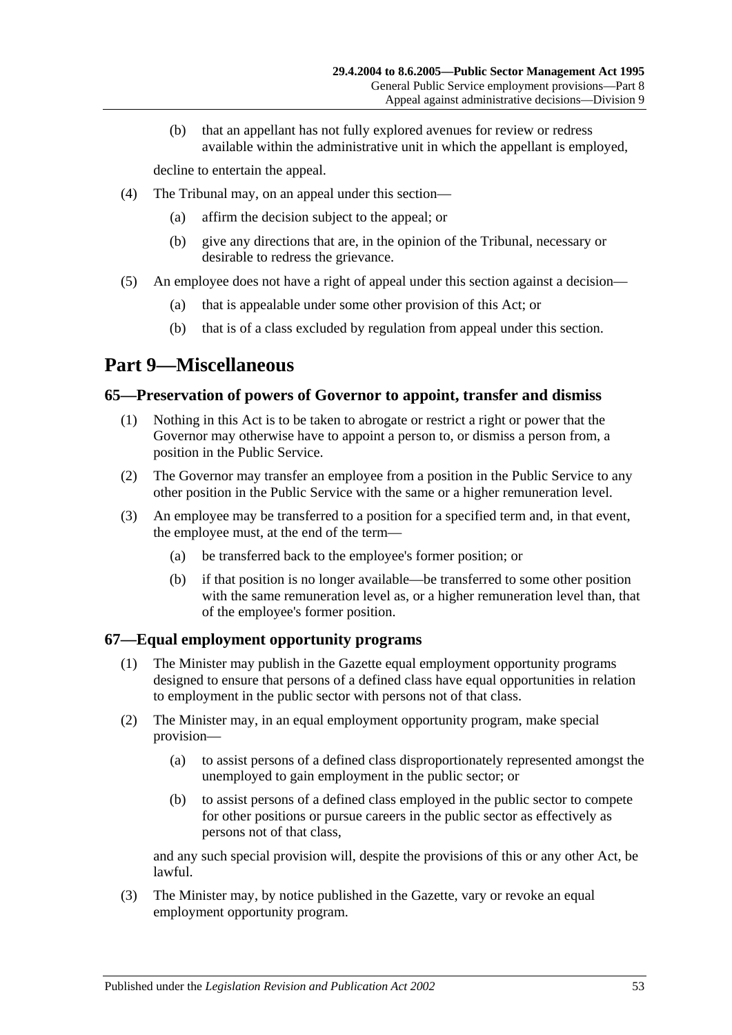(b) that an appellant has not fully explored avenues for review or redress available within the administrative unit in which the appellant is employed,

decline to entertain the appeal.

- (4) The Tribunal may, on an appeal under this section—
	- (a) affirm the decision subject to the appeal; or
	- (b) give any directions that are, in the opinion of the Tribunal, necessary or desirable to redress the grievance.
- (5) An employee does not have a right of appeal under this section against a decision—
	- (a) that is appealable under some other provision of this Act; or
	- (b) that is of a class excluded by regulation from appeal under this section.

# <span id="page-52-0"></span>**Part 9—Miscellaneous**

#### **65—Preservation of powers of Governor to appoint, transfer and dismiss**

- (1) Nothing in this Act is to be taken to abrogate or restrict a right or power that the Governor may otherwise have to appoint a person to, or dismiss a person from, a position in the Public Service.
- (2) The Governor may transfer an employee from a position in the Public Service to any other position in the Public Service with the same or a higher remuneration level.
- (3) An employee may be transferred to a position for a specified term and, in that event, the employee must, at the end of the term—
	- (a) be transferred back to the employee's former position; or
	- (b) if that position is no longer available—be transferred to some other position with the same remuneration level as, or a higher remuneration level than, that of the employee's former position.

# **67—Equal employment opportunity programs**

- (1) The Minister may publish in the Gazette equal employment opportunity programs designed to ensure that persons of a defined class have equal opportunities in relation to employment in the public sector with persons not of that class.
- (2) The Minister may, in an equal employment opportunity program, make special provision—
	- (a) to assist persons of a defined class disproportionately represented amongst the unemployed to gain employment in the public sector; or
	- (b) to assist persons of a defined class employed in the public sector to compete for other positions or pursue careers in the public sector as effectively as persons not of that class,

and any such special provision will, despite the provisions of this or any other Act, be lawful.

(3) The Minister may, by notice published in the Gazette, vary or revoke an equal employment opportunity program.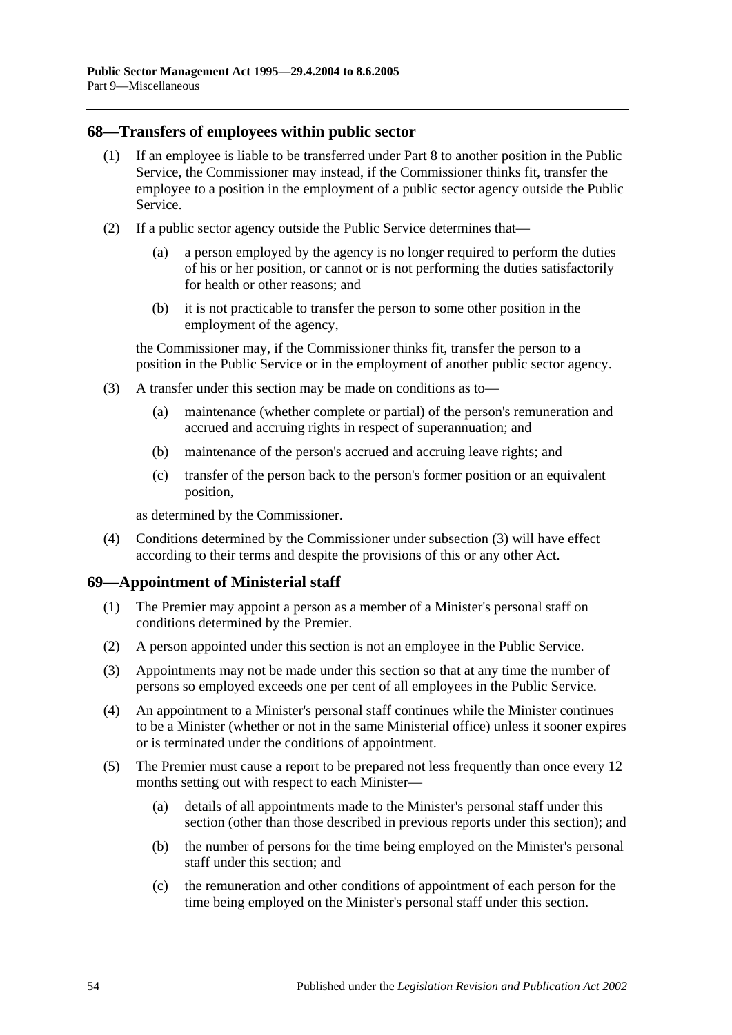#### **68—Transfers of employees within public sector**

- (1) If an employee is liable to be transferred under [Part 8](#page-41-0) to another position in the Public Service, the Commissioner may instead, if the Commissioner thinks fit, transfer the employee to a position in the employment of a public sector agency outside the Public Service.
- (2) If a public sector agency outside the Public Service determines that—
	- (a) a person employed by the agency is no longer required to perform the duties of his or her position, or cannot or is not performing the duties satisfactorily for health or other reasons; and
	- (b) it is not practicable to transfer the person to some other position in the employment of the agency,

the Commissioner may, if the Commissioner thinks fit, transfer the person to a position in the Public Service or in the employment of another public sector agency.

- <span id="page-53-0"></span>(3) A transfer under this section may be made on conditions as to—
	- (a) maintenance (whether complete or partial) of the person's remuneration and accrued and accruing rights in respect of superannuation; and
	- (b) maintenance of the person's accrued and accruing leave rights; and
	- (c) transfer of the person back to the person's former position or an equivalent position,

as determined by the Commissioner.

(4) Conditions determined by the Commissioner under [subsection](#page-53-0) (3) will have effect according to their terms and despite the provisions of this or any other Act.

#### **69—Appointment of Ministerial staff**

- (1) The Premier may appoint a person as a member of a Minister's personal staff on conditions determined by the Premier.
- (2) A person appointed under this section is not an employee in the Public Service.
- (3) Appointments may not be made under this section so that at any time the number of persons so employed exceeds one per cent of all employees in the Public Service.
- (4) An appointment to a Minister's personal staff continues while the Minister continues to be a Minister (whether or not in the same Ministerial office) unless it sooner expires or is terminated under the conditions of appointment.
- <span id="page-53-1"></span>(5) The Premier must cause a report to be prepared not less frequently than once every 12 months setting out with respect to each Minister—
	- (a) details of all appointments made to the Minister's personal staff under this section (other than those described in previous reports under this section); and
	- (b) the number of persons for the time being employed on the Minister's personal staff under this section; and
	- (c) the remuneration and other conditions of appointment of each person for the time being employed on the Minister's personal staff under this section.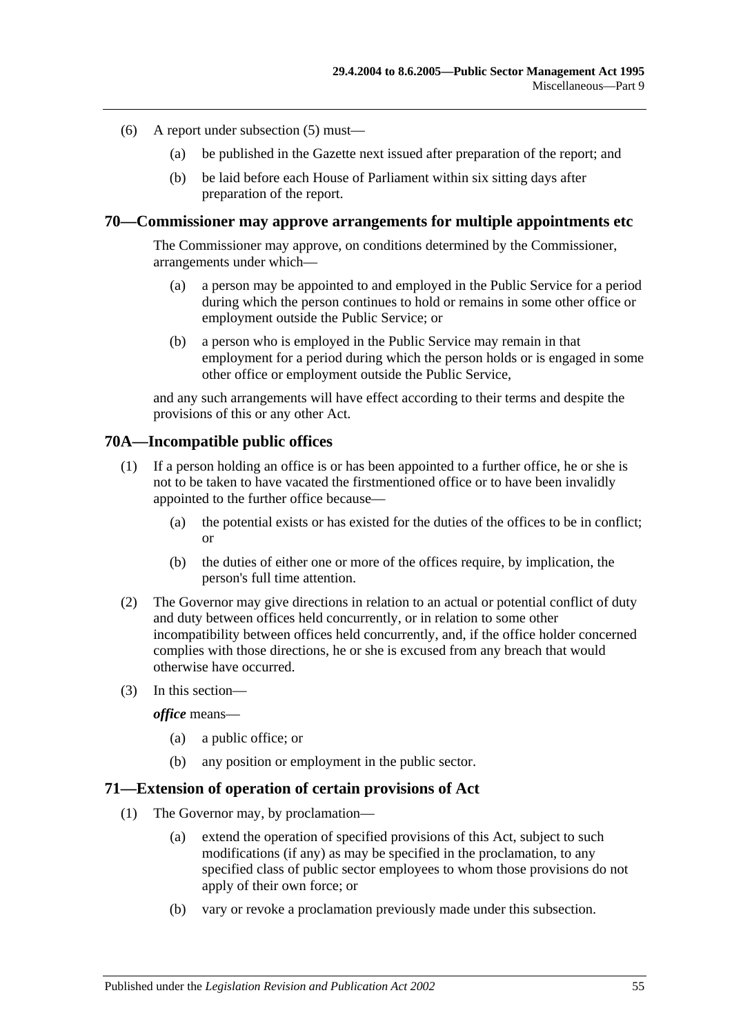- (6) A report under [subsection](#page-53-1) (5) must—
	- (a) be published in the Gazette next issued after preparation of the report; and
	- (b) be laid before each House of Parliament within six sitting days after preparation of the report.

#### **70—Commissioner may approve arrangements for multiple appointments etc**

The Commissioner may approve, on conditions determined by the Commissioner, arrangements under which—

- (a) a person may be appointed to and employed in the Public Service for a period during which the person continues to hold or remains in some other office or employment outside the Public Service; or
- (b) a person who is employed in the Public Service may remain in that employment for a period during which the person holds or is engaged in some other office or employment outside the Public Service,

and any such arrangements will have effect according to their terms and despite the provisions of this or any other Act.

#### **70A—Incompatible public offices**

- (1) If a person holding an office is or has been appointed to a further office, he or she is not to be taken to have vacated the firstmentioned office or to have been invalidly appointed to the further office because—
	- (a) the potential exists or has existed for the duties of the offices to be in conflict; or
	- (b) the duties of either one or more of the offices require, by implication, the person's full time attention.
- (2) The Governor may give directions in relation to an actual or potential conflict of duty and duty between offices held concurrently, or in relation to some other incompatibility between offices held concurrently, and, if the office holder concerned complies with those directions, he or she is excused from any breach that would otherwise have occurred.
- (3) In this section—

*office* means—

- (a) a public office; or
- (b) any position or employment in the public sector.

#### **71—Extension of operation of certain provisions of Act**

- (1) The Governor may, by proclamation—
	- (a) extend the operation of specified provisions of this Act, subject to such modifications (if any) as may be specified in the proclamation, to any specified class of public sector employees to whom those provisions do not apply of their own force; or
	- (b) vary or revoke a proclamation previously made under this subsection.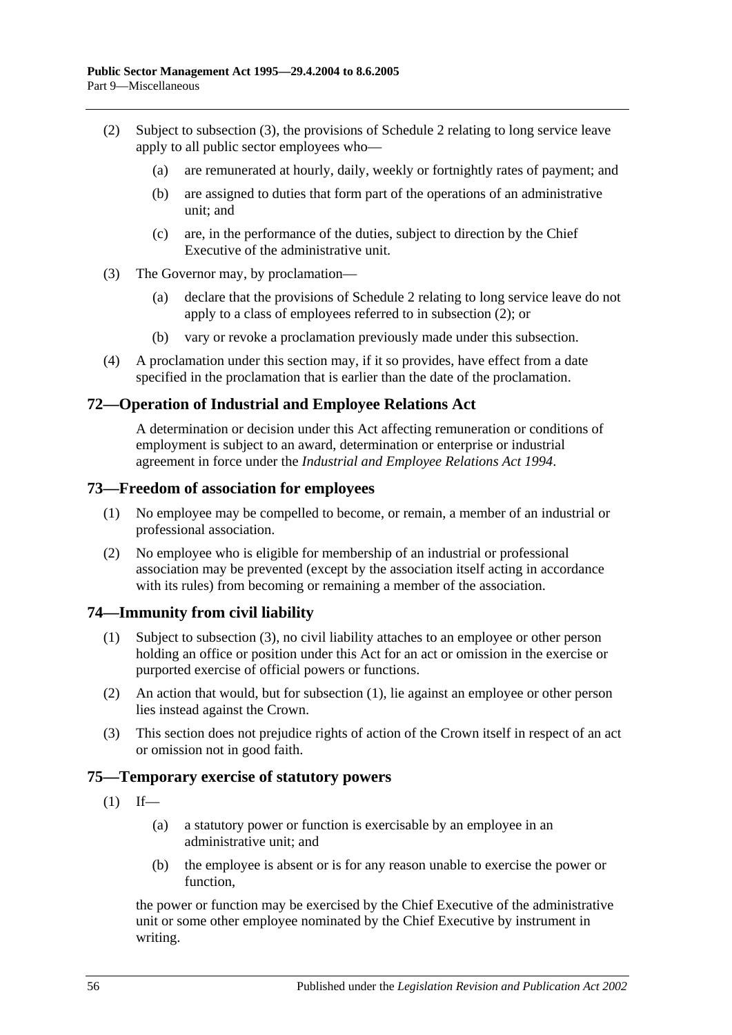- <span id="page-55-1"></span>(2) Subject to [subsection](#page-55-0) (3), the provisions of [Schedule 2](#page-58-0) relating to long service leave apply to all public sector employees who—
	- (a) are remunerated at hourly, daily, weekly or fortnightly rates of payment; and
	- (b) are assigned to duties that form part of the operations of an administrative unit; and
	- (c) are, in the performance of the duties, subject to direction by the Chief Executive of the administrative unit.
- <span id="page-55-0"></span>(3) The Governor may, by proclamation—
	- (a) declare that the provisions of [Schedule 2](#page-58-0) relating to long service leave do not apply to a class of employees referred to in [subsection](#page-55-1) (2); or
	- (b) vary or revoke a proclamation previously made under this subsection.
- (4) A proclamation under this section may, if it so provides, have effect from a date specified in the proclamation that is earlier than the date of the proclamation.

#### **72—Operation of Industrial and Employee Relations Act**

A determination or decision under this Act affecting remuneration or conditions of employment is subject to an award, determination or enterprise or industrial agreement in force under the *Industrial [and Employee Relations Act](http://www.legislation.sa.gov.au/index.aspx?action=legref&type=act&legtitle=Industrial%20and%20Employee%20Relations%20Act%201994) 1994*.

#### **73—Freedom of association for employees**

- (1) No employee may be compelled to become, or remain, a member of an industrial or professional association.
- (2) No employee who is eligible for membership of an industrial or professional association may be prevented (except by the association itself acting in accordance with its rules) from becoming or remaining a member of the association.

#### <span id="page-55-3"></span>**74—Immunity from civil liability**

- (1) Subject to [subsection](#page-55-2) (3), no civil liability attaches to an employee or other person holding an office or position under this Act for an act or omission in the exercise or purported exercise of official powers or functions.
- (2) An action that would, but for [subsection](#page-55-3) (1), lie against an employee or other person lies instead against the Crown.
- <span id="page-55-2"></span>(3) This section does not prejudice rights of action of the Crown itself in respect of an act or omission not in good faith.

#### **75—Temporary exercise of statutory powers**

- $(1)$  If—
	- (a) a statutory power or function is exercisable by an employee in an administrative unit; and
	- (b) the employee is absent or is for any reason unable to exercise the power or function,

the power or function may be exercised by the Chief Executive of the administrative unit or some other employee nominated by the Chief Executive by instrument in writing.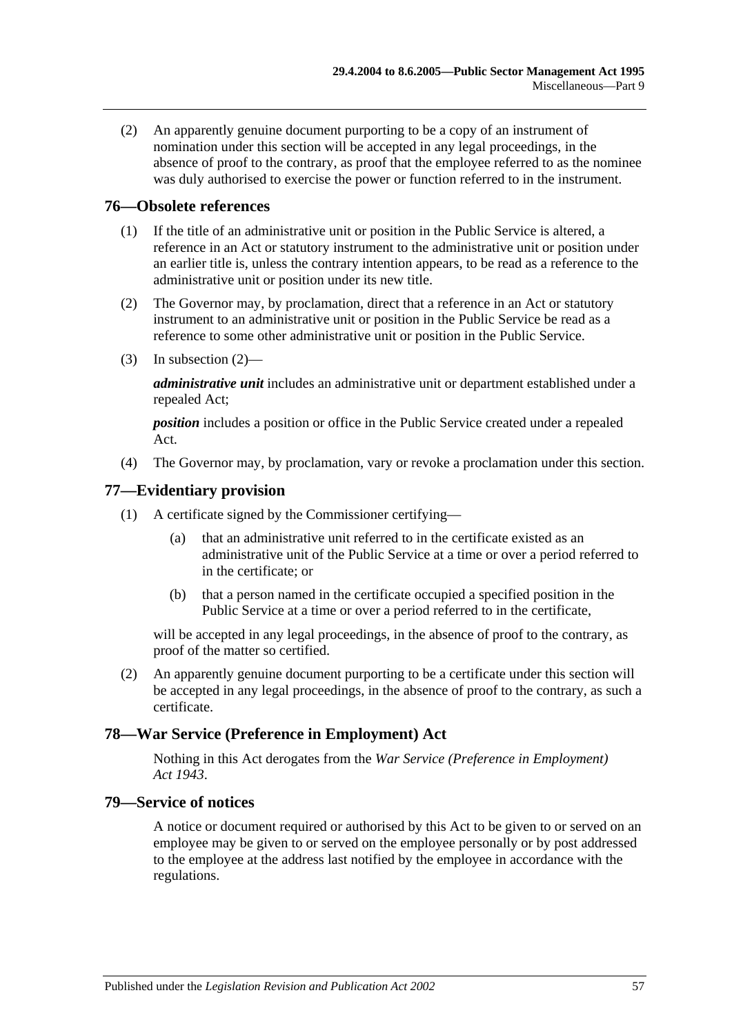(2) An apparently genuine document purporting to be a copy of an instrument of nomination under this section will be accepted in any legal proceedings, in the absence of proof to the contrary, as proof that the employee referred to as the nominee was duly authorised to exercise the power or function referred to in the instrument.

#### **76—Obsolete references**

- (1) If the title of an administrative unit or position in the Public Service is altered, a reference in an Act or statutory instrument to the administrative unit or position under an earlier title is, unless the contrary intention appears, to be read as a reference to the administrative unit or position under its new title.
- <span id="page-56-0"></span>(2) The Governor may, by proclamation, direct that a reference in an Act or statutory instrument to an administrative unit or position in the Public Service be read as a reference to some other administrative unit or position in the Public Service.
- (3) In [subsection](#page-56-0) (2)—

*administrative unit* includes an administrative unit or department established under a repealed Act;

*position* includes a position or office in the Public Service created under a repealed Act.

(4) The Governor may, by proclamation, vary or revoke a proclamation under this section.

#### **77—Evidentiary provision**

- (1) A certificate signed by the Commissioner certifying—
	- (a) that an administrative unit referred to in the certificate existed as an administrative unit of the Public Service at a time or over a period referred to in the certificate; or
	- (b) that a person named in the certificate occupied a specified position in the Public Service at a time or over a period referred to in the certificate,

will be accepted in any legal proceedings, in the absence of proof to the contrary, as proof of the matter so certified.

(2) An apparently genuine document purporting to be a certificate under this section will be accepted in any legal proceedings, in the absence of proof to the contrary, as such a certificate.

#### **78—War Service (Preference in Employment) Act**

Nothing in this Act derogates from the *[War Service \(Preference in Employment\)](http://www.legislation.sa.gov.au/index.aspx?action=legref&type=act&legtitle=War%20Service%20(Preference%20in%20Employment)%20Act%201943)  Act [1943](http://www.legislation.sa.gov.au/index.aspx?action=legref&type=act&legtitle=War%20Service%20(Preference%20in%20Employment)%20Act%201943)*.

#### **79—Service of notices**

A notice or document required or authorised by this Act to be given to or served on an employee may be given to or served on the employee personally or by post addressed to the employee at the address last notified by the employee in accordance with the regulations.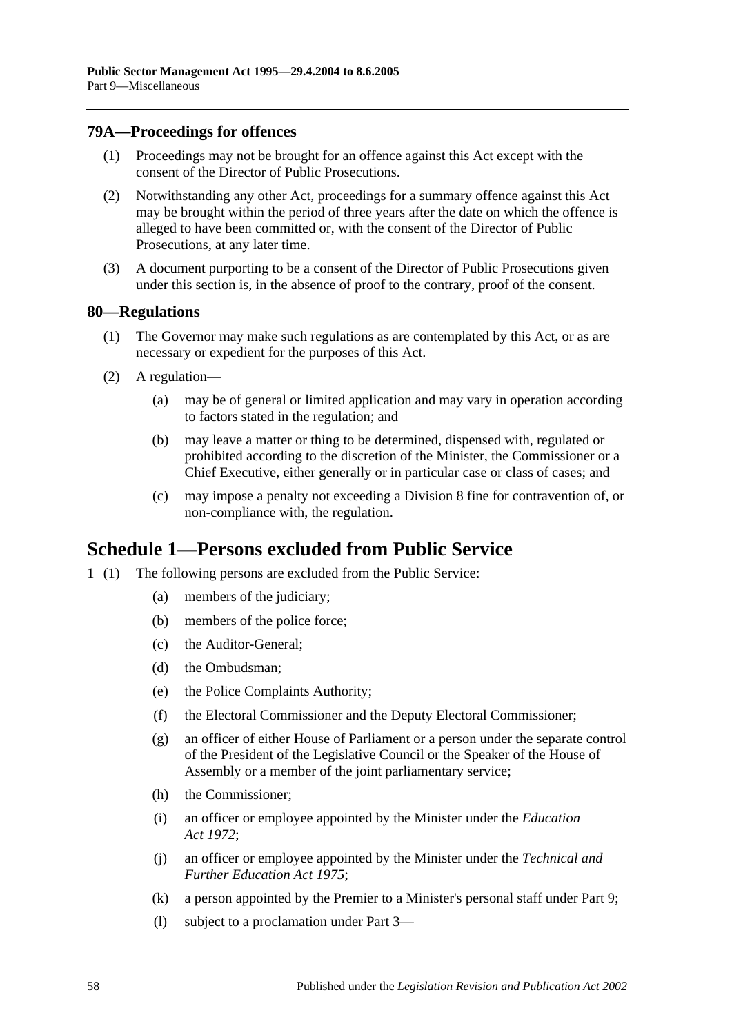#### **79A—Proceedings for offences**

- (1) Proceedings may not be brought for an offence against this Act except with the consent of the Director of Public Prosecutions.
- (2) Notwithstanding any other Act, proceedings for a summary offence against this Act may be brought within the period of three years after the date on which the offence is alleged to have been committed or, with the consent of the Director of Public Prosecutions, at any later time.
- (3) A document purporting to be a consent of the Director of Public Prosecutions given under this section is, in the absence of proof to the contrary, proof of the consent.

#### **80—Regulations**

- (1) The Governor may make such regulations as are contemplated by this Act, or as are necessary or expedient for the purposes of this Act.
- (2) A regulation—
	- (a) may be of general or limited application and may vary in operation according to factors stated in the regulation; and
	- (b) may leave a matter or thing to be determined, dispensed with, regulated or prohibited according to the discretion of the Minister, the Commissioner or a Chief Executive, either generally or in particular case or class of cases; and
	- (c) may impose a penalty not exceeding a Division 8 fine for contravention of, or non-compliance with, the regulation.

# **Schedule 1—Persons excluded from Public Service**

- 1 (1) The following persons are excluded from the Public Service:
	- (a) members of the judiciary;
	- (b) members of the police force;
	- (c) the Auditor-General;
	- (d) the Ombudsman;
	- (e) the Police Complaints Authority;
	- (f) the Electoral Commissioner and the Deputy Electoral Commissioner;
	- (g) an officer of either House of Parliament or a person under the separate control of the President of the Legislative Council or the Speaker of the House of Assembly or a member of the joint parliamentary service;
	- (h) the Commissioner;
	- (i) an officer or employee appointed by the Minister under the *[Education](http://www.legislation.sa.gov.au/index.aspx?action=legref&type=act&legtitle=Education%20Act%201972)  Act [1972](http://www.legislation.sa.gov.au/index.aspx?action=legref&type=act&legtitle=Education%20Act%201972)*;
	- (j) an officer or employee appointed by the Minister under the *[Technical and](http://www.legislation.sa.gov.au/index.aspx?action=legref&type=act&legtitle=Technical%20and%20Further%20Education%20Act%201975)  [Further Education Act](http://www.legislation.sa.gov.au/index.aspx?action=legref&type=act&legtitle=Technical%20and%20Further%20Education%20Act%201975) 1975*;
	- (k) a person appointed by the Premier to a Minister's personal staff under [Part 9;](#page-52-0)
	- (l) subject to a proclamation under [Part 3—](#page-24-0)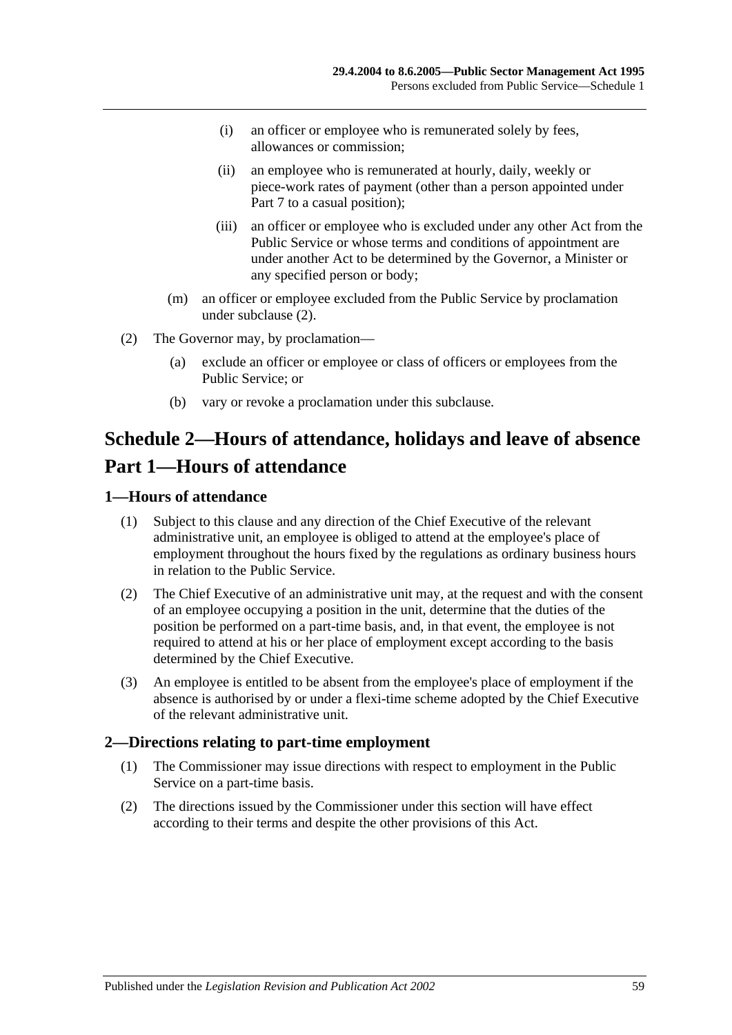- (i) an officer or employee who is remunerated solely by fees, allowances or commission;
- (ii) an employee who is remunerated at hourly, daily, weekly or piece-work rates of payment (other than a person appointed under [Part 7](#page-35-0) to a casual position);
- (iii) an officer or employee who is excluded under any other Act from the Public Service or whose terms and conditions of appointment are under another Act to be determined by the Governor, a Minister or any specified person or body;
- (m) an officer or employee excluded from the Public Service by proclamation under [subclause](#page-58-1) (2).
- <span id="page-58-1"></span>(2) The Governor may, by proclamation—
	- (a) exclude an officer or employee or class of officers or employees from the Public Service; or
	- (b) vary or revoke a proclamation under this subclause.

# <span id="page-58-0"></span>**Schedule 2—Hours of attendance, holidays and leave of absence Part 1—Hours of attendance**

#### **1—Hours of attendance**

- (1) Subject to this clause and any direction of the Chief Executive of the relevant administrative unit, an employee is obliged to attend at the employee's place of employment throughout the hours fixed by the regulations as ordinary business hours in relation to the Public Service.
- (2) The Chief Executive of an administrative unit may, at the request and with the consent of an employee occupying a position in the unit, determine that the duties of the position be performed on a part-time basis, and, in that event, the employee is not required to attend at his or her place of employment except according to the basis determined by the Chief Executive.
- (3) An employee is entitled to be absent from the employee's place of employment if the absence is authorised by or under a flexi-time scheme adopted by the Chief Executive of the relevant administrative unit.

#### **2—Directions relating to part-time employment**

- (1) The Commissioner may issue directions with respect to employment in the Public Service on a part-time basis.
- (2) The directions issued by the Commissioner under this section will have effect according to their terms and despite the other provisions of this Act.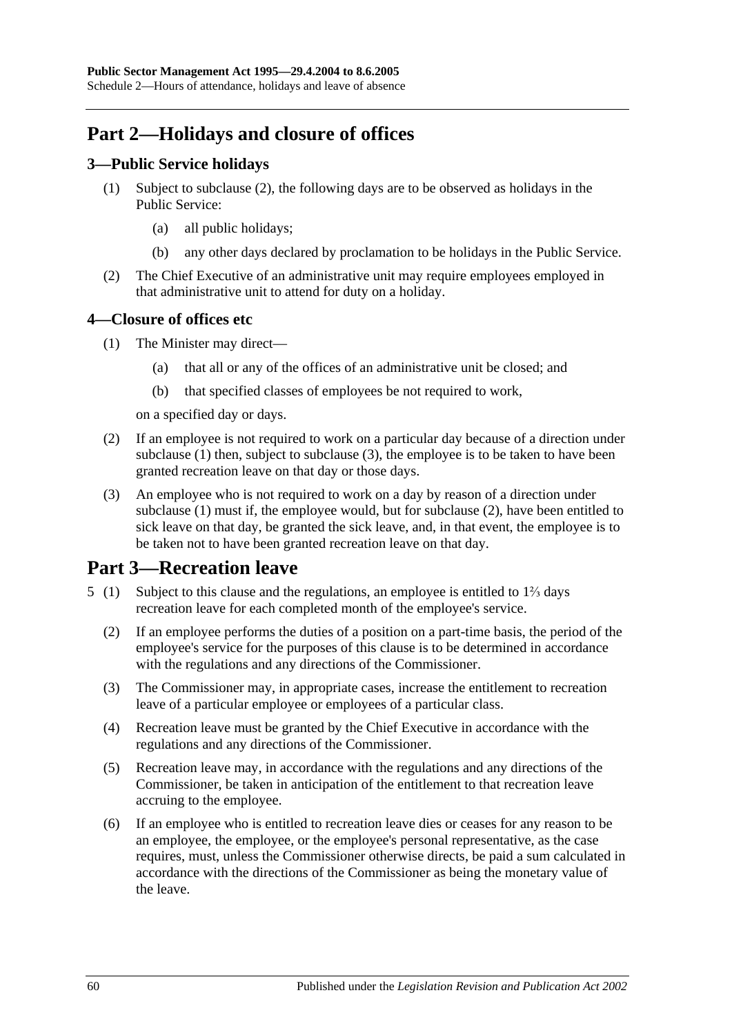# **Part 2—Holidays and closure of offices**

### **3—Public Service holidays**

- (1) Subject to [subclause](#page-59-0) (2), the following days are to be observed as holidays in the Public Service:
	- (a) all public holidays;
	- (b) any other days declared by proclamation to be holidays in the Public Service.
- <span id="page-59-0"></span>(2) The Chief Executive of an administrative unit may require employees employed in that administrative unit to attend for duty on a holiday.

### <span id="page-59-1"></span>**4—Closure of offices etc**

- (1) The Minister may direct—
	- (a) that all or any of the offices of an administrative unit be closed; and
	- (b) that specified classes of employees be not required to work,

on a specified day or days.

- <span id="page-59-3"></span>(2) If an employee is not required to work on a particular day because of a direction under [subclause](#page-59-1) (1) then, subject to [subclause](#page-59-2) (3), the employee is to be taken to have been granted recreation leave on that day or those days.
- <span id="page-59-2"></span>(3) An employee who is not required to work on a day by reason of a direction under [subclause](#page-59-1) (1) must if, the employee would, but for [subclause](#page-59-3) (2), have been entitled to sick leave on that day, be granted the sick leave, and, in that event, the employee is to be taken not to have been granted recreation leave on that day.

# **Part 3—Recreation leave**

- 5 (1) Subject to this clause and the regulations, an employee is entitled to 1⅔ days recreation leave for each completed month of the employee's service.
	- (2) If an employee performs the duties of a position on a part-time basis, the period of the employee's service for the purposes of this clause is to be determined in accordance with the regulations and any directions of the Commissioner.
	- (3) The Commissioner may, in appropriate cases, increase the entitlement to recreation leave of a particular employee or employees of a particular class.
	- (4) Recreation leave must be granted by the Chief Executive in accordance with the regulations and any directions of the Commissioner.
	- (5) Recreation leave may, in accordance with the regulations and any directions of the Commissioner, be taken in anticipation of the entitlement to that recreation leave accruing to the employee.
	- (6) If an employee who is entitled to recreation leave dies or ceases for any reason to be an employee, the employee, or the employee's personal representative, as the case requires, must, unless the Commissioner otherwise directs, be paid a sum calculated in accordance with the directions of the Commissioner as being the monetary value of the leave.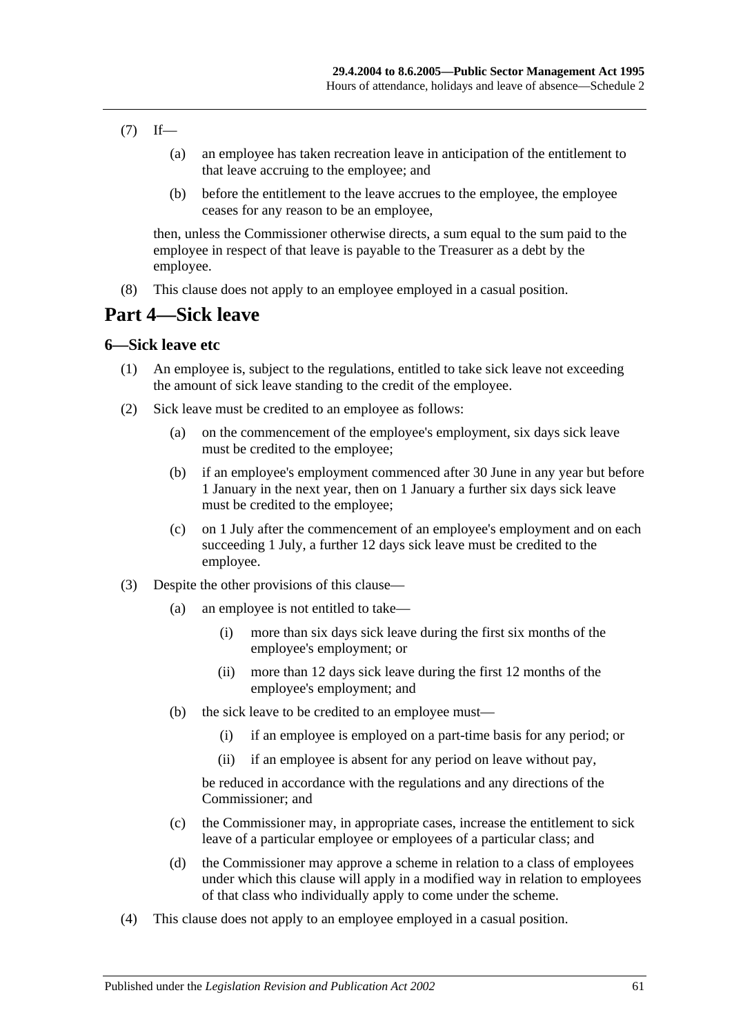- $(7)$  If—
	- (a) an employee has taken recreation leave in anticipation of the entitlement to that leave accruing to the employee; and
	- (b) before the entitlement to the leave accrues to the employee, the employee ceases for any reason to be an employee,

then, unless the Commissioner otherwise directs, a sum equal to the sum paid to the employee in respect of that leave is payable to the Treasurer as a debt by the employee.

(8) This clause does not apply to an employee employed in a casual position.

# **Part 4—Sick leave**

#### **6—Sick leave etc**

- (1) An employee is, subject to the regulations, entitled to take sick leave not exceeding the amount of sick leave standing to the credit of the employee.
- (2) Sick leave must be credited to an employee as follows:
	- (a) on the commencement of the employee's employment, six days sick leave must be credited to the employee;
	- (b) if an employee's employment commenced after 30 June in any year but before 1 January in the next year, then on 1 January a further six days sick leave must be credited to the employee;
	- (c) on 1 July after the commencement of an employee's employment and on each succeeding 1 July, a further 12 days sick leave must be credited to the employee.
- (3) Despite the other provisions of this clause—
	- (a) an employee is not entitled to take—
		- (i) more than six days sick leave during the first six months of the employee's employment; or
		- (ii) more than 12 days sick leave during the first 12 months of the employee's employment; and
	- (b) the sick leave to be credited to an employee must—
		- (i) if an employee is employed on a part-time basis for any period; or
		- (ii) if an employee is absent for any period on leave without pay,

be reduced in accordance with the regulations and any directions of the Commissioner; and

- (c) the Commissioner may, in appropriate cases, increase the entitlement to sick leave of a particular employee or employees of a particular class; and
- (d) the Commissioner may approve a scheme in relation to a class of employees under which this clause will apply in a modified way in relation to employees of that class who individually apply to come under the scheme.
- (4) This clause does not apply to an employee employed in a casual position.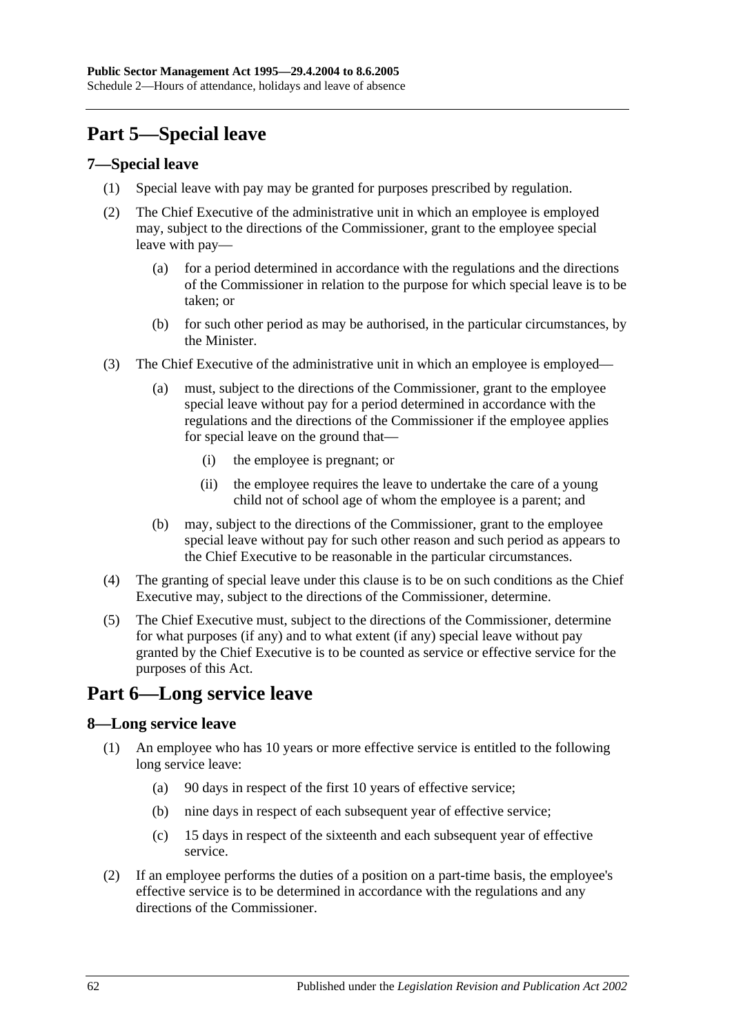# **Part 5—Special leave**

#### **7—Special leave**

- (1) Special leave with pay may be granted for purposes prescribed by regulation.
- (2) The Chief Executive of the administrative unit in which an employee is employed may, subject to the directions of the Commissioner, grant to the employee special leave with pay—
	- (a) for a period determined in accordance with the regulations and the directions of the Commissioner in relation to the purpose for which special leave is to be taken; or
	- (b) for such other period as may be authorised, in the particular circumstances, by the Minister.
- (3) The Chief Executive of the administrative unit in which an employee is employed—
	- (a) must, subject to the directions of the Commissioner, grant to the employee special leave without pay for a period determined in accordance with the regulations and the directions of the Commissioner if the employee applies for special leave on the ground that—
		- (i) the employee is pregnant; or
		- (ii) the employee requires the leave to undertake the care of a young child not of school age of whom the employee is a parent; and
	- (b) may, subject to the directions of the Commissioner, grant to the employee special leave without pay for such other reason and such period as appears to the Chief Executive to be reasonable in the particular circumstances.
- (4) The granting of special leave under this clause is to be on such conditions as the Chief Executive may, subject to the directions of the Commissioner, determine.
- (5) The Chief Executive must, subject to the directions of the Commissioner, determine for what purposes (if any) and to what extent (if any) special leave without pay granted by the Chief Executive is to be counted as service or effective service for the purposes of this Act.

# **Part 6—Long service leave**

# **8—Long service leave**

- (1) An employee who has 10 years or more effective service is entitled to the following long service leave:
	- (a) 90 days in respect of the first 10 years of effective service;
	- (b) nine days in respect of each subsequent year of effective service;
	- (c) 15 days in respect of the sixteenth and each subsequent year of effective service.
- (2) If an employee performs the duties of a position on a part-time basis, the employee's effective service is to be determined in accordance with the regulations and any directions of the Commissioner.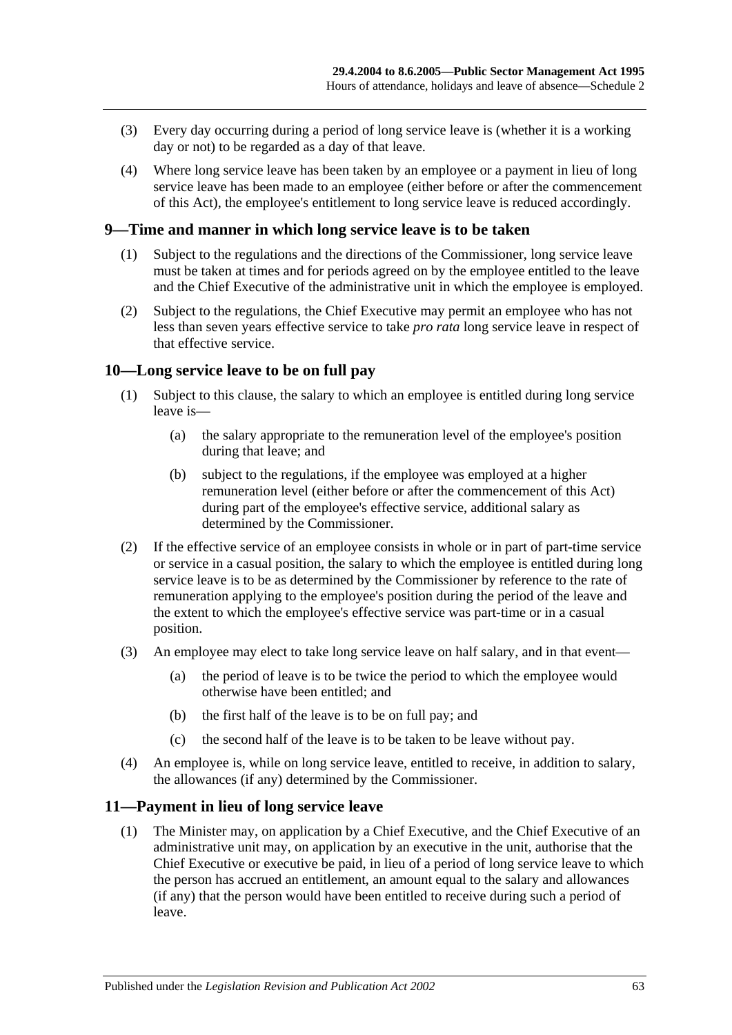- (3) Every day occurring during a period of long service leave is (whether it is a working day or not) to be regarded as a day of that leave.
- (4) Where long service leave has been taken by an employee or a payment in lieu of long service leave has been made to an employee (either before or after the commencement of this Act), the employee's entitlement to long service leave is reduced accordingly.

#### **9—Time and manner in which long service leave is to be taken**

- (1) Subject to the regulations and the directions of the Commissioner, long service leave must be taken at times and for periods agreed on by the employee entitled to the leave and the Chief Executive of the administrative unit in which the employee is employed.
- (2) Subject to the regulations, the Chief Executive may permit an employee who has not less than seven years effective service to take *pro rata* long service leave in respect of that effective service.

#### **10—Long service leave to be on full pay**

- (1) Subject to this clause, the salary to which an employee is entitled during long service leave is—
	- (a) the salary appropriate to the remuneration level of the employee's position during that leave; and
	- (b) subject to the regulations, if the employee was employed at a higher remuneration level (either before or after the commencement of this Act) during part of the employee's effective service, additional salary as determined by the Commissioner.
- (2) If the effective service of an employee consists in whole or in part of part-time service or service in a casual position, the salary to which the employee is entitled during long service leave is to be as determined by the Commissioner by reference to the rate of remuneration applying to the employee's position during the period of the leave and the extent to which the employee's effective service was part-time or in a casual position.
- (3) An employee may elect to take long service leave on half salary, and in that event—
	- (a) the period of leave is to be twice the period to which the employee would otherwise have been entitled; and
	- (b) the first half of the leave is to be on full pay; and
	- (c) the second half of the leave is to be taken to be leave without pay.
- (4) An employee is, while on long service leave, entitled to receive, in addition to salary, the allowances (if any) determined by the Commissioner.

#### **11—Payment in lieu of long service leave**

(1) The Minister may, on application by a Chief Executive, and the Chief Executive of an administrative unit may, on application by an executive in the unit, authorise that the Chief Executive or executive be paid, in lieu of a period of long service leave to which the person has accrued an entitlement, an amount equal to the salary and allowances (if any) that the person would have been entitled to receive during such a period of leave.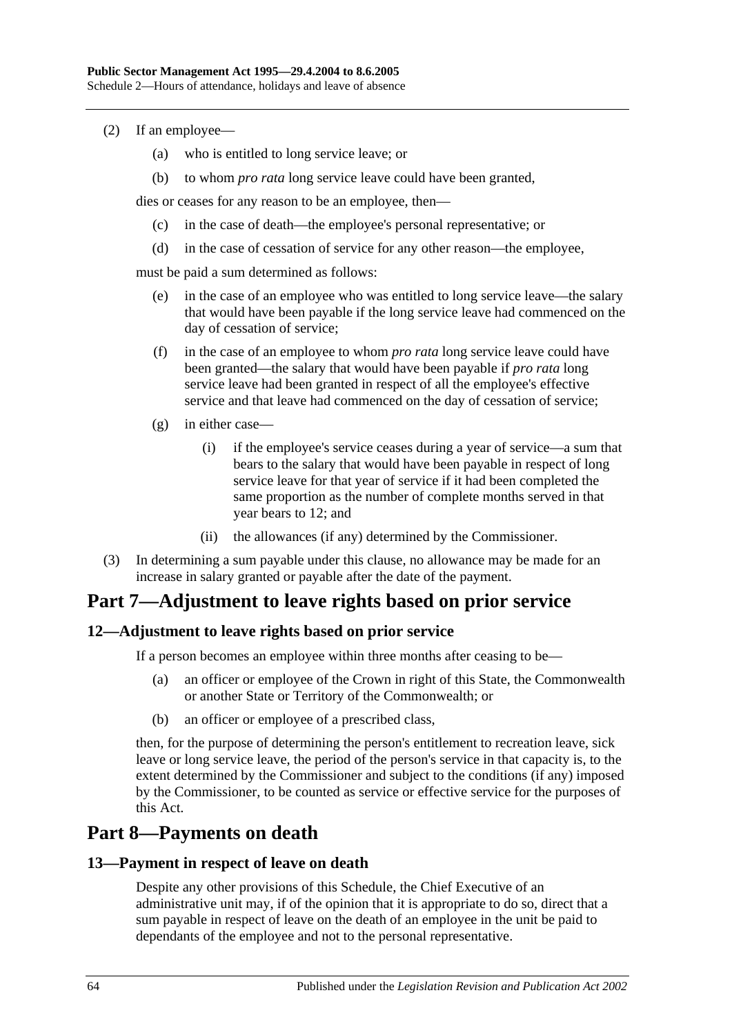- (2) If an employee—
	- (a) who is entitled to long service leave; or
	- (b) to whom *pro rata* long service leave could have been granted,

dies or ceases for any reason to be an employee, then—

- (c) in the case of death—the employee's personal representative; or
- (d) in the case of cessation of service for any other reason—the employee,

must be paid a sum determined as follows:

- (e) in the case of an employee who was entitled to long service leave—the salary that would have been payable if the long service leave had commenced on the day of cessation of service;
- (f) in the case of an employee to whom *pro rata* long service leave could have been granted—the salary that would have been payable if *pro rata* long service leave had been granted in respect of all the employee's effective service and that leave had commenced on the day of cessation of service;
- (g) in either case—
	- (i) if the employee's service ceases during a year of service—a sum that bears to the salary that would have been payable in respect of long service leave for that year of service if it had been completed the same proportion as the number of complete months served in that year bears to 12; and
	- (ii) the allowances (if any) determined by the Commissioner.
- (3) In determining a sum payable under this clause, no allowance may be made for an increase in salary granted or payable after the date of the payment.

# **Part 7—Adjustment to leave rights based on prior service**

#### **12—Adjustment to leave rights based on prior service**

If a person becomes an employee within three months after ceasing to be—

- (a) an officer or employee of the Crown in right of this State, the Commonwealth or another State or Territory of the Commonwealth; or
- (b) an officer or employee of a prescribed class,

then, for the purpose of determining the person's entitlement to recreation leave, sick leave or long service leave, the period of the person's service in that capacity is, to the extent determined by the Commissioner and subject to the conditions (if any) imposed by the Commissioner, to be counted as service or effective service for the purposes of this Act.

# **Part 8—Payments on death**

#### **13—Payment in respect of leave on death**

Despite any other provisions of this Schedule, the Chief Executive of an administrative unit may, if of the opinion that it is appropriate to do so, direct that a sum payable in respect of leave on the death of an employee in the unit be paid to dependants of the employee and not to the personal representative.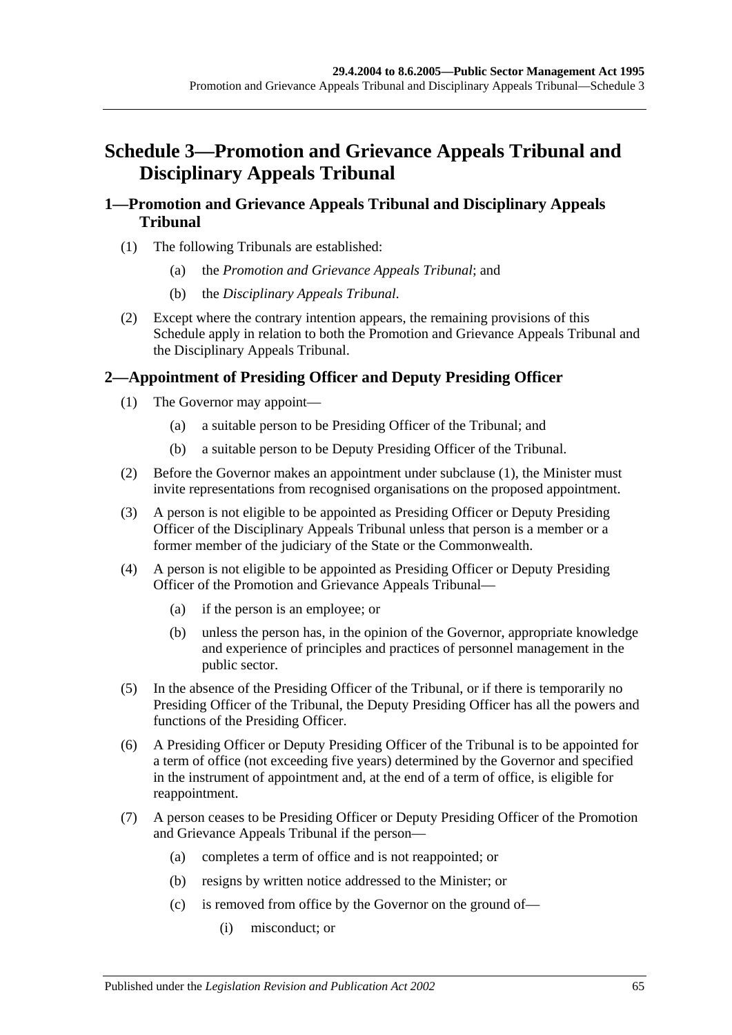# **Schedule 3—Promotion and Grievance Appeals Tribunal and Disciplinary Appeals Tribunal**

### **1—Promotion and Grievance Appeals Tribunal and Disciplinary Appeals Tribunal**

- (1) The following Tribunals are established:
	- (a) the *Promotion and Grievance Appeals Tribunal*; and
	- (b) the *Disciplinary Appeals Tribunal*.
- (2) Except where the contrary intention appears, the remaining provisions of this Schedule apply in relation to both the Promotion and Grievance Appeals Tribunal and the Disciplinary Appeals Tribunal.

# <span id="page-64-0"></span>**2—Appointment of Presiding Officer and Deputy Presiding Officer**

- (1) The Governor may appoint—
	- (a) a suitable person to be Presiding Officer of the Tribunal; and
	- (b) a suitable person to be Deputy Presiding Officer of the Tribunal.
- (2) Before the Governor makes an appointment under [subclause](#page-64-0) (1), the Minister must invite representations from recognised organisations on the proposed appointment.
- (3) A person is not eligible to be appointed as Presiding Officer or Deputy Presiding Officer of the Disciplinary Appeals Tribunal unless that person is a member or a former member of the judiciary of the State or the Commonwealth.
- (4) A person is not eligible to be appointed as Presiding Officer or Deputy Presiding Officer of the Promotion and Grievance Appeals Tribunal—
	- (a) if the person is an employee; or
	- (b) unless the person has, in the opinion of the Governor, appropriate knowledge and experience of principles and practices of personnel management in the public sector.
- (5) In the absence of the Presiding Officer of the Tribunal, or if there is temporarily no Presiding Officer of the Tribunal, the Deputy Presiding Officer has all the powers and functions of the Presiding Officer.
- (6) A Presiding Officer or Deputy Presiding Officer of the Tribunal is to be appointed for a term of office (not exceeding five years) determined by the Governor and specified in the instrument of appointment and, at the end of a term of office, is eligible for reappointment.
- (7) A person ceases to be Presiding Officer or Deputy Presiding Officer of the Promotion and Grievance Appeals Tribunal if the person—
	- (a) completes a term of office and is not reappointed; or
	- (b) resigns by written notice addressed to the Minister; or
	- (c) is removed from office by the Governor on the ground of—
		- (i) misconduct; or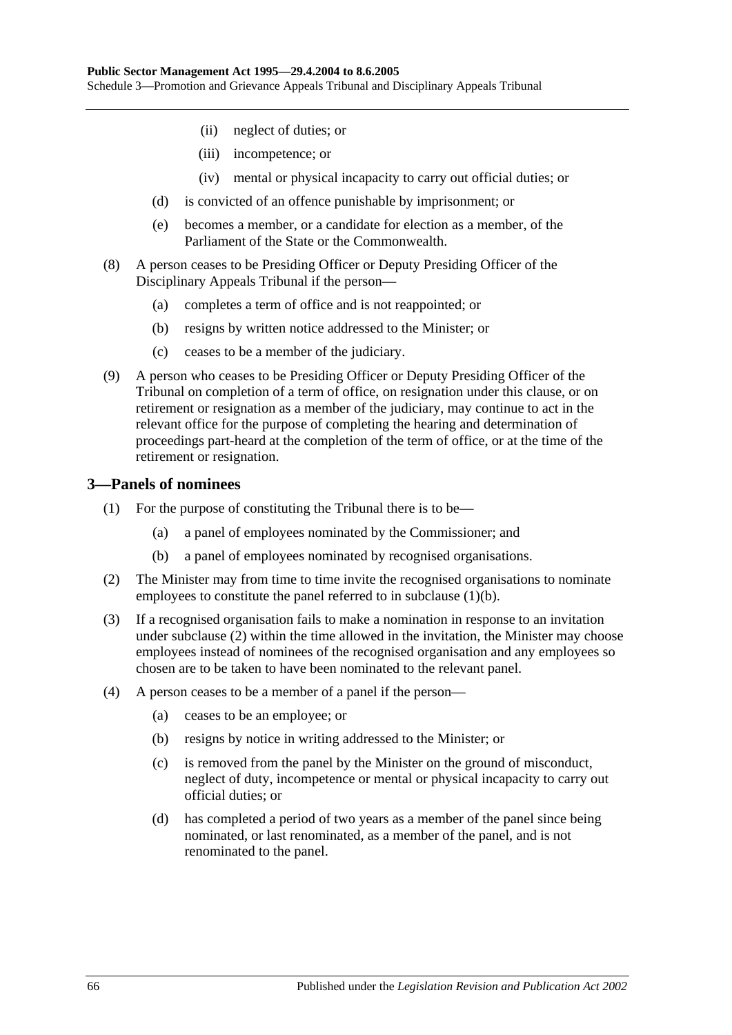- (ii) neglect of duties; or
- (iii) incompetence; or
- (iv) mental or physical incapacity to carry out official duties; or
- (d) is convicted of an offence punishable by imprisonment; or
- (e) becomes a member, or a candidate for election as a member, of the Parliament of the State or the Commonwealth.
- (8) A person ceases to be Presiding Officer or Deputy Presiding Officer of the Disciplinary Appeals Tribunal if the person—
	- (a) completes a term of office and is not reappointed; or
	- (b) resigns by written notice addressed to the Minister; or
	- (c) ceases to be a member of the judiciary.
- (9) A person who ceases to be Presiding Officer or Deputy Presiding Officer of the Tribunal on completion of a term of office, on resignation under this clause, or on retirement or resignation as a member of the judiciary, may continue to act in the relevant office for the purpose of completing the hearing and determination of proceedings part-heard at the completion of the term of office, or at the time of the retirement or resignation.

#### **3—Panels of nominees**

- (1) For the purpose of constituting the Tribunal there is to be—
	- (a) a panel of employees nominated by the Commissioner; and
	- (b) a panel of employees nominated by recognised organisations.
- <span id="page-65-1"></span><span id="page-65-0"></span>(2) The Minister may from time to time invite the recognised organisations to nominate employees to constitute the panel referred to in [subclause](#page-65-0) (1)(b).
- (3) If a recognised organisation fails to make a nomination in response to an invitation under [subclause](#page-65-1) (2) within the time allowed in the invitation, the Minister may choose employees instead of nominees of the recognised organisation and any employees so chosen are to be taken to have been nominated to the relevant panel.
- (4) A person ceases to be a member of a panel if the person—
	- (a) ceases to be an employee; or
	- (b) resigns by notice in writing addressed to the Minister; or
	- (c) is removed from the panel by the Minister on the ground of misconduct, neglect of duty, incompetence or mental or physical incapacity to carry out official duties; or
	- (d) has completed a period of two years as a member of the panel since being nominated, or last renominated, as a member of the panel, and is not renominated to the panel.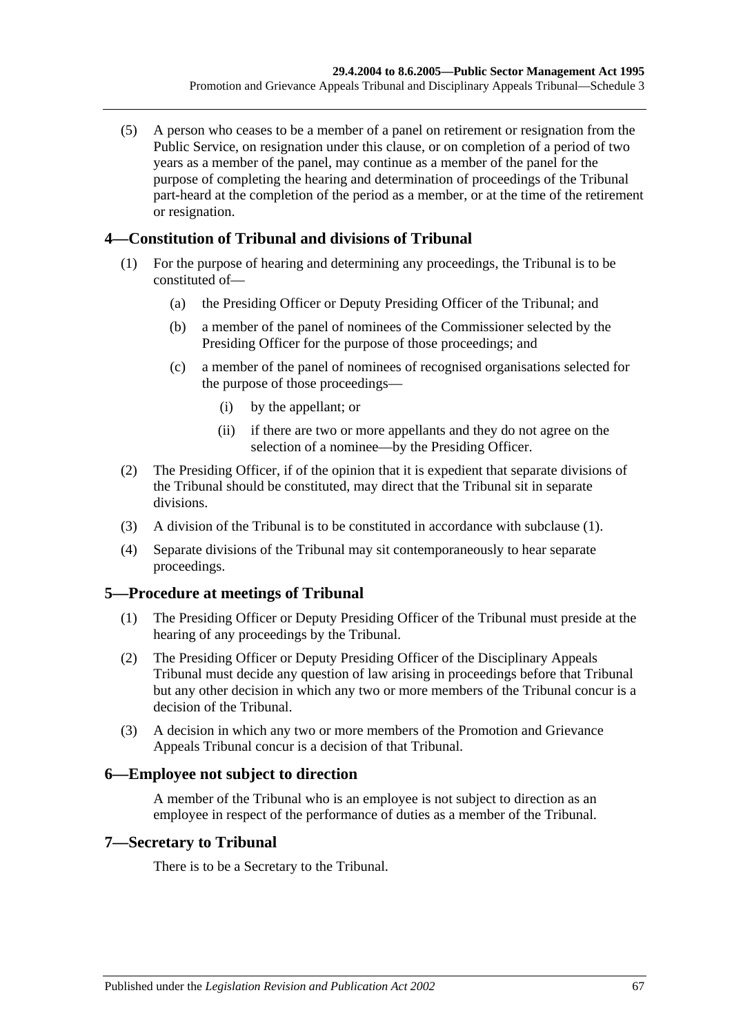(5) A person who ceases to be a member of a panel on retirement or resignation from the Public Service, on resignation under this clause, or on completion of a period of two years as a member of the panel, may continue as a member of the panel for the purpose of completing the hearing and determination of proceedings of the Tribunal part-heard at the completion of the period as a member, or at the time of the retirement or resignation.

### <span id="page-66-0"></span>**4—Constitution of Tribunal and divisions of Tribunal**

- (1) For the purpose of hearing and determining any proceedings, the Tribunal is to be constituted of—
	- (a) the Presiding Officer or Deputy Presiding Officer of the Tribunal; and
	- (b) a member of the panel of nominees of the Commissioner selected by the Presiding Officer for the purpose of those proceedings; and
	- (c) a member of the panel of nominees of recognised organisations selected for the purpose of those proceedings—
		- (i) by the appellant; or
		- (ii) if there are two or more appellants and they do not agree on the selection of a nominee—by the Presiding Officer.
- (2) The Presiding Officer, if of the opinion that it is expedient that separate divisions of the Tribunal should be constituted, may direct that the Tribunal sit in separate divisions.
- (3) A division of the Tribunal is to be constituted in accordance with [subclause](#page-66-0) (1).
- (4) Separate divisions of the Tribunal may sit contemporaneously to hear separate proceedings.

#### **5—Procedure at meetings of Tribunal**

- (1) The Presiding Officer or Deputy Presiding Officer of the Tribunal must preside at the hearing of any proceedings by the Tribunal.
- (2) The Presiding Officer or Deputy Presiding Officer of the Disciplinary Appeals Tribunal must decide any question of law arising in proceedings before that Tribunal but any other decision in which any two or more members of the Tribunal concur is a decision of the Tribunal.
- (3) A decision in which any two or more members of the Promotion and Grievance Appeals Tribunal concur is a decision of that Tribunal.

#### **6—Employee not subject to direction**

A member of the Tribunal who is an employee is not subject to direction as an employee in respect of the performance of duties as a member of the Tribunal.

#### **7—Secretary to Tribunal**

There is to be a Secretary to the Tribunal.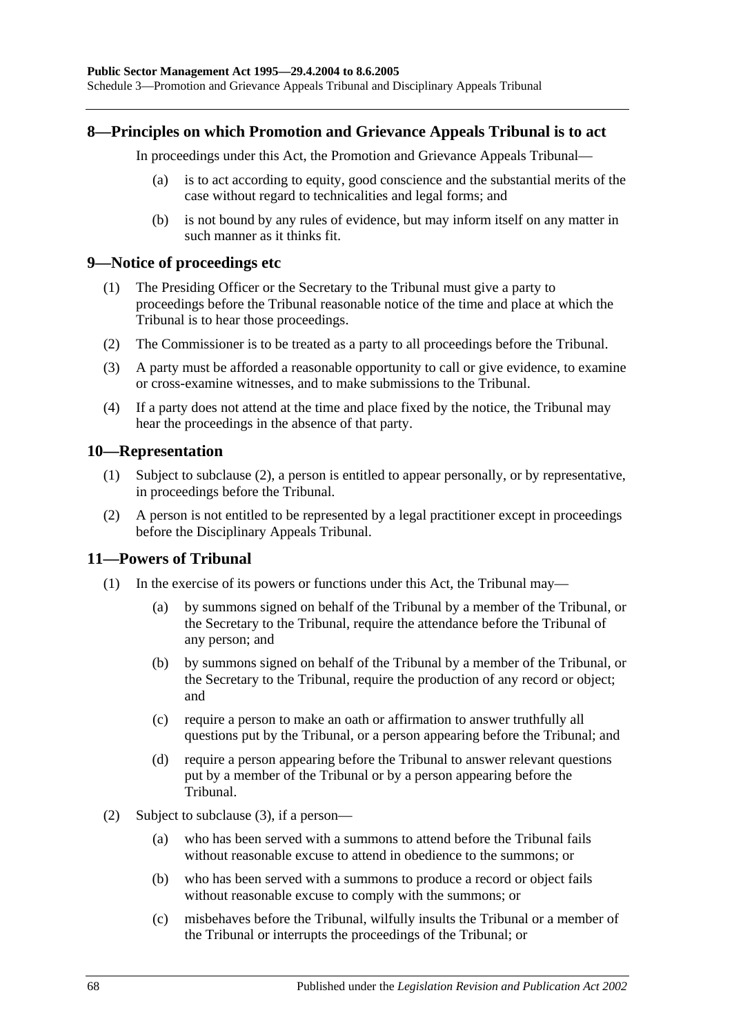#### **8—Principles on which Promotion and Grievance Appeals Tribunal is to act**

In proceedings under this Act, the Promotion and Grievance Appeals Tribunal—

- (a) is to act according to equity, good conscience and the substantial merits of the case without regard to technicalities and legal forms; and
- (b) is not bound by any rules of evidence, but may inform itself on any matter in such manner as it thinks fit.

#### **9—Notice of proceedings etc**

- (1) The Presiding Officer or the Secretary to the Tribunal must give a party to proceedings before the Tribunal reasonable notice of the time and place at which the Tribunal is to hear those proceedings.
- (2) The Commissioner is to be treated as a party to all proceedings before the Tribunal.
- (3) A party must be afforded a reasonable opportunity to call or give evidence, to examine or cross-examine witnesses, and to make submissions to the Tribunal.
- (4) If a party does not attend at the time and place fixed by the notice, the Tribunal may hear the proceedings in the absence of that party.

#### **10—Representation**

- (1) Subject to [subclause](#page-67-0) (2), a person is entitled to appear personally, or by representative, in proceedings before the Tribunal.
- <span id="page-67-0"></span>(2) A person is not entitled to be represented by a legal practitioner except in proceedings before the Disciplinary Appeals Tribunal.

#### **11—Powers of Tribunal**

- (1) In the exercise of its powers or functions under this Act, the Tribunal may—
	- (a) by summons signed on behalf of the Tribunal by a member of the Tribunal, or the Secretary to the Tribunal, require the attendance before the Tribunal of any person; and
	- (b) by summons signed on behalf of the Tribunal by a member of the Tribunal, or the Secretary to the Tribunal, require the production of any record or object; and
	- (c) require a person to make an oath or affirmation to answer truthfully all questions put by the Tribunal, or a person appearing before the Tribunal; and
	- (d) require a person appearing before the Tribunal to answer relevant questions put by a member of the Tribunal or by a person appearing before the Tribunal.
- (2) Subject to [subclause](#page-68-0) (3), if a person—
	- (a) who has been served with a summons to attend before the Tribunal fails without reasonable excuse to attend in obedience to the summons; or
	- (b) who has been served with a summons to produce a record or object fails without reasonable excuse to comply with the summons; or
	- (c) misbehaves before the Tribunal, wilfully insults the Tribunal or a member of the Tribunal or interrupts the proceedings of the Tribunal; or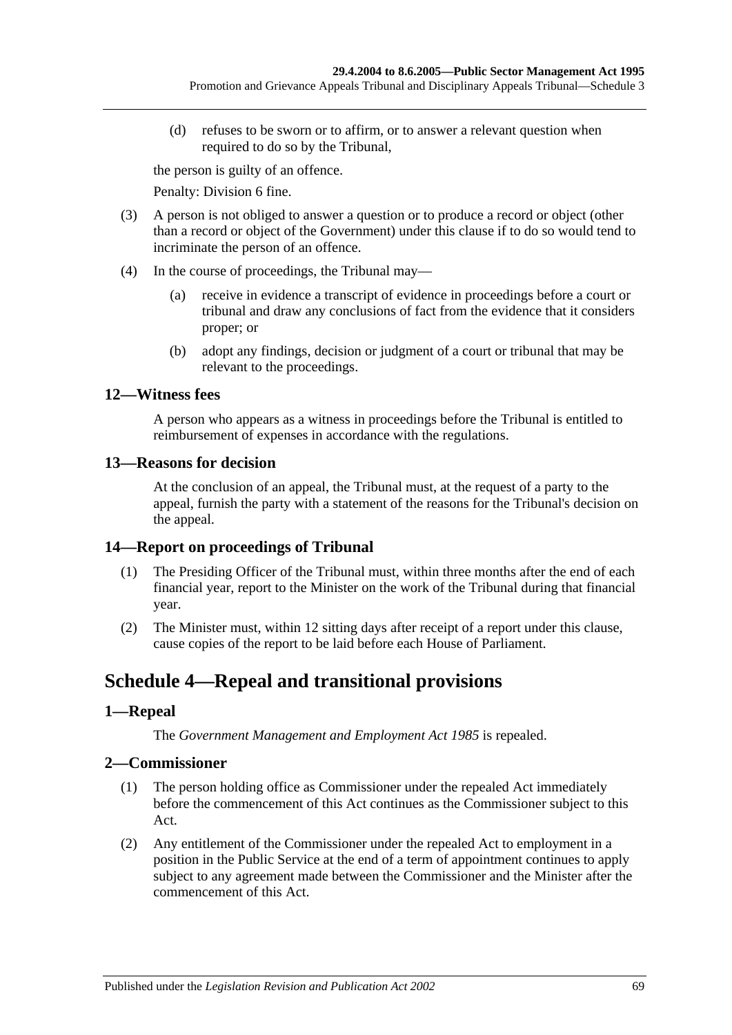(d) refuses to be sworn or to affirm, or to answer a relevant question when required to do so by the Tribunal,

the person is guilty of an offence.

Penalty: Division 6 fine.

- <span id="page-68-0"></span>(3) A person is not obliged to answer a question or to produce a record or object (other than a record or object of the Government) under this clause if to do so would tend to incriminate the person of an offence.
- (4) In the course of proceedings, the Tribunal may—
	- (a) receive in evidence a transcript of evidence in proceedings before a court or tribunal and draw any conclusions of fact from the evidence that it considers proper; or
	- (b) adopt any findings, decision or judgment of a court or tribunal that may be relevant to the proceedings.

### **12—Witness fees**

A person who appears as a witness in proceedings before the Tribunal is entitled to reimbursement of expenses in accordance with the regulations.

#### **13—Reasons for decision**

At the conclusion of an appeal, the Tribunal must, at the request of a party to the appeal, furnish the party with a statement of the reasons for the Tribunal's decision on the appeal.

# **14—Report on proceedings of Tribunal**

- (1) The Presiding Officer of the Tribunal must, within three months after the end of each financial year, report to the Minister on the work of the Tribunal during that financial year.
- (2) The Minister must, within 12 sitting days after receipt of a report under this clause, cause copies of the report to be laid before each House of Parliament.

# **Schedule 4—Repeal and transitional provisions**

# **1—Repeal**

The *[Government Management and Employment Act](http://www.legislation.sa.gov.au/index.aspx?action=legref&type=act&legtitle=Government%20Management%20and%20Employment%20Act%201985) 1985* is repealed.

# **2—Commissioner**

- (1) The person holding office as Commissioner under the repealed Act immediately before the commencement of this Act continues as the Commissioner subject to this Act.
- (2) Any entitlement of the Commissioner under the repealed Act to employment in a position in the Public Service at the end of a term of appointment continues to apply subject to any agreement made between the Commissioner and the Minister after the commencement of this Act.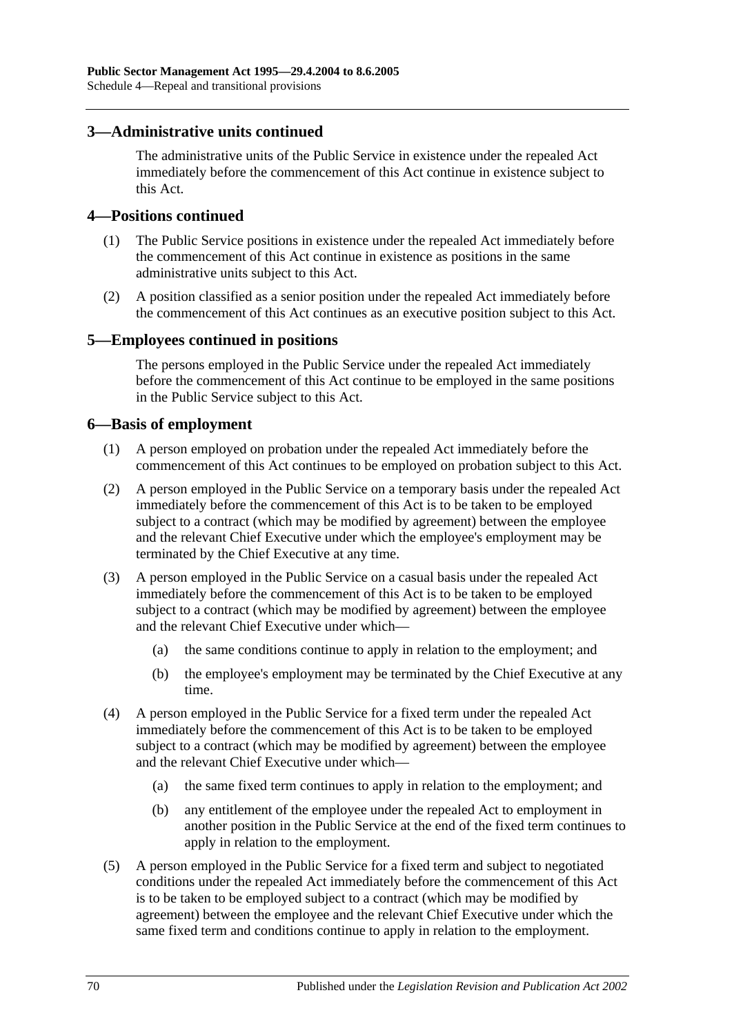#### **3—Administrative units continued**

The administrative units of the Public Service in existence under the repealed Act immediately before the commencement of this Act continue in existence subject to this Act.

#### **4—Positions continued**

- (1) The Public Service positions in existence under the repealed Act immediately before the commencement of this Act continue in existence as positions in the same administrative units subject to this Act.
- (2) A position classified as a senior position under the repealed Act immediately before the commencement of this Act continues as an executive position subject to this Act.

#### **5—Employees continued in positions**

The persons employed in the Public Service under the repealed Act immediately before the commencement of this Act continue to be employed in the same positions in the Public Service subject to this Act.

#### **6—Basis of employment**

- (1) A person employed on probation under the repealed Act immediately before the commencement of this Act continues to be employed on probation subject to this Act.
- (2) A person employed in the Public Service on a temporary basis under the repealed Act immediately before the commencement of this Act is to be taken to be employed subject to a contract (which may be modified by agreement) between the employee and the relevant Chief Executive under which the employee's employment may be terminated by the Chief Executive at any time.
- (3) A person employed in the Public Service on a casual basis under the repealed Act immediately before the commencement of this Act is to be taken to be employed subject to a contract (which may be modified by agreement) between the employee and the relevant Chief Executive under which—
	- (a) the same conditions continue to apply in relation to the employment; and
	- (b) the employee's employment may be terminated by the Chief Executive at any time.
- (4) A person employed in the Public Service for a fixed term under the repealed Act immediately before the commencement of this Act is to be taken to be employed subject to a contract (which may be modified by agreement) between the employee and the relevant Chief Executive under which—
	- (a) the same fixed term continues to apply in relation to the employment; and
	- (b) any entitlement of the employee under the repealed Act to employment in another position in the Public Service at the end of the fixed term continues to apply in relation to the employment.
- (5) A person employed in the Public Service for a fixed term and subject to negotiated conditions under the repealed Act immediately before the commencement of this Act is to be taken to be employed subject to a contract (which may be modified by agreement) between the employee and the relevant Chief Executive under which the same fixed term and conditions continue to apply in relation to the employment.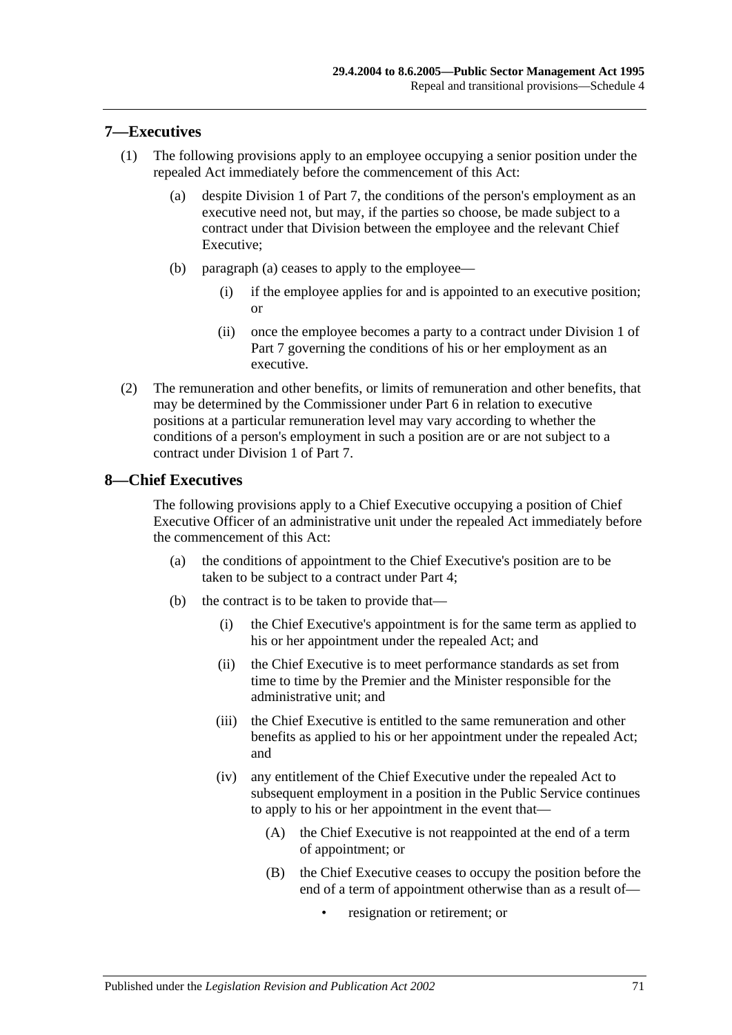#### **7—Executives**

- <span id="page-70-0"></span>(1) The following provisions apply to an employee occupying a senior position under the repealed Act immediately before the commencement of this Act:
	- (a) despite [Division 1](#page-35-1) of [Part 7,](#page-35-0) the conditions of the person's employment as an executive need not, but may, if the parties so choose, be made subject to a contract under that Division between the employee and the relevant Chief Executive;
	- (b) [paragraph](#page-70-0) (a) ceases to apply to the employee—
		- (i) if the employee applies for and is appointed to an executive position; or
		- (ii) once the employee becomes a party to a contract under [Division 1](#page-35-1) of [Part 7](#page-35-0) governing the conditions of his or her employment as an executive.
- (2) The remuneration and other benefits, or limits of remuneration and other benefits, that may be determined by the Commissioner under [Part 6](#page-33-0) in relation to executive positions at a particular remuneration level may vary according to whether the conditions of a person's employment in such a position are or are not subject to a contract under [Division 1](#page-35-1) of [Part 7.](#page-35-0)

#### **8—Chief Executives**

The following provisions apply to a Chief Executive occupying a position of Chief Executive Officer of an administrative unit under the repealed Act immediately before the commencement of this Act:

- (a) the conditions of appointment to the Chief Executive's position are to be taken to be subject to a contract under [Part 4;](#page-25-0)
- (b) the contract is to be taken to provide that—
	- (i) the Chief Executive's appointment is for the same term as applied to his or her appointment under the repealed Act; and
	- (ii) the Chief Executive is to meet performance standards as set from time to time by the Premier and the Minister responsible for the administrative unit; and
	- (iii) the Chief Executive is entitled to the same remuneration and other benefits as applied to his or her appointment under the repealed Act; and
	- (iv) any entitlement of the Chief Executive under the repealed Act to subsequent employment in a position in the Public Service continues to apply to his or her appointment in the event that—
		- (A) the Chief Executive is not reappointed at the end of a term of appointment; or
		- (B) the Chief Executive ceases to occupy the position before the end of a term of appointment otherwise than as a result of
			- resignation or retirement; or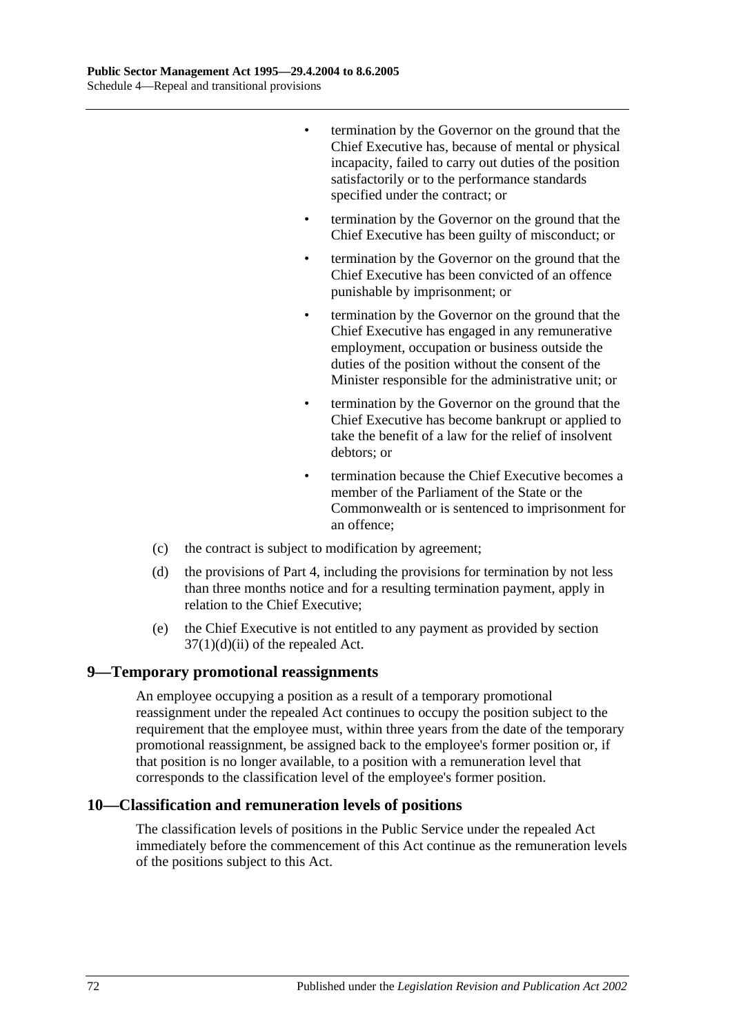- termination by the Governor on the ground that the Chief Executive has, because of mental or physical incapacity, failed to carry out duties of the position satisfactorily or to the performance standards specified under the contract; or
- termination by the Governor on the ground that the Chief Executive has been guilty of misconduct; or
- termination by the Governor on the ground that the Chief Executive has been convicted of an offence punishable by imprisonment; or
- termination by the Governor on the ground that the Chief Executive has engaged in any remunerative employment, occupation or business outside the duties of the position without the consent of the Minister responsible for the administrative unit; or
- termination by the Governor on the ground that the Chief Executive has become bankrupt or applied to take the benefit of a law for the relief of insolvent debtors; or
- termination because the Chief Executive becomes a member of the Parliament of the State or the Commonwealth or is sentenced to imprisonment for an offence;
- (c) the contract is subject to modification by agreement;
- (d) the provisions of [Part 4,](#page-25-0) including the provisions for termination by not less than three months notice and for a resulting termination payment, apply in relation to the Chief Executive;
- (e) the Chief Executive is not entitled to any payment as provided by section  $37(1)(d)(ii)$  of the repealed Act.

#### **9—Temporary promotional reassignments**

An employee occupying a position as a result of a temporary promotional reassignment under the repealed Act continues to occupy the position subject to the requirement that the employee must, within three years from the date of the temporary promotional reassignment, be assigned back to the employee's former position or, if that position is no longer available, to a position with a remuneration level that corresponds to the classification level of the employee's former position.

#### **10—Classification and remuneration levels of positions**

The classification levels of positions in the Public Service under the repealed Act immediately before the commencement of this Act continue as the remuneration levels of the positions subject to this Act.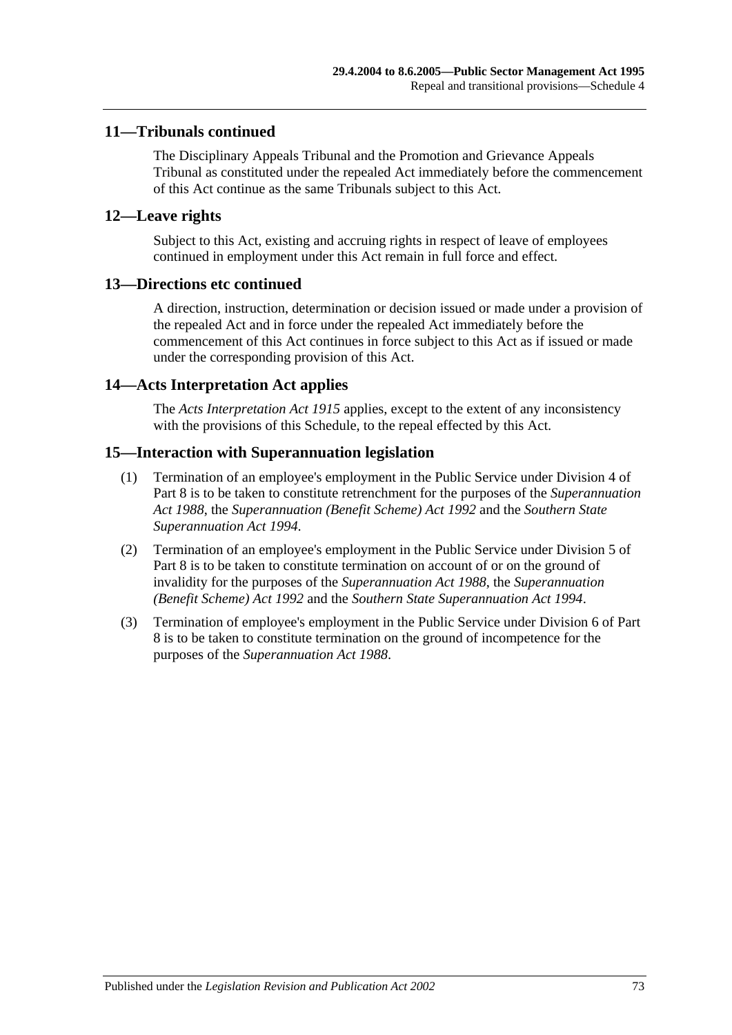### **11—Tribunals continued**

The Disciplinary Appeals Tribunal and the Promotion and Grievance Appeals Tribunal as constituted under the repealed Act immediately before the commencement of this Act continue as the same Tribunals subject to this Act.

#### **12—Leave rights**

Subject to this Act, existing and accruing rights in respect of leave of employees continued in employment under this Act remain in full force and effect.

#### **13—Directions etc continued**

A direction, instruction, determination or decision issued or made under a provision of the repealed Act and in force under the repealed Act immediately before the commencement of this Act continues in force subject to this Act as if issued or made under the corresponding provision of this Act.

#### **14—Acts Interpretation Act applies**

The *[Acts Interpretation Act](http://www.legislation.sa.gov.au/index.aspx?action=legref&type=act&legtitle=Acts%20Interpretation%20Act%201915) 1915* applies, except to the extent of any inconsistency with the provisions of this Schedule, to the repeal effected by this Act.

#### **15—Interaction with Superannuation legislation**

- (1) Termination of an employee's employment in the Public Service under [Division](#page-43-0) 4 of [Part 8](#page-41-0) is to be taken to constitute retrenchment for the purposes of the *[Superannuation](http://www.legislation.sa.gov.au/index.aspx?action=legref&type=act&legtitle=Superannuation%20Act%201988)  Act [1988](http://www.legislation.sa.gov.au/index.aspx?action=legref&type=act&legtitle=Superannuation%20Act%201988)*, the *[Superannuation \(Benefit Scheme\) Act](http://www.legislation.sa.gov.au/index.aspx?action=legref&type=act&legtitle=Superannuation%20(Benefit%20Scheme)%20Act%201992) 1992* and the *[Southern State](http://www.legislation.sa.gov.au/index.aspx?action=legref&type=act&legtitle=Southern%20State%20Superannuation%20Act%201994)  [Superannuation Act](http://www.legislation.sa.gov.au/index.aspx?action=legref&type=act&legtitle=Southern%20State%20Superannuation%20Act%201994) 1994*.
- (2) Termination of an employee's employment in the Public Service under [Division 5](#page-44-0) of [Part 8](#page-41-0) is to be taken to constitute termination on account of or on the ground of invalidity for the purposes of the *[Superannuation Act](http://www.legislation.sa.gov.au/index.aspx?action=legref&type=act&legtitle=Superannuation%20Act%201988) 1988*, the *[Superannuation](http://www.legislation.sa.gov.au/index.aspx?action=legref&type=act&legtitle=Superannuation%20(Benefit%20Scheme)%20Act%201992)  [\(Benefit Scheme\) Act](http://www.legislation.sa.gov.au/index.aspx?action=legref&type=act&legtitle=Superannuation%20(Benefit%20Scheme)%20Act%201992) 1992* and the *[Southern State Superannuation Act](http://www.legislation.sa.gov.au/index.aspx?action=legref&type=act&legtitle=Southern%20State%20Superannuation%20Act%201994) 1994*.
- (3) Termination of employee's employment in the Public Service under [Division 6](#page-45-0) of [Part](#page-41-0)  [8](#page-41-0) is to be taken to constitute termination on the ground of incompetence for the purposes of the *[Superannuation Act](http://www.legislation.sa.gov.au/index.aspx?action=legref&type=act&legtitle=Superannuation%20Act%201988) 1988*.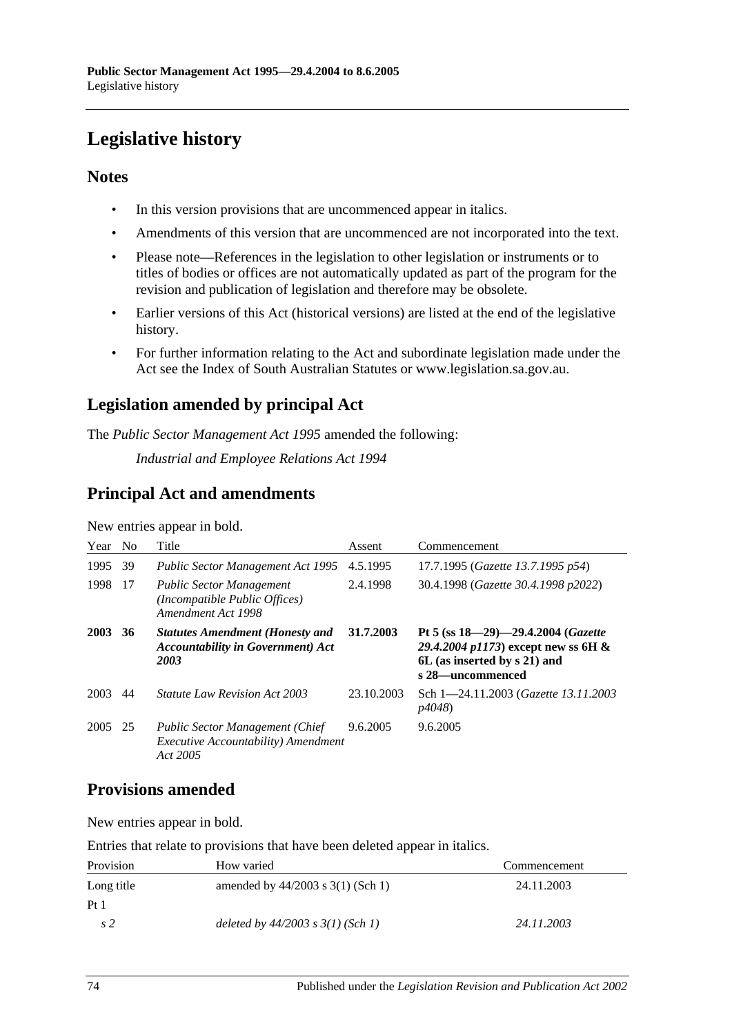# **Legislative history**

### **Notes**

- In this version provisions that are uncommenced appear in italics.
- Amendments of this version that are uncommenced are not incorporated into the text.
- Please note—References in the legislation to other legislation or instruments or to titles of bodies or offices are not automatically updated as part of the program for the revision and publication of legislation and therefore may be obsolete.
- Earlier versions of this Act (historical versions) are listed at the end of the legislative history.
- For further information relating to the Act and subordinate legislation made under the Act see the Index of South Australian Statutes or www.legislation.sa.gov.au.

## **Legislation amended by principal Act**

The *Public Sector Management Act 1995* amended the following:

*Industrial and Employee Relations Act 1994*

## **Principal Act and amendments**

| Year | N <sub>0</sub> | Title                                                                                                    | Assent     | Commencement                                                                                                                      |
|------|----------------|----------------------------------------------------------------------------------------------------------|------------|-----------------------------------------------------------------------------------------------------------------------------------|
| 1995 | 39             | <b>Public Sector Management Act 1995</b>                                                                 | 4.5.1995   | 17.7.1995 (Gazette 13.7.1995 p54)                                                                                                 |
| 1998 | -17            | <b>Public Sector Management</b><br>(Incompatible Public Offices)<br>Amendment Act 1998                   | 2.4.1998   | 30.4.1998 (Gazette 30.4.1998 p2022)                                                                                               |
| 2003 | 36             | <b>Statutes Amendment (Honesty and</b><br><b>Accountability in Government</b> ) Act<br>2003              | 31.7.2003  | Pt 5 (ss $18-29-29.4.2004$ (Gazette<br>29.4.2004 p1173) except new ss 6H $\&$<br>6L (as inserted by s 21) and<br>s 28—uncommenced |
| 2003 | 44             | <i>Statute Law Revision Act 2003</i>                                                                     | 23.10.2003 | Sch 1-24.11.2003 (Gazette 13.11.2003<br><i>p4048</i> )                                                                            |
| 2005 | 25             | <b>Public Sector Management (Chief</b><br><i>Executive Accountability</i> ) <i>Amendment</i><br>Act 2005 | 9.6.2005   | 9.6.2005                                                                                                                          |

New entries appear in bold.

## **Provisions amended**

New entries appear in bold.

Entries that relate to provisions that have been deleted appear in italics.

| Provision       | How varied                            | Commencement |
|-----------------|---------------------------------------|--------------|
| Long title      | amended by $44/2003$ s $3(1)$ (Sch 1) | 24.11.2003   |
| Pt <sub>1</sub> |                                       |              |
| s 2             | deleted by $44/2003$ s $3(1)$ (Sch 1) | 24.11.2003   |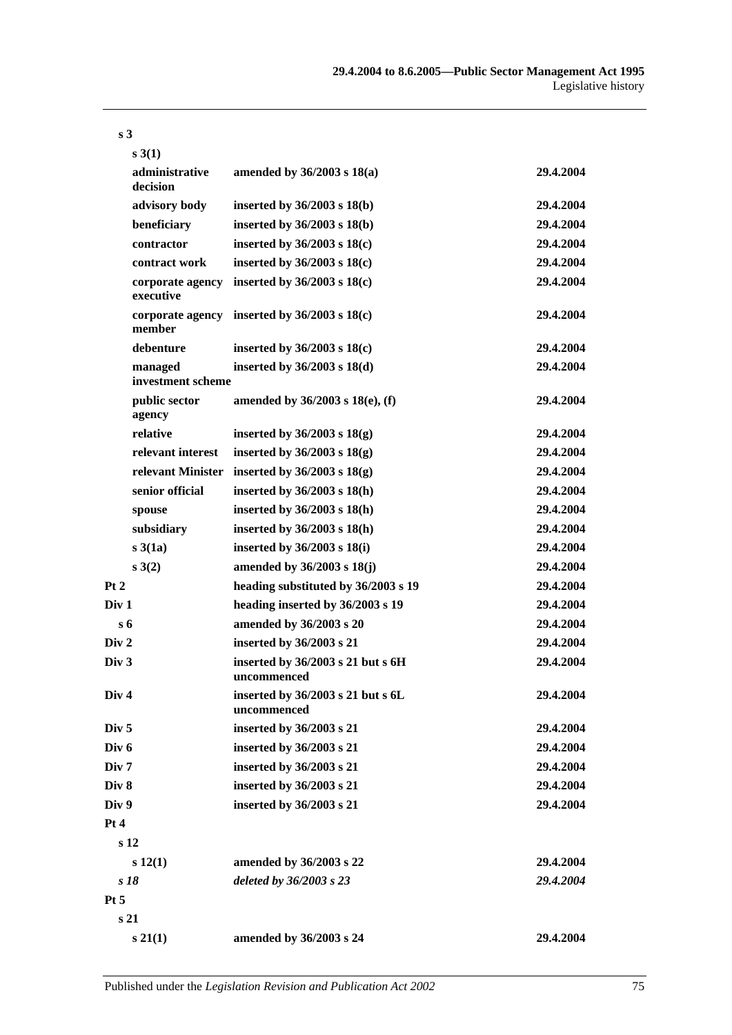|                  | s(3(1))                       |                                                    |           |
|------------------|-------------------------------|----------------------------------------------------|-----------|
|                  | administrative<br>decision    | amended by $36/2003$ s $18(a)$                     | 29.4.2004 |
|                  | advisory body                 | inserted by $36/2003$ s $18(b)$                    | 29.4.2004 |
|                  | beneficiary                   | inserted by $36/2003$ s $18(b)$                    | 29.4.2004 |
|                  | contractor                    | inserted by $36/2003$ s $18(c)$                    | 29.4.2004 |
|                  | contract work                 | inserted by $36/2003$ s $18(c)$                    | 29.4.2004 |
|                  | corporate agency<br>executive | inserted by $36/2003$ s $18(c)$                    | 29.4.2004 |
|                  | corporate agency<br>member    | inserted by $36/2003$ s $18(c)$                    | 29.4.2004 |
|                  | debenture                     | inserted by $36/2003$ s $18(c)$                    | 29.4.2004 |
|                  | managed<br>investment scheme  | inserted by $36/2003$ s $18(d)$                    | 29.4.2004 |
|                  | public sector<br>agency       | amended by 36/2003 s 18(e), (f)                    | 29.4.2004 |
|                  | relative                      | inserted by $36/2003$ s $18(g)$                    | 29.4.2004 |
|                  | relevant interest             | inserted by $36/2003$ s $18(g)$                    | 29.4.2004 |
|                  | relevant Minister             | inserted by $36/2003$ s $18(g)$                    | 29.4.2004 |
|                  | senior official               | inserted by 36/2003 s 18(h)                        | 29.4.2004 |
|                  | spouse                        | inserted by $36/2003$ s $18(h)$                    | 29.4.2004 |
|                  | subsidiary                    | inserted by $36/2003$ s $18(h)$                    | 29.4.2004 |
|                  | s3(1a)                        | inserted by $36/2003$ s $18(i)$                    | 29.4.2004 |
|                  | s(3(2))                       | amended by 36/2003 s 18(j)                         | 29.4.2004 |
| Pt 2             |                               | heading substituted by 36/2003 s 19                | 29.4.2004 |
| Div 1            |                               | heading inserted by 36/2003 s 19                   | 29.4.2004 |
| $s_{\rm 6}$      |                               | amended by 36/2003 s 20                            | 29.4.2004 |
| Div 2            |                               | inserted by 36/2003 s 21                           | 29.4.2004 |
| Div <sub>3</sub> |                               | inserted by $36/2003$ s 21 but s 6H<br>uncommenced | 29.4.2004 |
| Div <sub>4</sub> |                               | inserted by 36/2003 s 21 but s 6L<br>uncommenced   | 29.4.2004 |
| Div <sub>5</sub> |                               | inserted by 36/2003 s 21                           | 29.4.2004 |
| Div 6            |                               | inserted by 36/2003 s 21                           | 29.4.2004 |
| Div <sub>7</sub> |                               | inserted by 36/2003 s 21                           | 29.4.2004 |
| Div 8<br>Div 9   |                               | inserted by 36/2003 s 21                           | 29.4.2004 |
|                  |                               | inserted by 36/2003 s 21                           | 29.4.2004 |
| Pt 4             |                               |                                                    |           |
|                  | s <sub>12</sub>               |                                                    |           |
|                  | s 12(1)                       | amended by 36/2003 s 22                            | 29.4.2004 |
|                  | s 18                          | deleted by 36/2003 s 23                            | 29.4.2004 |
| Pt 5             |                               |                                                    |           |
|                  | s <sub>21</sub>               |                                                    |           |
|                  | s 21(1)                       | amended by 36/2003 s 24                            | 29.4.2004 |

## **s 3**

Published under the *Legislation Revision and Publication Act 2002* 75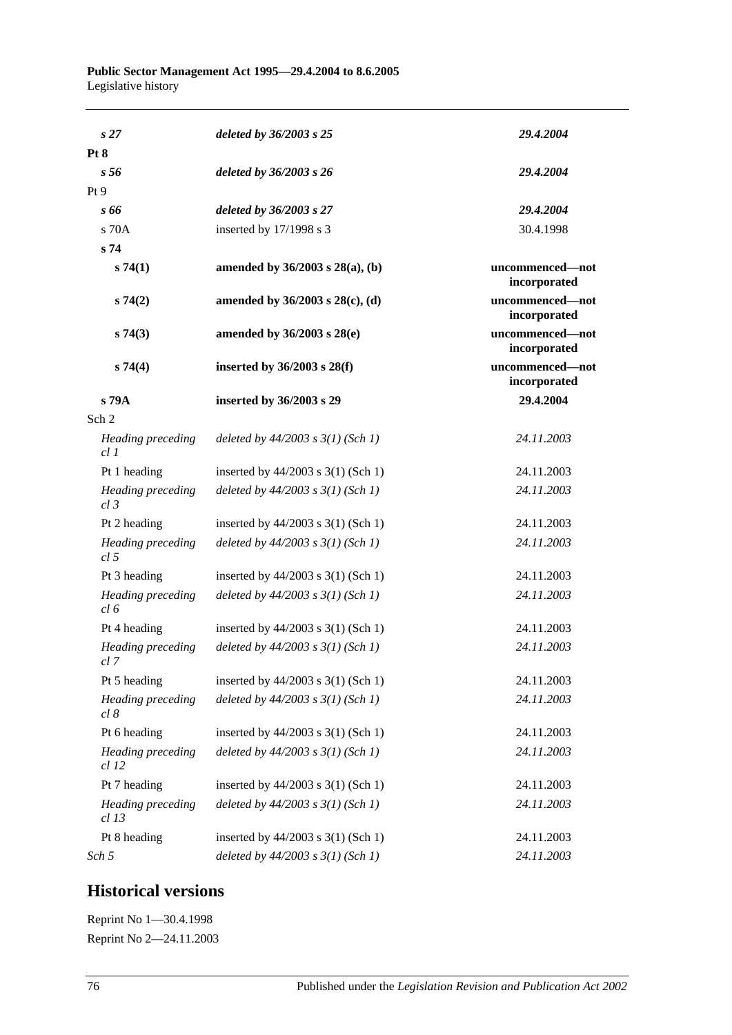| s <sub>27</sub>                      | deleted by 36/2003 s 25                | 29.4.2004                       |
|--------------------------------------|----------------------------------------|---------------------------------|
| Pt 8                                 |                                        |                                 |
| s <sub>56</sub>                      | deleted by 36/2003 s 26                | 29.4.2004                       |
| Pt9                                  |                                        |                                 |
| s 66                                 | deleted by 36/2003 s 27                | 29.4.2004                       |
| $s$ 70 $A$                           | inserted by 17/1998 s 3                | 30.4.1998                       |
| s <sub>74</sub>                      |                                        |                                 |
| s74(1)                               | amended by 36/2003 s 28(a), (b)        | uncommenced-not<br>incorporated |
| s74(2)                               | amended by $36/2003$ s $28(c)$ , (d)   | uncommenced-not<br>incorporated |
| s74(3)                               | amended by $36/2003$ s $28(e)$         | uncommenced-not<br>incorporated |
| s74(4)                               | inserted by $36/2003$ s $28(f)$        | uncommenced-not<br>incorporated |
| s 79A                                | inserted by 36/2003 s 29               | 29.4.2004                       |
| Sch <sub>2</sub>                     |                                        |                                 |
| Heading preceding<br>cl 1            | deleted by $44/2003$ s $3(1)$ (Sch 1)  | 24.11.2003                      |
| Pt 1 heading                         | inserted by 44/2003 s 3(1) (Sch 1)     | 24.11.2003                      |
| Heading preceding<br>$cl$ 3          | deleted by $44/2003$ s $3(1)$ (Sch 1)  | 24.11.2003                      |
| Pt 2 heading                         | inserted by $44/2003$ s 3(1) (Sch 1)   | 24.11.2003                      |
| Heading preceding<br>cl <sub>5</sub> | deleted by $44/2003$ s $3(1)$ (Sch 1)  | 24.11.2003                      |
| Pt 3 heading                         | inserted by $44/2003$ s 3(1) (Sch 1)   | 24.11.2003                      |
| Heading preceding<br>cl 6            | deleted by $44/2003$ s $3(1)$ (Sch 1)  | 24.11.2003                      |
| Pt 4 heading                         | inserted by $44/2003$ s 3(1) (Sch 1)   | 24.11.2003                      |
| Heading preceding<br>cl 7            | deleted by $44/2003$ s $3(1)$ (Sch 1)  | 24.11.2003                      |
| Pt 5 heading                         | inserted by $44/2003$ s $3(1)$ (Sch 1) | 24.11.2003                      |
| Heading preceding<br>cl 8            | deleted by $44/2003$ s $3(1)$ (Sch 1)  | 24.11.2003                      |
| Pt 6 heading                         | inserted by 44/2003 s 3(1) (Sch 1)     | 24.11.2003                      |
| Heading preceding<br>$cl$ 12         | deleted by $44/2003$ s $3(1)$ (Sch 1)  | 24.11.2003                      |
| Pt 7 heading                         | inserted by 44/2003 s 3(1) (Sch 1)     | 24.11.2003                      |
| Heading preceding<br>$cl$ 13         | deleted by $44/2003$ s $3(1)$ (Sch 1)  | 24.11.2003                      |
| Pt 8 heading                         | inserted by 44/2003 s 3(1) (Sch 1)     | 24.11.2003                      |
| Sch 5                                | deleted by $44/2003$ s $3(1)$ (Sch 1)  | 24.11.2003                      |

## **Historical versions**

Reprint No 1—30.4.1998 Reprint No 2—24.11.2003